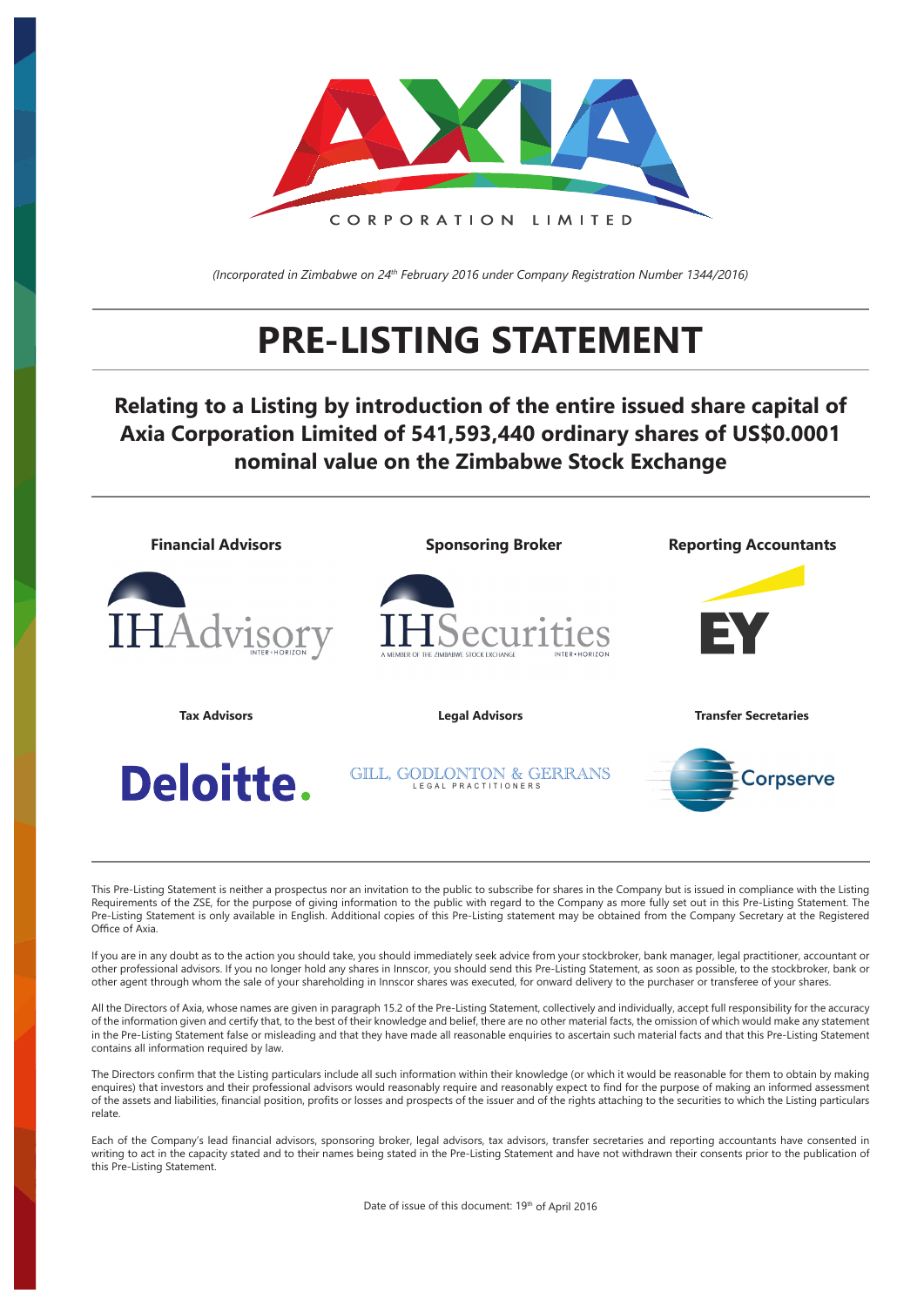

*(Incorporated in Zimbabwe on 24th February 2016 under Company Registration Number 1344/2016)*

# **PRE-LISTING STATEMENT**

# **Relating to a Listing by introduction of the entire issued share capital of Axia Corporation Limited of 541,593,440 ordinary shares of US\$0.0001 nominal value on the Zimbabwe Stock Exchange**



This Pre-Listing Statement is neither a prospectus nor an invitation to the public to subscribe for shares in the Company but is issued in compliance with the Listing Requirements of the ZSE, for the purpose of giving information to the public with regard to the Company as more fully set out in this Pre-Listing Statement. The Pre-Listing Statement is only available in English. Additional copies of this Pre-Listing statement may be obtained from the Company Secretary at the Registered Office of Axia.

If you are in any doubt as to the action you should take, you should immediately seek advice from your stockbroker, bank manager, legal practitioner, accountant or other professional advisors. If you no longer hold any shares in Innscor, you should send this Pre-Listing Statement, as soon as possible, to the stockbroker, bank or other agent through whom the sale of your shareholding in Innscor shares was executed, for onward delivery to the purchaser or transferee of your shares.

All the Directors of Axia, whose names are given in paragraph 15.2 of the Pre-Listing Statement, collectively and individually, accept full responsibility for the accuracy of the information given and certify that, to the best of their knowledge and belief, there are no other material facts, the omission of which would make any statement in the Pre-Listing Statement false or misleading and that they have made all reasonable enquiries to ascertain such material facts and that this Pre-Listing Statement contains all information required by law.

The Directors confirm that the Listing particulars include all such information within their knowledge (or which it would be reasonable for them to obtain by making enquires) that investors and their professional advisors would reasonably require and reasonably expect to find for the purpose of making an informed assessment of the assets and liabilities, financial position, profits or losses and prospects of the issuer and of the rights attaching to the securities to which the Listing particulars relate.

Each of the Company's lead financial advisors, sponsoring broker, legal advisors, tax advisors, transfer secretaries and reporting accountants have consented in writing to act in the capacity stated and to their names being stated in the Pre-Listing Statement and have not withdrawn their consents prior to the publication of this Pre-Listing Statement.

Date of issue of this document: 19th of April 2016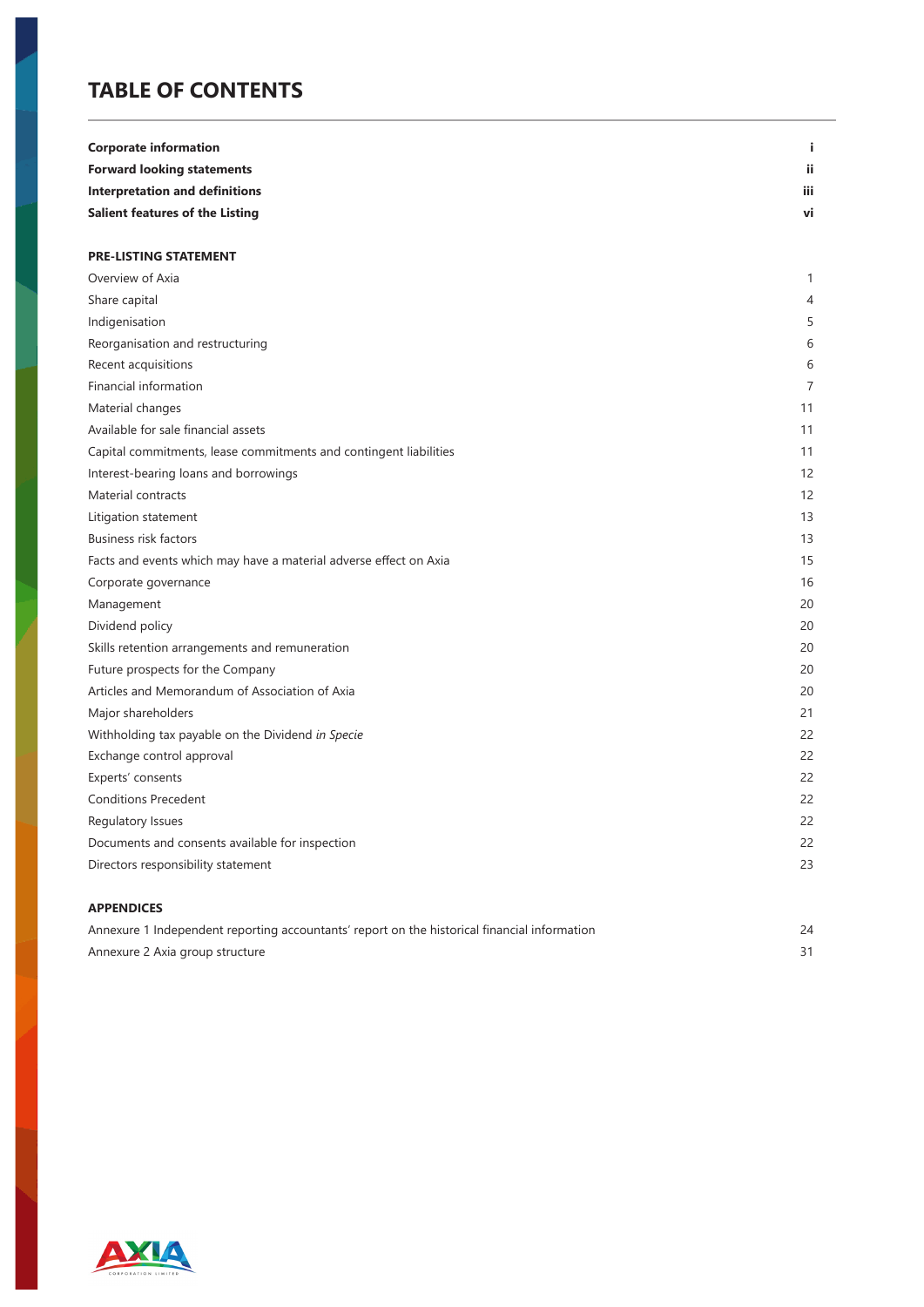# **TABLE OF CONTENTS**

| <b>Corporate information</b>                                      | j.           |
|-------------------------------------------------------------------|--------------|
| <b>Forward looking statements</b>                                 | ii.          |
| <b>Interpretation and definitions</b>                             | iii.         |
| <b>Salient features of the Listing</b>                            | vi           |
|                                                                   |              |
| <b>PRE-LISTING STATEMENT</b>                                      |              |
| Overview of Axia                                                  | $\mathbf{1}$ |
| Share capital                                                     | 4            |
| Indigenisation                                                    | 5            |
| Reorganisation and restructuring                                  | 6            |
| Recent acquisitions                                               | 6            |
| Financial information                                             | 7            |
| Material changes                                                  | 11           |
| Available for sale financial assets                               | 11           |
| Capital commitments, lease commitments and contingent liabilities | 11           |
| Interest-bearing loans and borrowings                             | 12           |
| Material contracts                                                | 12           |
| Litigation statement                                              | 13           |
| <b>Business risk factors</b>                                      | 13           |
| Facts and events which may have a material adverse effect on Axia | 15           |
| Corporate governance                                              | 16           |
| Management                                                        | 20           |
| Dividend policy                                                   | 20           |
| Skills retention arrangements and remuneration                    | 20           |
| Future prospects for the Company                                  | 20           |
| Articles and Memorandum of Association of Axia                    | 20           |
| Major shareholders                                                | 21           |
| Withholding tax payable on the Dividend in Specie                 | 22           |
| Exchange control approval                                         | 22           |
| Experts' consents                                                 | 22           |
| <b>Conditions Precedent</b>                                       | 22           |
| Regulatory Issues                                                 | 22           |
| Documents and consents available for inspection                   | 22           |
| Directors responsibility statement                                | 23           |
| <b>APPENDICES</b>                                                 |              |

| Annexure 1 Independent reporting accountants' report on the historical financial information |  |
|----------------------------------------------------------------------------------------------|--|
| Annexure 2 Axia group structure                                                              |  |

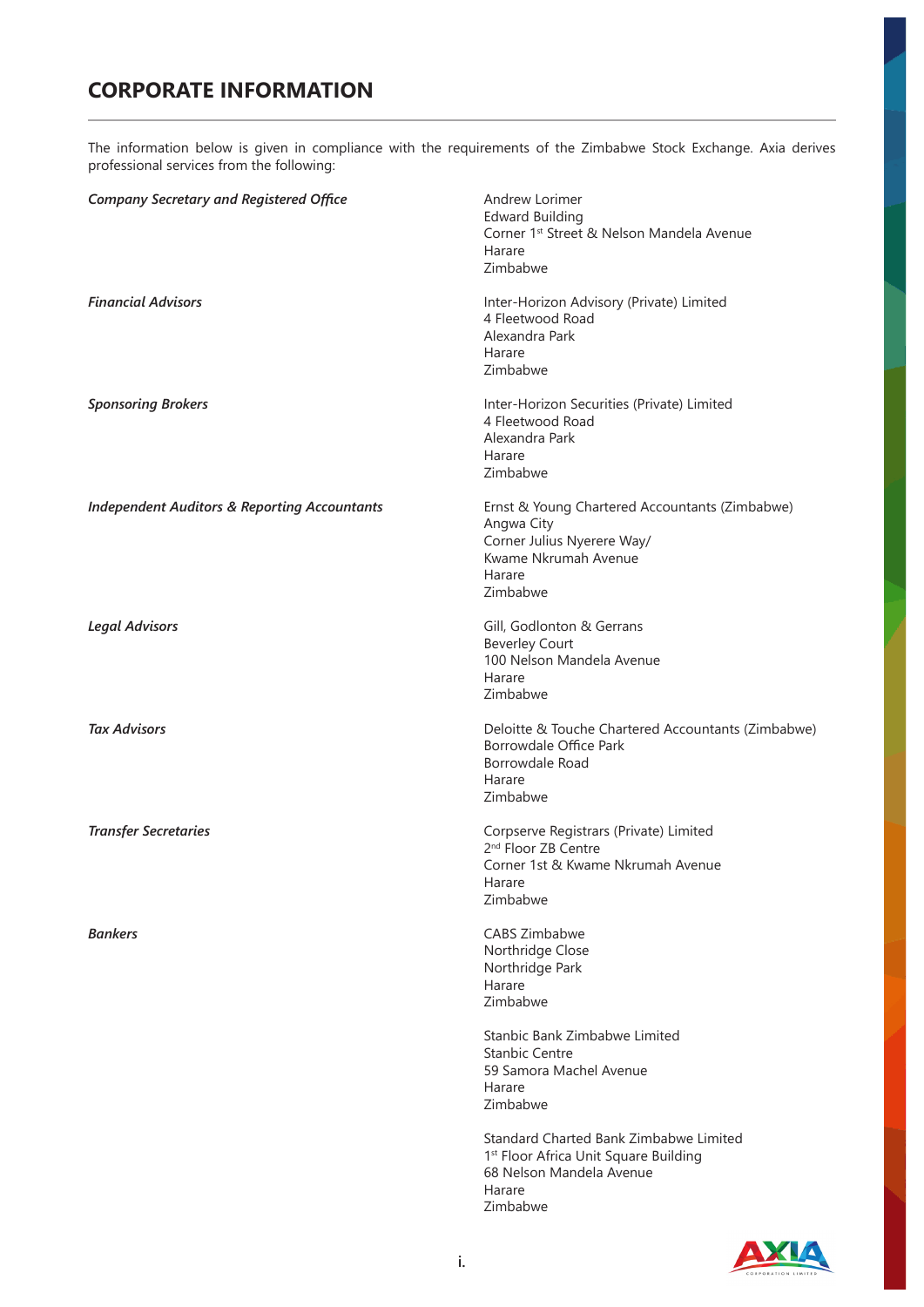# **CORPORATE INFORMATION**

The information below is given in compliance with the requirements of the Zimbabwe Stock Exchange. Axia derives professional services from the following:

| <b>Company Secretary and Registered Office</b>          | Andrew Lorimer<br><b>Edward Building</b><br>Corner 1 <sup>st</sup> Street & Nelson Mandela Avenue<br>Harare<br>Zimbabwe                  |
|---------------------------------------------------------|------------------------------------------------------------------------------------------------------------------------------------------|
| <b>Financial Advisors</b>                               | Inter-Horizon Advisory (Private) Limited<br>4 Fleetwood Road<br>Alexandra Park<br>Harare<br>Zimbabwe                                     |
| <b>Sponsoring Brokers</b>                               | Inter-Horizon Securities (Private) Limited<br>4 Fleetwood Road<br>Alexandra Park<br>Harare<br>Zimbabwe                                   |
| <b>Independent Auditors &amp; Reporting Accountants</b> | Ernst & Young Chartered Accountants (Zimbabwe)<br>Angwa City<br>Corner Julius Nyerere Way/<br>Kwame Nkrumah Avenue<br>Harare<br>Zimbabwe |
| <b>Legal Advisors</b>                                   | Gill, Godlonton & Gerrans<br><b>Beverley Court</b><br>100 Nelson Mandela Avenue<br>Harare<br>Zimbabwe                                    |
| <b>Tax Advisors</b>                                     | Deloitte & Touche Chartered Accountants (Zimbabwe)<br>Borrowdale Office Park<br>Borrowdale Road<br>Harare<br>Zimbabwe                    |
| <b>Transfer Secretaries</b>                             | Corpserve Registrars (Private) Limited<br>2 <sup>nd</sup> Floor ZB Centre<br>Corner 1st & Kwame Nkrumah Avenue<br>Harare<br>Zimbabwe     |
| Bankers                                                 | <b>CABS Zimbabwe</b><br>Northridge Close<br>Northridge Park<br>Harare<br>Zimbabwe                                                        |
|                                                         | Stanbic Bank Zimbabwe Limited<br><b>Stanbic Centre</b><br>59 Samora Machel Avenue<br>Harare<br>Zimbabwe                                  |
|                                                         | Standard Charted Bank Zimbabwe Limited<br>1st Floor Africa Unit Square Building<br>68 Nelson Mandela Avenue<br>Harare<br>Zimbabwe        |

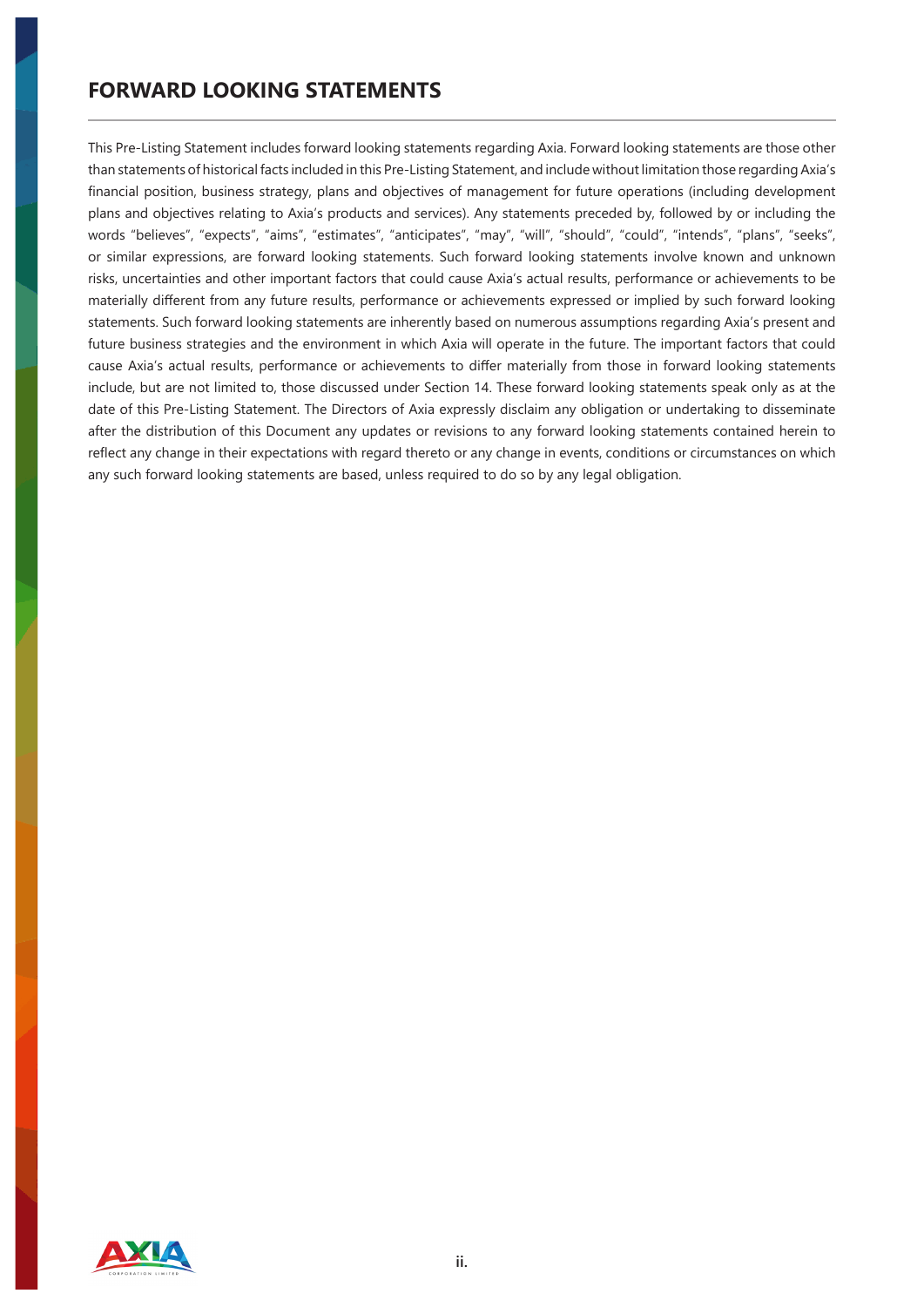This Pre-Listing Statement includes forward looking statements regarding Axia. Forward looking statements are those other than statements of historical facts included in this Pre-Listing Statement, and include without limitation those regarding Axia's financial position, business strategy, plans and objectives of management for future operations (including development plans and objectives relating to Axia's products and services). Any statements preceded by, followed by or including the words "believes", "expects", "aims", "estimates", "anticipates", "may", "will", "should", "could", "intends", "plans", "seeks", or similar expressions, are forward looking statements. Such forward looking statements involve known and unknown risks, uncertainties and other important factors that could cause Axia's actual results, performance or achievements to be materially different from any future results, performance or achievements expressed or implied by such forward looking statements. Such forward looking statements are inherently based on numerous assumptions regarding Axia's present and future business strategies and the environment in which Axia will operate in the future. The important factors that could cause Axia's actual results, performance or achievements to differ materially from those in forward looking statements include, but are not limited to, those discussed under Section 14. These forward looking statements speak only as at the date of this Pre-Listing Statement. The Directors of Axia expressly disclaim any obligation or undertaking to disseminate after the distribution of this Document any updates or revisions to any forward looking statements contained herein to reflect any change in their expectations with regard thereto or any change in events, conditions or circumstances on which any such forward looking statements are based, unless required to do so by any legal obligation.

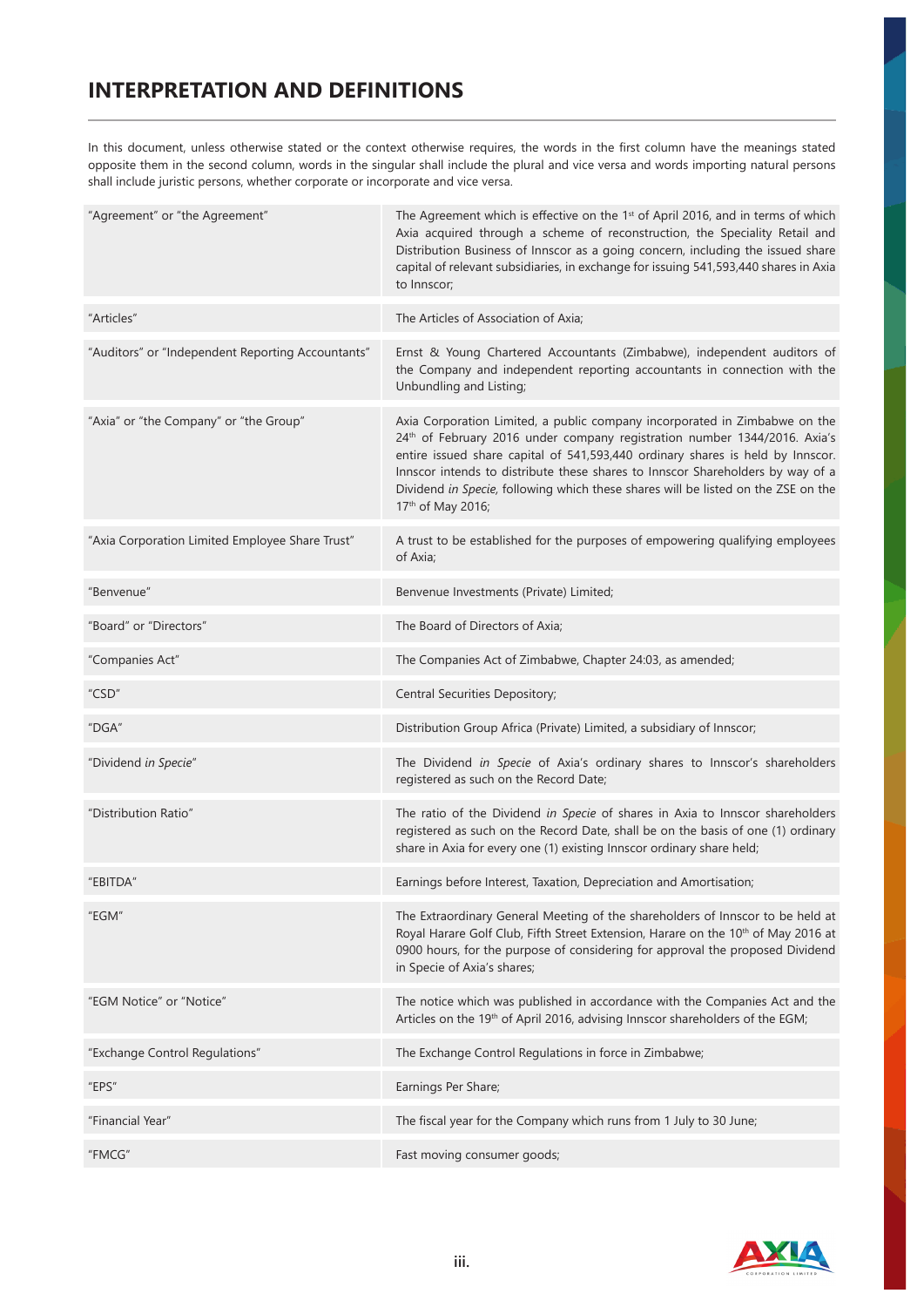# **INTERPRETATION AND DEFINITIONS**

In this document, unless otherwise stated or the context otherwise requires, the words in the first column have the meanings stated opposite them in the second column, words in the singular shall include the plural and vice versa and words importing natural persons shall include juristic persons, whether corporate or incorporate and vice versa.

| "Agreement" or "the Agreement"                    | The Agreement which is effective on the 1 <sup>st</sup> of April 2016, and in terms of which<br>Axia acquired through a scheme of reconstruction, the Speciality Retail and<br>Distribution Business of Innscor as a going concern, including the issued share<br>capital of relevant subsidiaries, in exchange for issuing 541,593,440 shares in Axia<br>to Innscor;                                                                             |
|---------------------------------------------------|---------------------------------------------------------------------------------------------------------------------------------------------------------------------------------------------------------------------------------------------------------------------------------------------------------------------------------------------------------------------------------------------------------------------------------------------------|
| "Articles"                                        | The Articles of Association of Axia;                                                                                                                                                                                                                                                                                                                                                                                                              |
| "Auditors" or "Independent Reporting Accountants" | Ernst & Young Chartered Accountants (Zimbabwe), independent auditors of<br>the Company and independent reporting accountants in connection with the<br>Unbundling and Listing;                                                                                                                                                                                                                                                                    |
| "Axia" or "the Company" or "the Group"            | Axia Corporation Limited, a public company incorporated in Zimbabwe on the<br>24 <sup>th</sup> of February 2016 under company registration number 1344/2016. Axia's<br>entire issued share capital of 541,593,440 ordinary shares is held by Innscor.<br>Innscor intends to distribute these shares to Innscor Shareholders by way of a<br>Dividend in Specie, following which these shares will be listed on the ZSE on the<br>17th of May 2016; |
| "Axia Corporation Limited Employee Share Trust"   | A trust to be established for the purposes of empowering qualifying employees<br>of Axia;                                                                                                                                                                                                                                                                                                                                                         |
| "Benvenue"                                        | Benvenue Investments (Private) Limited;                                                                                                                                                                                                                                                                                                                                                                                                           |
| "Board" or "Directors"                            | The Board of Directors of Axia;                                                                                                                                                                                                                                                                                                                                                                                                                   |
| "Companies Act"                                   | The Companies Act of Zimbabwe, Chapter 24:03, as amended;                                                                                                                                                                                                                                                                                                                                                                                         |
| "CSD"                                             | Central Securities Depository;                                                                                                                                                                                                                                                                                                                                                                                                                    |
| "DGA"                                             | Distribution Group Africa (Private) Limited, a subsidiary of Innscor;                                                                                                                                                                                                                                                                                                                                                                             |
| "Dividend in Specie"                              | The Dividend in Specie of Axia's ordinary shares to Innscor's shareholders<br>registered as such on the Record Date;                                                                                                                                                                                                                                                                                                                              |
| "Distribution Ratio"                              | The ratio of the Dividend in Specie of shares in Axia to Innscor shareholders<br>registered as such on the Record Date, shall be on the basis of one (1) ordinary<br>share in Axia for every one (1) existing Innscor ordinary share held;                                                                                                                                                                                                        |
| "EBITDA"                                          | Earnings before Interest, Taxation, Depreciation and Amortisation;                                                                                                                                                                                                                                                                                                                                                                                |
| "EGM"                                             | The Extraordinary General Meeting of the shareholders of Innscor to be held at<br>Royal Harare Golf Club, Fifth Street Extension, Harare on the 10 <sup>th</sup> of May 2016 at<br>0900 hours, for the purpose of considering for approval the proposed Dividend<br>in Specie of Axia's shares;                                                                                                                                                   |
| "EGM Notice" or "Notice"                          | The notice which was published in accordance with the Companies Act and the<br>Articles on the 19th of April 2016, advising Innscor shareholders of the EGM;                                                                                                                                                                                                                                                                                      |
| "Exchange Control Regulations"                    | The Exchange Control Regulations in force in Zimbabwe;                                                                                                                                                                                                                                                                                                                                                                                            |
| "EPS"                                             | Earnings Per Share;                                                                                                                                                                                                                                                                                                                                                                                                                               |
| "Financial Year"                                  | The fiscal year for the Company which runs from 1 July to 30 June;                                                                                                                                                                                                                                                                                                                                                                                |
| "FMCG"                                            | Fast moving consumer goods;                                                                                                                                                                                                                                                                                                                                                                                                                       |

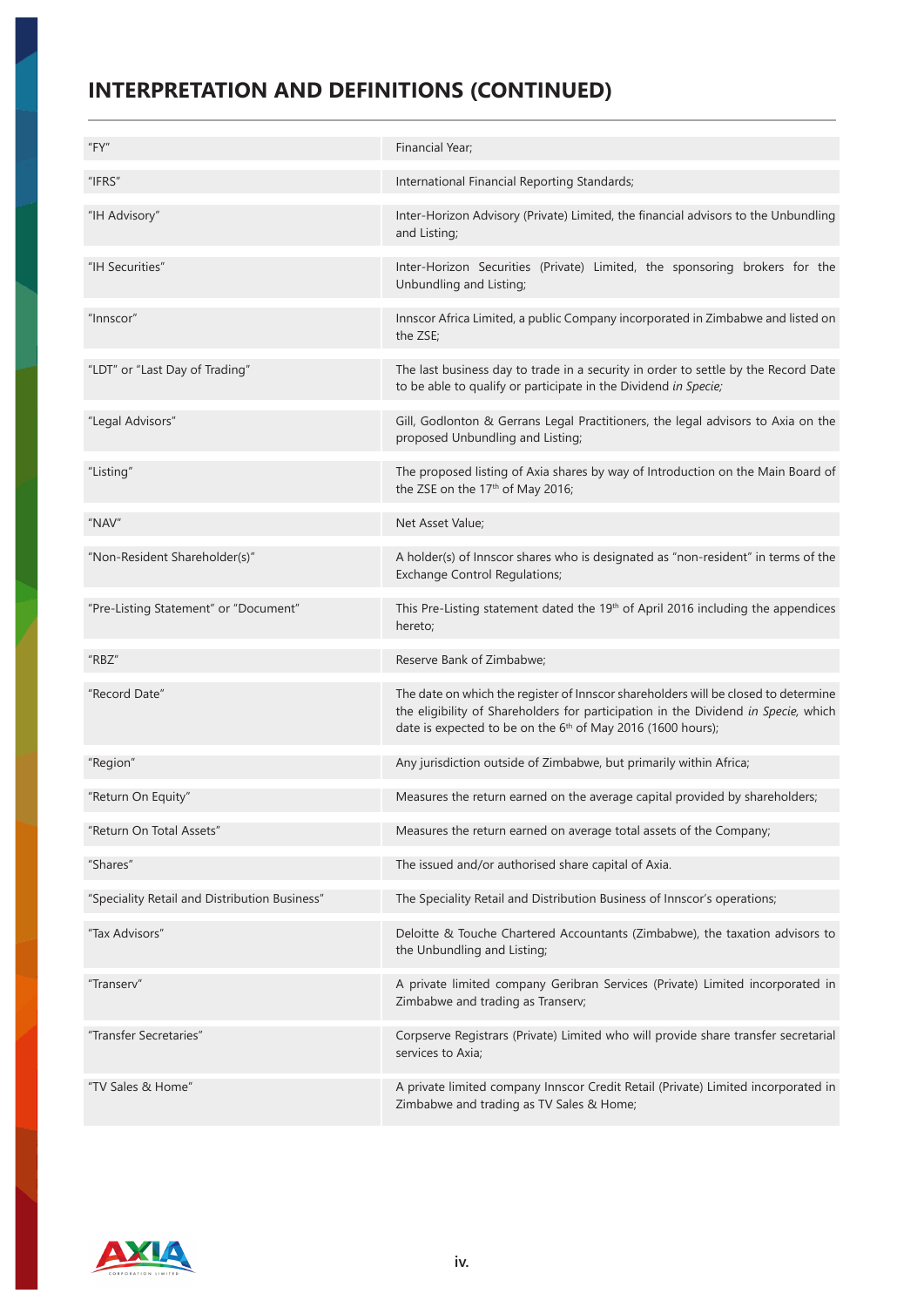# **INTERPRETATION AND DEFINITIONS (CONTINUED)**

| "FY"                                          | Financial Year;                                                                                                                                                                                                                                     |
|-----------------------------------------------|-----------------------------------------------------------------------------------------------------------------------------------------------------------------------------------------------------------------------------------------------------|
| "IFRS"                                        | International Financial Reporting Standards;                                                                                                                                                                                                        |
| "IH Advisory"                                 | Inter-Horizon Advisory (Private) Limited, the financial advisors to the Unbundling<br>and Listing;                                                                                                                                                  |
| "IH Securities"                               | Inter-Horizon Securities (Private) Limited, the sponsoring brokers for the<br>Unbundling and Listing;                                                                                                                                               |
| "Innscor"                                     | Innscor Africa Limited, a public Company incorporated in Zimbabwe and listed on<br>the ZSE;                                                                                                                                                         |
| "LDT" or "Last Day of Trading"                | The last business day to trade in a security in order to settle by the Record Date<br>to be able to qualify or participate in the Dividend in Specie;                                                                                               |
| "Legal Advisors"                              | Gill, Godlonton & Gerrans Legal Practitioners, the legal advisors to Axia on the<br>proposed Unbundling and Listing;                                                                                                                                |
| "Listing"                                     | The proposed listing of Axia shares by way of Introduction on the Main Board of<br>the ZSE on the 17th of May 2016;                                                                                                                                 |
| "NAV"                                         | Net Asset Value;                                                                                                                                                                                                                                    |
| "Non-Resident Shareholder(s)"                 | A holder(s) of Innscor shares who is designated as "non-resident" in terms of the<br><b>Exchange Control Regulations;</b>                                                                                                                           |
| "Pre-Listing Statement" or "Document"         | This Pre-Listing statement dated the 19th of April 2016 including the appendices<br>hereto;                                                                                                                                                         |
| "RBZ"                                         | Reserve Bank of Zimbabwe;                                                                                                                                                                                                                           |
| "Record Date"                                 | The date on which the register of Innscor shareholders will be closed to determine<br>the eligibility of Shareholders for participation in the Dividend in Specie, which<br>date is expected to be on the 6 <sup>th</sup> of May 2016 (1600 hours); |
| "Region"                                      | Any jurisdiction outside of Zimbabwe, but primarily within Africa;                                                                                                                                                                                  |
| "Return On Equity"                            | Measures the return earned on the average capital provided by shareholders;                                                                                                                                                                         |
| "Return On Total Assets"                      | Measures the return earned on average total assets of the Company;                                                                                                                                                                                  |
| "Shares"                                      | The issued and/or authorised share capital of Axia.                                                                                                                                                                                                 |
| "Speciality Retail and Distribution Business" | The Speciality Retail and Distribution Business of Innscor's operations;                                                                                                                                                                            |
| "Tax Advisors"                                | Deloitte & Touche Chartered Accountants (Zimbabwe), the taxation advisors to<br>the Unbundling and Listing;                                                                                                                                         |
| "Transerv"                                    | A private limited company Geribran Services (Private) Limited incorporated in<br>Zimbabwe and trading as Transerv;                                                                                                                                  |
| "Transfer Secretaries"                        | Corpserve Registrars (Private) Limited who will provide share transfer secretarial<br>services to Axia;                                                                                                                                             |
| "TV Sales & Home"                             |                                                                                                                                                                                                                                                     |

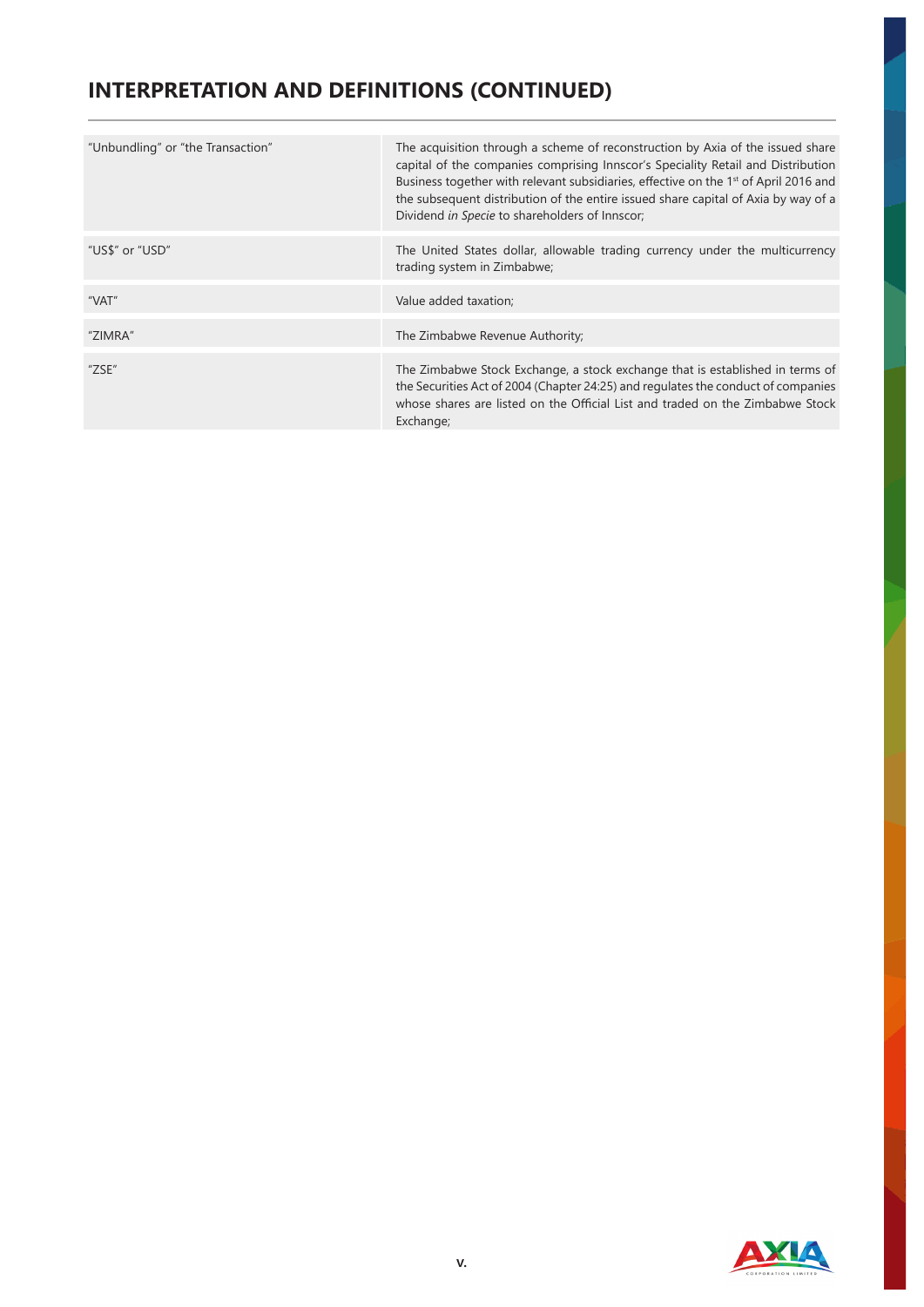# **INTERPRETATION AND DEFINITIONS (CONTINUED)**

| "Unbundling" or "the Transaction" | The acquisition through a scheme of reconstruction by Axia of the issued share<br>capital of the companies comprising Innscor's Speciality Retail and Distribution<br>Business together with relevant subsidiaries, effective on the 1 <sup>st</sup> of April 2016 and<br>the subsequent distribution of the entire issued share capital of Axia by way of a<br>Dividend in Specie to shareholders of Innscor; |
|-----------------------------------|----------------------------------------------------------------------------------------------------------------------------------------------------------------------------------------------------------------------------------------------------------------------------------------------------------------------------------------------------------------------------------------------------------------|
| "US\$" or "USD"                   | The United States dollar, allowable trading currency under the multicurrency<br>trading system in Zimbabwe;                                                                                                                                                                                                                                                                                                    |
| "VAT"                             | Value added taxation;                                                                                                                                                                                                                                                                                                                                                                                          |
| "ZIMRA"                           | The Zimbabwe Revenue Authority;                                                                                                                                                                                                                                                                                                                                                                                |
| "ZSE"                             | The Zimbabwe Stock Exchange, a stock exchange that is established in terms of<br>the Securities Act of 2004 (Chapter 24:25) and regulates the conduct of companies<br>whose shares are listed on the Official List and traded on the Zimbabwe Stock<br>Exchange;                                                                                                                                               |

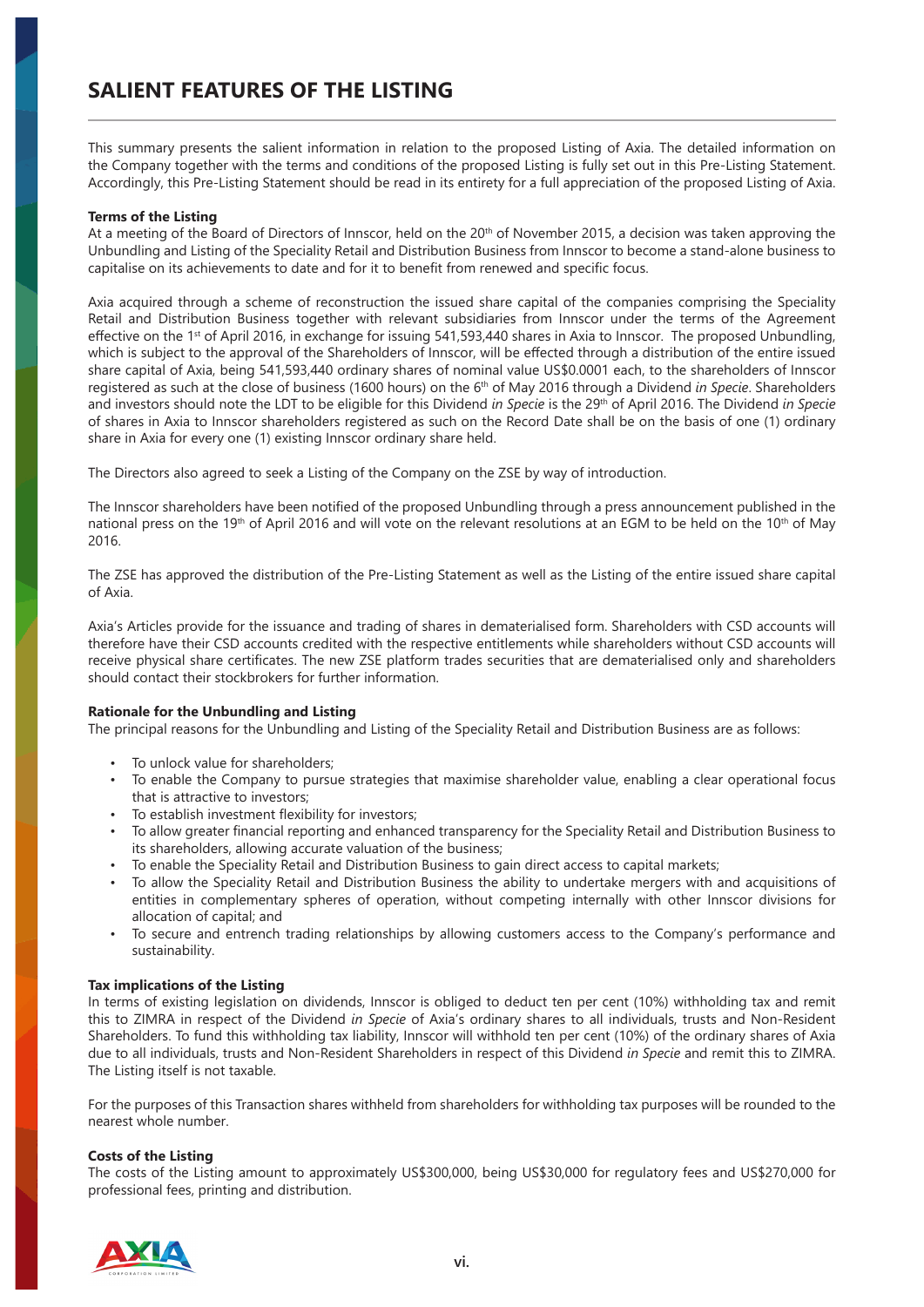This summary presents the salient information in relation to the proposed Listing of Axia. The detailed information on the Company together with the terms and conditions of the proposed Listing is fully set out in this Pre-Listing Statement. Accordingly, this Pre-Listing Statement should be read in its entirety for a full appreciation of the proposed Listing of Axia.

#### **Terms of the Listing**

At a meeting of the Board of Directors of Innscor, held on the 20<sup>th</sup> of November 2015, a decision was taken approving the Unbundling and Listing of the Speciality Retail and Distribution Business from Innscor to become a stand-alone business to capitalise on its achievements to date and for it to benefit from renewed and specific focus.

Axia acquired through a scheme of reconstruction the issued share capital of the companies comprising the Speciality Retail and Distribution Business together with relevant subsidiaries from Innscor under the terms of the Agreement effective on the 1<sup>st</sup> of April 2016, in exchange for issuing 541,593,440 shares in Axia to Innscor. The proposed Unbundling, which is subject to the approval of the Shareholders of Innscor, will be effected through a distribution of the entire issued share capital of Axia, being 541,593,440 ordinary shares of nominal value US\$0.0001 each, to the shareholders of Innscor registered as such at the close of business (1600 hours) on the 6th of May 2016 through a Dividend *in Specie*. Shareholders and investors should note the LDT to be eligible for this Dividend *in Specie* is the 29th of April 2016. The Dividend *in Specie* of shares in Axia to Innscor shareholders registered as such on the Record Date shall be on the basis of one (1) ordinary share in Axia for every one (1) existing Innscor ordinary share held.

The Directors also agreed to seek a Listing of the Company on the ZSE by way of introduction.

The Innscor shareholders have been notified of the proposed Unbundling through a press announcement published in the national press on the 19<sup>th</sup> of April 2016 and will vote on the relevant resolutions at an EGM to be held on the 10<sup>th</sup> of May 2016.

The ZSE has approved the distribution of the Pre-Listing Statement as well as the Listing of the entire issued share capital of Axia.

Axia's Articles provide for the issuance and trading of shares in dematerialised form. Shareholders with CSD accounts will therefore have their CSD accounts credited with the respective entitlements while shareholders without CSD accounts will receive physical share certificates. The new ZSE platform trades securities that are dematerialised only and shareholders should contact their stockbrokers for further information.

#### **Rationale for the Unbundling and Listing**

The principal reasons for the Unbundling and Listing of the Speciality Retail and Distribution Business are as follows:

- To unlock value for shareholders:
- To enable the Company to pursue strategies that maximise shareholder value, enabling a clear operational focus that is attractive to investors;
- To establish investment flexibility for investors;
- To allow greater financial reporting and enhanced transparency for the Speciality Retail and Distribution Business to its shareholders, allowing accurate valuation of the business;
- To enable the Speciality Retail and Distribution Business to gain direct access to capital markets;
- To allow the Speciality Retail and Distribution Business the ability to undertake mergers with and acquisitions of entities in complementary spheres of operation, without competing internally with other Innscor divisions for allocation of capital; and
- To secure and entrench trading relationships by allowing customers access to the Company's performance and sustainability.

#### **Tax implications of the Listing**

In terms of existing legislation on dividends, Innscor is obliged to deduct ten per cent (10%) withholding tax and remit this to ZIMRA in respect of the Dividend *in Specie* of Axia's ordinary shares to all individuals, trusts and Non-Resident Shareholders. To fund this withholding tax liability, Innscor will withhold ten per cent (10%) of the ordinary shares of Axia due to all individuals, trusts and Non-Resident Shareholders in respect of this Dividend *in Specie* and remit this to ZIMRA. The Listing itself is not taxable.

For the purposes of this Transaction shares withheld from shareholders for withholding tax purposes will be rounded to the nearest whole number.

#### **Costs of the Listing**

The costs of the Listing amount to approximately US\$300,000, being US\$30,000 for regulatory fees and US\$270,000 for professional fees, printing and distribution.

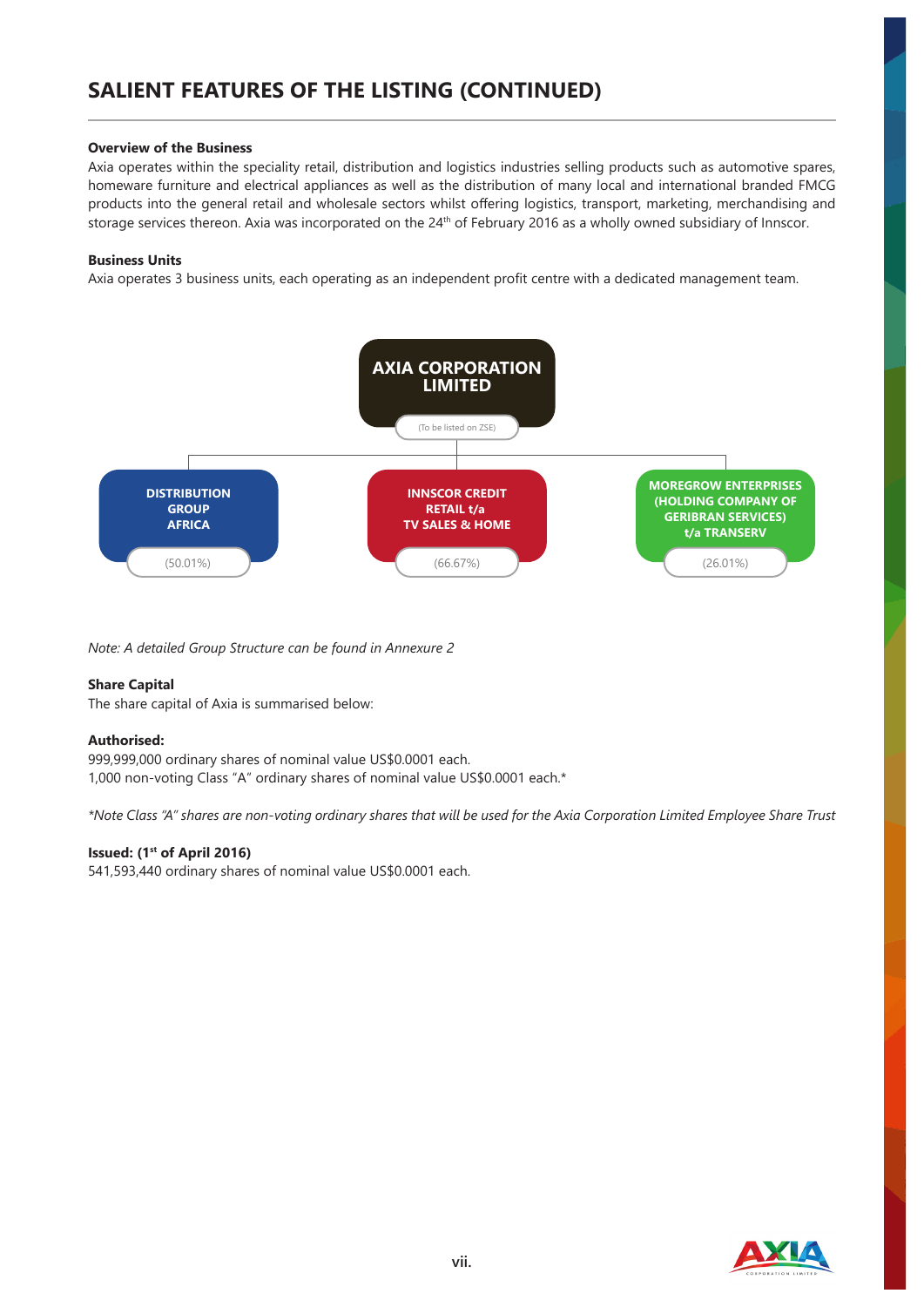# **SALIENT FEATURES OF THE LISTING (CONTINUED)**

#### **Overview of the Business**

Axia operates within the speciality retail, distribution and logistics industries selling products such as automotive spares, homeware furniture and electrical appliances as well as the distribution of many local and international branded FMCG products into the general retail and wholesale sectors whilst offering logistics, transport, marketing, merchandising and storage services thereon. Axia was incorporated on the 24<sup>th</sup> of February 2016 as a wholly owned subsidiary of Innscor.

#### **Business Units**

Axia operates 3 business units, each operating as an independent profit centre with a dedicated management team.



*Note: A detailed Group Structure can be found in Annexure 2*

#### **Share Capital**

The share capital of Axia is summarised below:

#### **Authorised:**

999,999,000 ordinary shares of nominal value US\$0.0001 each. 1,000 non-voting Class "A" ordinary shares of nominal value US\$0.0001 each.\*

*\*Note Class "A" shares are non-voting ordinary shares that will be used for the Axia Corporation Limited Employee Share Trust*

#### **Issued: (1st of April 2016)**

541,593,440 ordinary shares of nominal value US\$0.0001 each.

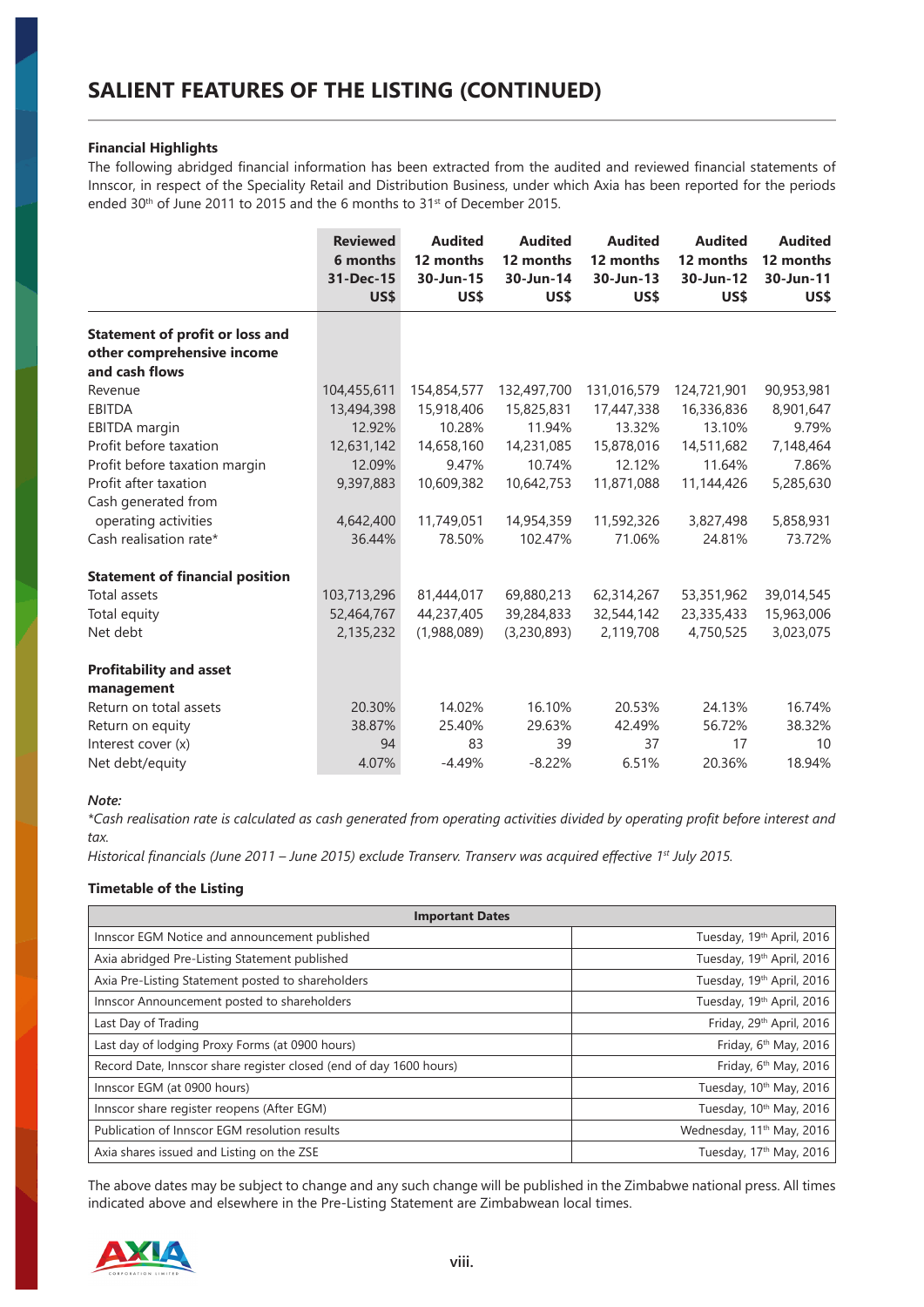#### **Financial Highlights**

The following abridged financial information has been extracted from the audited and reviewed financial statements of Innscor, in respect of the Speciality Retail and Distribution Business, under which Axia has been reported for the periods ended 30<sup>th</sup> of June 2011 to 2015 and the 6 months to 31<sup>st</sup> of December 2015.

|                                        | <b>Reviewed</b><br>6 months<br>31-Dec-15<br>US\$ | <b>Audited</b><br>12 months<br>30-Jun-15<br>US\$ | <b>Audited</b><br>12 months<br>30-Jun-14<br>US\$ | <b>Audited</b><br>12 months<br>30-Jun-13<br>US\$ | <b>Audited</b><br>12 months<br>30-Jun-12<br>US\$ | <b>Audited</b><br>12 months<br>30-Jun-11<br>US\$ |
|----------------------------------------|--------------------------------------------------|--------------------------------------------------|--------------------------------------------------|--------------------------------------------------|--------------------------------------------------|--------------------------------------------------|
| <b>Statement of profit or loss and</b> |                                                  |                                                  |                                                  |                                                  |                                                  |                                                  |
| other comprehensive income             |                                                  |                                                  |                                                  |                                                  |                                                  |                                                  |
| and cash flows                         |                                                  |                                                  |                                                  |                                                  |                                                  |                                                  |
| Revenue                                | 104,455,611                                      | 154,854,577                                      | 132,497,700                                      | 131,016,579                                      | 124,721,901                                      | 90,953,981                                       |
| <b>EBITDA</b>                          | 13,494,398                                       | 15,918,406                                       | 15,825,831                                       | 17,447,338                                       | 16,336,836                                       | 8,901,647                                        |
| <b>EBITDA</b> margin                   | 12.92%                                           | 10.28%                                           | 11.94%                                           | 13.32%                                           | 13.10%                                           | 9.79%                                            |
| Profit before taxation                 | 12,631,142                                       | 14,658,160                                       | 14,231,085                                       | 15,878,016                                       | 14,511,682                                       | 7,148,464                                        |
| Profit before taxation margin          | 12.09%                                           | 9.47%                                            | 10.74%                                           | 12.12%                                           | 11.64%                                           | 7.86%                                            |
| Profit after taxation                  | 9,397,883                                        | 10,609,382                                       | 10,642,753                                       | 11,871,088                                       | 11,144,426                                       | 5,285,630                                        |
| Cash generated from                    |                                                  |                                                  |                                                  |                                                  |                                                  |                                                  |
| operating activities                   | 4,642,400                                        | 11,749,051                                       | 14,954,359                                       | 11,592,326                                       | 3,827,498                                        | 5,858,931                                        |
| Cash realisation rate*                 | 36.44%                                           | 78.50%                                           | 102.47%                                          | 71.06%                                           | 24.81%                                           | 73.72%                                           |
| <b>Statement of financial position</b> |                                                  |                                                  |                                                  |                                                  |                                                  |                                                  |
| Total assets                           | 103,713,296                                      | 81,444,017                                       | 69,880,213                                       | 62,314,267                                       | 53,351,962                                       | 39,014,545                                       |
| Total equity                           | 52,464,767                                       | 44,237,405                                       | 39,284,833                                       | 32,544,142                                       | 23,335,433                                       | 15,963,006                                       |
| Net debt                               | 2,135,232                                        | (1,988,089)                                      | (3,230,893)                                      | 2,119,708                                        | 4,750,525                                        | 3,023,075                                        |
| <b>Profitability and asset</b>         |                                                  |                                                  |                                                  |                                                  |                                                  |                                                  |
| management                             |                                                  |                                                  |                                                  |                                                  |                                                  |                                                  |
| Return on total assets                 | 20.30%                                           | 14.02%                                           | 16.10%                                           | 20.53%                                           | 24.13%                                           | 16.74%                                           |
| Return on equity                       | 38.87%                                           | 25.40%                                           | 29.63%                                           | 42.49%                                           | 56.72%                                           | 38.32%                                           |
| Interest cover (x)                     | 94                                               | 83                                               | 39                                               | 37                                               | 17                                               | 10                                               |
| Net debt/equity                        | 4.07%                                            | $-4.49%$                                         | $-8.22%$                                         | 6.51%                                            | 20.36%                                           | 18.94%                                           |

#### *Note:*

*\*Cash realisation rate is calculated as cash generated from operating activities divided by operating profit before interest and tax.* 

*Historical financials (June 2011 – June 2015) exclude Transerv. Transerv was acquired effective 1st July 2015.*

#### **Timetable of the Listing**

| <b>Important Dates</b>                                             |                                       |  |  |
|--------------------------------------------------------------------|---------------------------------------|--|--|
| Innscor EGM Notice and announcement published                      | Tuesday, 19 <sup>th</sup> April, 2016 |  |  |
| Axia abridged Pre-Listing Statement published                      | Tuesday, 19 <sup>th</sup> April, 2016 |  |  |
| Axia Pre-Listing Statement posted to shareholders                  | Tuesday, 19 <sup>th</sup> April, 2016 |  |  |
| Innscor Announcement posted to shareholders                        | Tuesday, 19 <sup>th</sup> April, 2016 |  |  |
| Last Day of Trading                                                | Friday, 29th April, 2016              |  |  |
| Last day of lodging Proxy Forms (at 0900 hours)                    | Friday, 6th May, 2016                 |  |  |
| Record Date, Innscor share register closed (end of day 1600 hours) | Friday, 6th May, 2016                 |  |  |
| Innscor EGM (at 0900 hours)                                        | Tuesday, 10th May, 2016               |  |  |
| Innscor share register reopens (After EGM)                         | Tuesday, 10 <sup>th</sup> May, 2016   |  |  |
| Publication of Innscor EGM resolution results                      | Wednesday, 11 <sup>th</sup> May, 2016 |  |  |
| Axia shares issued and Listing on the ZSE                          | Tuesday, 17 <sup>th</sup> May, 2016   |  |  |

The above dates may be subject to change and any such change will be published in the Zimbabwe national press. All times indicated above and elsewhere in the Pre-Listing Statement are Zimbabwean local times.

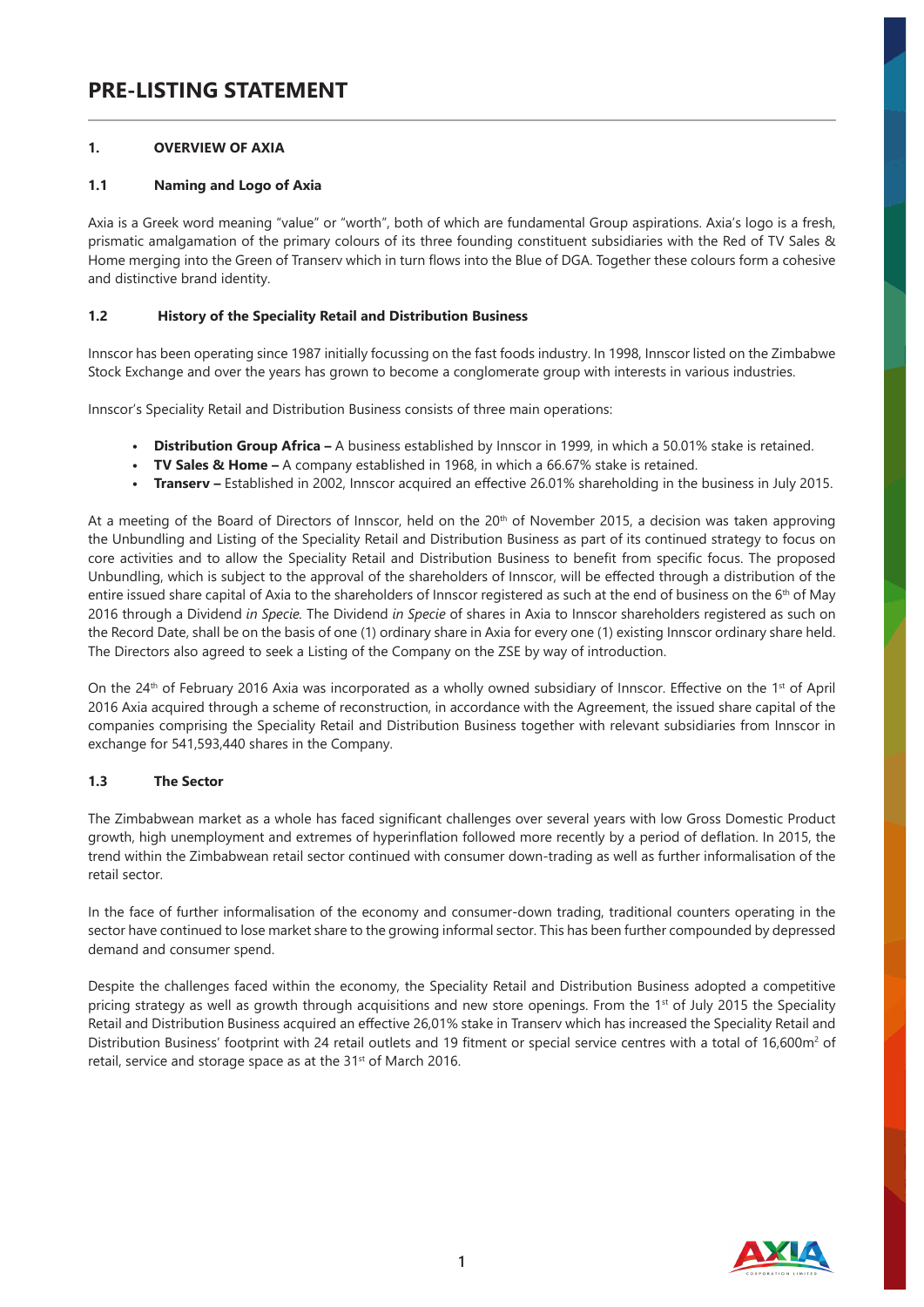# **PRE-LISTING STATEMENT**

# **1. OVERVIEW OF AXIA**

# **1.1 Naming and Logo of Axia**

Axia is a Greek word meaning "value" or "worth", both of which are fundamental Group aspirations. Axia's logo is a fresh, prismatic amalgamation of the primary colours of its three founding constituent subsidiaries with the Red of TV Sales & Home merging into the Green of Transerv which in turn flows into the Blue of DGA. Together these colours form a cohesive and distinctive brand identity.

# **1.2 History of the Speciality Retail and Distribution Business**

Innscor has been operating since 1987 initially focussing on the fast foods industry. In 1998, Innscor listed on the Zimbabwe Stock Exchange and over the years has grown to become a conglomerate group with interests in various industries.

Innscor's Speciality Retail and Distribution Business consists of three main operations:

- **• Distribution Group Africa –** A business established by Innscor in 1999, in which a 50.01% stake is retained.
- **• TV Sales & Home –** A company established in 1968, in which a 66.67% stake is retained.
- **• Transerv –** Established in 2002, Innscor acquired an effective 26.01% shareholding in the business in July 2015.

At a meeting of the Board of Directors of Innscor, held on the 20<sup>th</sup> of November 2015, a decision was taken approving the Unbundling and Listing of the Speciality Retail and Distribution Business as part of its continued strategy to focus on core activities and to allow the Speciality Retail and Distribution Business to benefit from specific focus. The proposed Unbundling, which is subject to the approval of the shareholders of Innscor, will be effected through a distribution of the entire issued share capital of Axia to the shareholders of Innscor registered as such at the end of business on the 6<sup>th</sup> of May 2016 through a Dividend *in Specie.* The Dividend *in Specie* of shares in Axia to Innscor shareholders registered as such on the Record Date, shall be on the basis of one (1) ordinary share in Axia for every one (1) existing Innscor ordinary share held. The Directors also agreed to seek a Listing of the Company on the ZSE by way of introduction.

On the 24th of February 2016 Axia was incorporated as a wholly owned subsidiary of Innscor. Effective on the 1st of April 2016 Axia acquired through a scheme of reconstruction, in accordance with the Agreement, the issued share capital of the companies comprising the Speciality Retail and Distribution Business together with relevant subsidiaries from Innscor in exchange for 541,593,440 shares in the Company.

#### **1.3 The Sector**

The Zimbabwean market as a whole has faced significant challenges over several years with low Gross Domestic Product growth, high unemployment and extremes of hyperinflation followed more recently by a period of deflation. In 2015, the trend within the Zimbabwean retail sector continued with consumer down-trading as well as further informalisation of the retail sector.

In the face of further informalisation of the economy and consumer-down trading, traditional counters operating in the sector have continued to lose market share to the growing informal sector. This has been further compounded by depressed demand and consumer spend.

Despite the challenges faced within the economy, the Speciality Retail and Distribution Business adopted a competitive pricing strategy as well as growth through acquisitions and new store openings. From the 1<sup>st</sup> of July 2015 the Speciality Retail and Distribution Business acquired an effective 26,01% stake in Transerv which has increased the Speciality Retail and Distribution Business' footprint with 24 retail outlets and 19 fitment or special service centres with a total of 16,600m<sup>2</sup> of retail, service and storage space as at the 31<sup>st</sup> of March 2016.

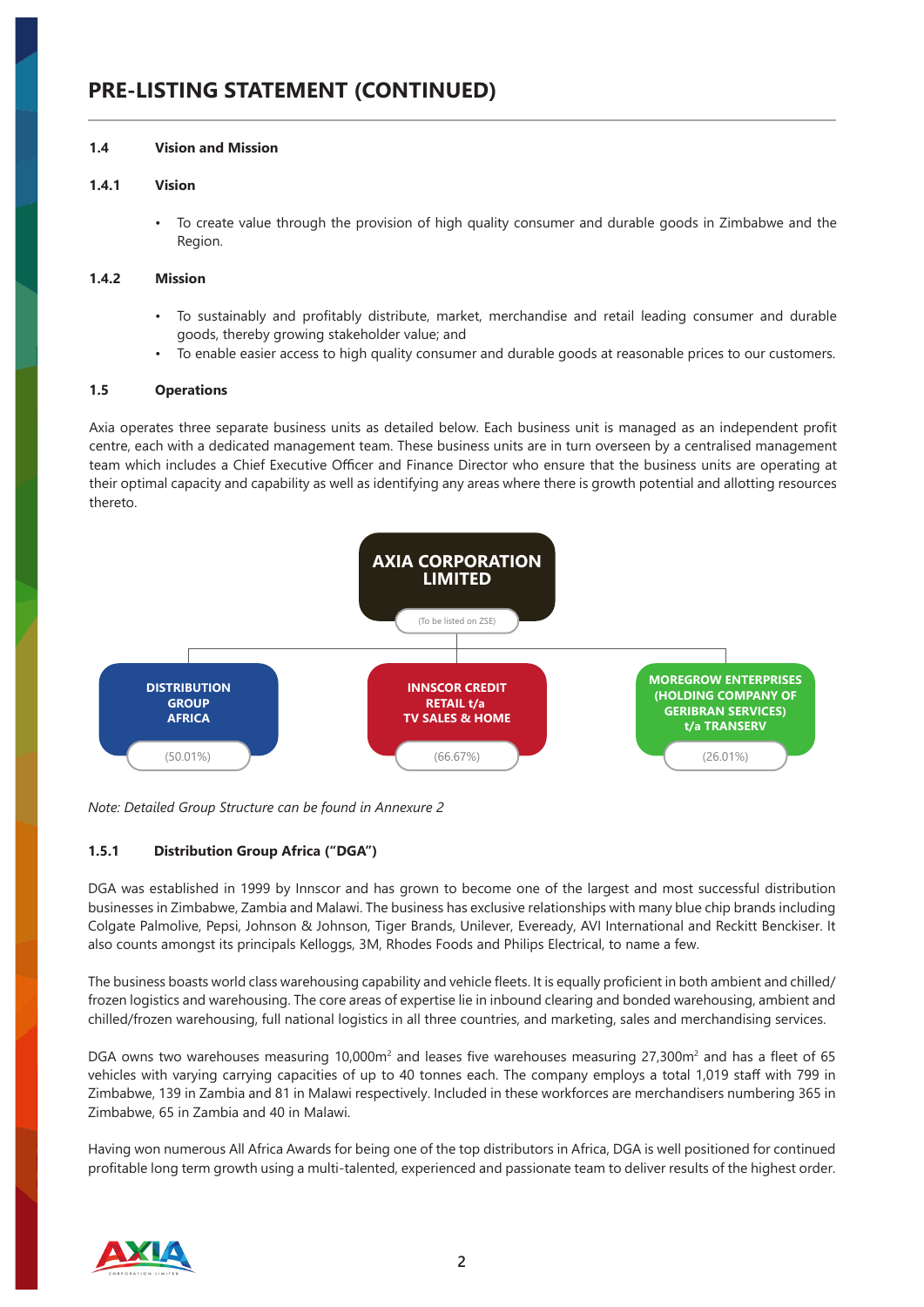# **PRE-LISTING STATEMENT (CONTINUED)**

### **1.4 Vision and Mission**

#### **1.4.1 Vision**

• To create value through the provision of high quality consumer and durable goods in Zimbabwe and the Region.

### **1.4.2 Mission**

- To sustainably and profitably distribute, market, merchandise and retail leading consumer and durable goods, thereby growing stakeholder value; and
- To enable easier access to high quality consumer and durable goods at reasonable prices to our customers.

# **1.5 Operations**

Axia operates three separate business units as detailed below. Each business unit is managed as an independent profit centre, each with a dedicated management team. These business units are in turn overseen by a centralised management team which includes a Chief Executive Officer and Finance Director who ensure that the business units are operating at their optimal capacity and capability as well as identifying any areas where there is growth potential and allotting resources thereto.



*Note: Detailed Group Structure can be found in Annexure 2*

# **1.5.1 Distribution Group Africa ("DGA")**

DGA was established in 1999 by Innscor and has grown to become one of the largest and most successful distribution businesses in Zimbabwe, Zambia and Malawi. The business has exclusive relationships with many blue chip brands including Colgate Palmolive, Pepsi, Johnson & Johnson, Tiger Brands, Unilever, Eveready, AVI International and Reckitt Benckiser. It also counts amongst its principals Kelloggs, 3M, Rhodes Foods and Philips Electrical, to name a few.

The business boasts world class warehousing capability and vehicle fleets. It is equally proficient in both ambient and chilled/ frozen logistics and warehousing. The core areas of expertise lie in inbound clearing and bonded warehousing, ambient and chilled/frozen warehousing, full national logistics in all three countries, and marketing, sales and merchandising services.

DGA owns two warehouses measuring 10,000m<sup>2</sup> and leases five warehouses measuring 27,300m<sup>2</sup> and has a fleet of 65 vehicles with varying carrying capacities of up to 40 tonnes each. The company employs a total 1,019 staff with 799 in Zimbabwe, 139 in Zambia and 81 in Malawi respectively. Included in these workforces are merchandisers numbering 365 in Zimbabwe, 65 in Zambia and 40 in Malawi.

Having won numerous All Africa Awards for being one of the top distributors in Africa, DGA is well positioned for continued profitable long term growth using a multi-talented, experienced and passionate team to deliver results of the highest order.

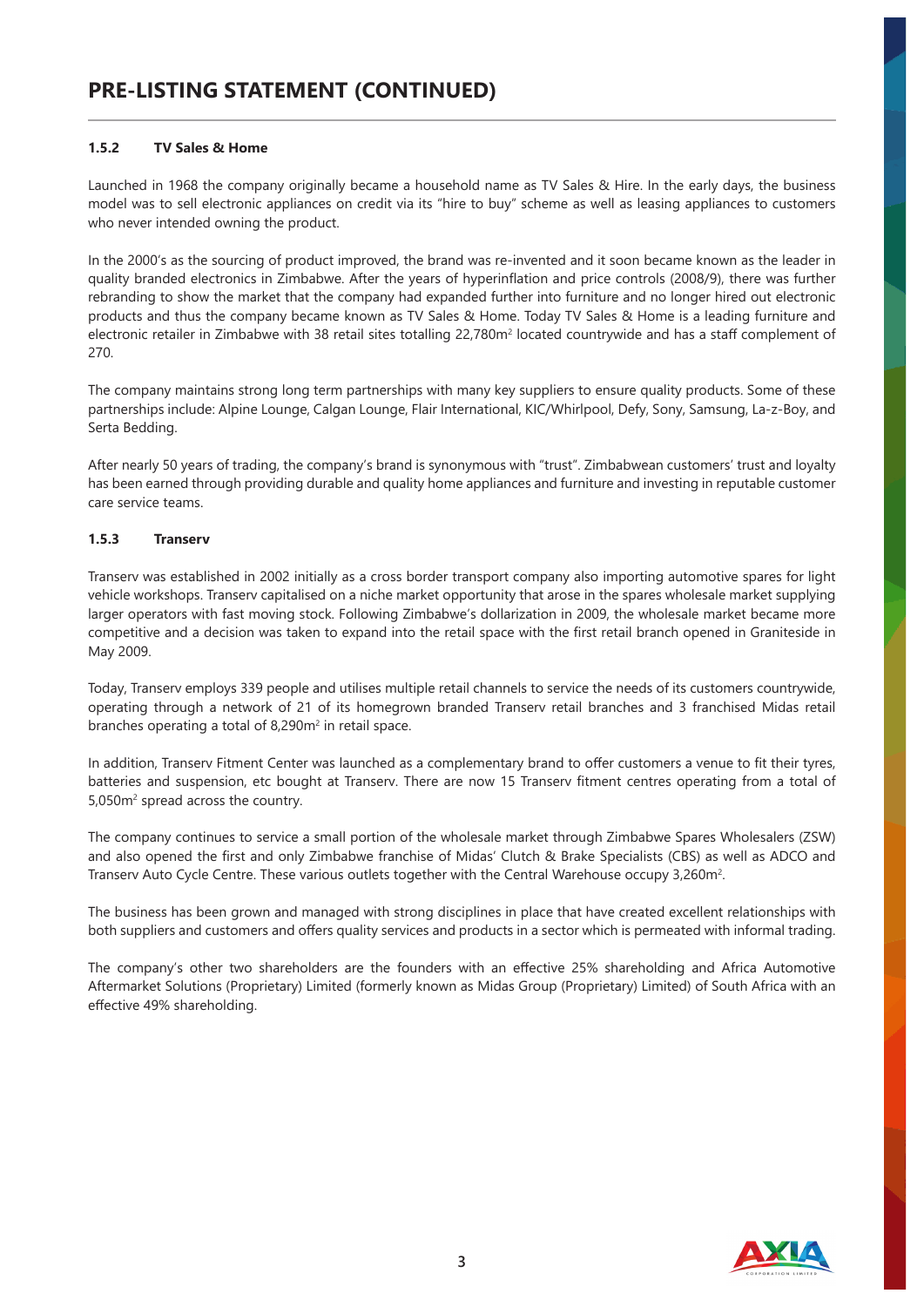# **1.5.2 TV Sales & Home**

Launched in 1968 the company originally became a household name as TV Sales & Hire. In the early days, the business model was to sell electronic appliances on credit via its "hire to buy" scheme as well as leasing appliances to customers who never intended owning the product.

In the 2000's as the sourcing of product improved, the brand was re-invented and it soon became known as the leader in quality branded electronics in Zimbabwe. After the years of hyperinflation and price controls (2008/9), there was further rebranding to show the market that the company had expanded further into furniture and no longer hired out electronic products and thus the company became known as TV Sales & Home. Today TV Sales & Home is a leading furniture and electronic retailer in Zimbabwe with 38 retail sites totalling 22,780m² located countrywide and has a staff complement of 270.

The company maintains strong long term partnerships with many key suppliers to ensure quality products. Some of these partnerships include: Alpine Lounge, Calgan Lounge, Flair International, KIC/Whirlpool, Defy, Sony, Samsung, La-z-Boy, and Serta Bedding.

After nearly 50 years of trading, the company's brand is synonymous with "trust". Zimbabwean customers' trust and loyalty has been earned through providing durable and quality home appliances and furniture and investing in reputable customer care service teams.

# **1.5.3 Transerv**

Transerv was established in 2002 initially as a cross border transport company also importing automotive spares for light vehicle workshops. Transerv capitalised on a niche market opportunity that arose in the spares wholesale market supplying larger operators with fast moving stock. Following Zimbabwe's dollarization in 2009, the wholesale market became more competitive and a decision was taken to expand into the retail space with the first retail branch opened in Graniteside in May 2009.

Today, Transerv employs 339 people and utilises multiple retail channels to service the needs of its customers countrywide, operating through a network of 21 of its homegrown branded Transerv retail branches and 3 franchised Midas retail branches operating a total of 8,290m<sup>2</sup> in retail space.

In addition, Transerv Fitment Center was launched as a complementary brand to offer customers a venue to fit their tyres, batteries and suspension, etc bought at Transerv. There are now 15 Transerv fitment centres operating from a total of 5,050m<sup>2</sup> spread across the country.

The company continues to service a small portion of the wholesale market through Zimbabwe Spares Wholesalers (ZSW) and also opened the first and only Zimbabwe franchise of Midas' Clutch & Brake Specialists (CBS) as well as ADCO and Transerv Auto Cycle Centre. These various outlets together with the Central Warehouse occupy 3,260m<sup>2</sup>.

The business has been grown and managed with strong disciplines in place that have created excellent relationships with both suppliers and customers and offers quality services and products in a sector which is permeated with informal trading.

The company's other two shareholders are the founders with an effective 25% shareholding and Africa Automotive Aftermarket Solutions (Proprietary) Limited (formerly known as Midas Group (Proprietary) Limited) of South Africa with an effective 49% shareholding.

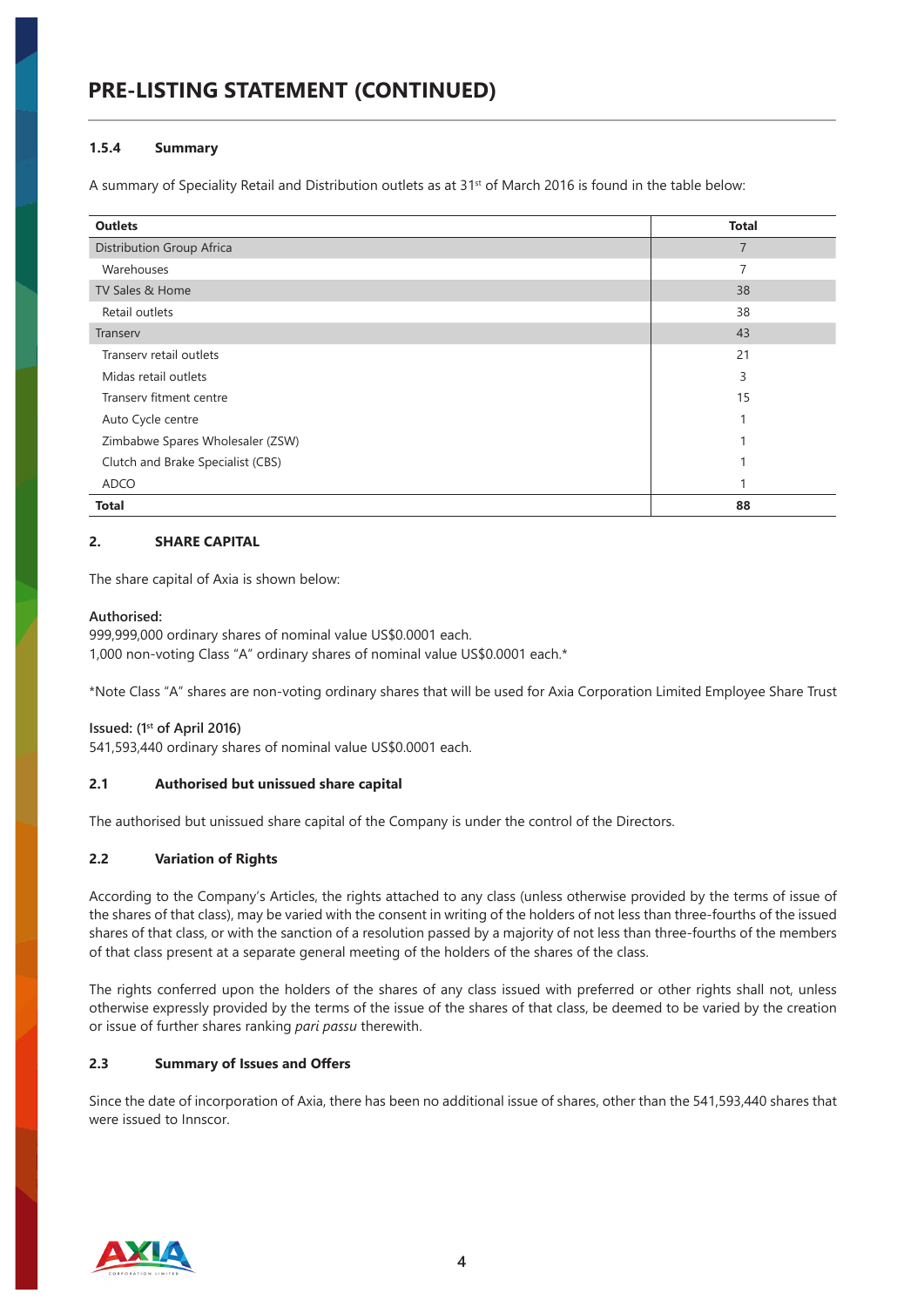# **PRE-LISTING STATEMENT (CONTINUED)**

#### **1.5.4 Summary**

A summary of Speciality Retail and Distribution outlets as at 31<sup>st</sup> of March 2016 is found in the table below:

| <b>Outlets</b>                    | <b>Total</b>   |
|-----------------------------------|----------------|
| <b>Distribution Group Africa</b>  | $\overline{7}$ |
| Warehouses                        | 7              |
| TV Sales & Home                   | 38             |
| Retail outlets                    | 38             |
| Transerv                          | 43             |
| Transery retail outlets           | 21             |
| Midas retail outlets              | 3              |
| Transery fitment centre           | 15             |
| Auto Cycle centre                 |                |
| Zimbabwe Spares Wholesaler (ZSW)  |                |
| Clutch and Brake Specialist (CBS) |                |
| <b>ADCO</b>                       |                |
| <b>Total</b>                      | 88             |

# **2. SHARE CAPITAL**

The share capital of Axia is shown below:

#### **Authorised:**

999,999,000 ordinary shares of nominal value US\$0.0001 each. 1,000 non-voting Class "A" ordinary shares of nominal value US\$0.0001 each.\*

\*Note Class "A" shares are non-voting ordinary shares that will be used for Axia Corporation Limited Employee Share Trust

#### **Issued: (1st of April 2016)**

541,593,440 ordinary shares of nominal value US\$0.0001 each.

#### **2.1 Authorised but unissued share capital**

The authorised but unissued share capital of the Company is under the control of the Directors.

#### **2.2 Variation of Rights**

According to the Company's Articles, the rights attached to any class (unless otherwise provided by the terms of issue of the shares of that class), may be varied with the consent in writing of the holders of not less than three-fourths of the issued shares of that class, or with the sanction of a resolution passed by a majority of not less than three-fourths of the members of that class present at a separate general meeting of the holders of the shares of the class.

The rights conferred upon the holders of the shares of any class issued with preferred or other rights shall not, unless otherwise expressly provided by the terms of the issue of the shares of that class, be deemed to be varied by the creation or issue of further shares ranking *pari passu* therewith.

## **2.3 Summary of Issues and Offers**

Since the date of incorporation of Axia, there has been no additional issue of shares, other than the 541,593,440 shares that were issued to Innscor.

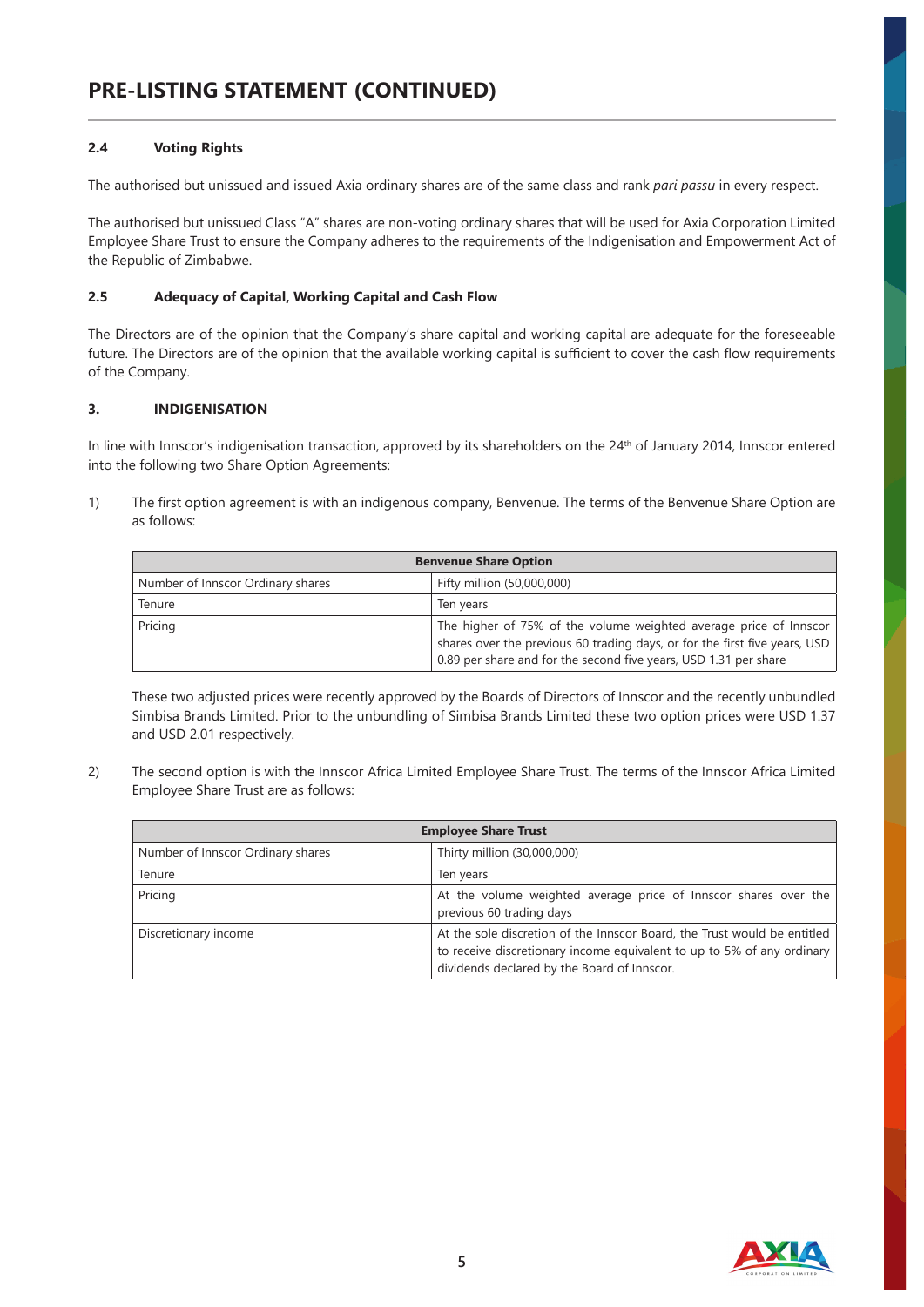# **2.4 Voting Rights**

The authorised but unissued and issued Axia ordinary shares are of the same class and rank *pari passu* in every respect.

The authorised but unissued Class "A" shares are non-voting ordinary shares that will be used for Axia Corporation Limited Employee Share Trust to ensure the Company adheres to the requirements of the Indigenisation and Empowerment Act of the Republic of Zimbabwe.

# **2.5 Adequacy of Capital, Working Capital and Cash Flow**

The Directors are of the opinion that the Company's share capital and working capital are adequate for the foreseeable future. The Directors are of the opinion that the available working capital is sufficient to cover the cash flow requirements of the Company.

# **3. INDIGENISATION**

In line with Innscor's indigenisation transaction, approved by its shareholders on the 24<sup>th</sup> of January 2014, Innscor entered into the following two Share Option Agreements:

1) The first option agreement is with an indigenous company, Benvenue. The terms of the Benvenue Share Option are as follows:

| <b>Benvenue Share Option</b>      |                                                                                                                                                                                                                     |  |  |
|-----------------------------------|---------------------------------------------------------------------------------------------------------------------------------------------------------------------------------------------------------------------|--|--|
| Number of Innscor Ordinary shares | Fifty million (50,000,000)                                                                                                                                                                                          |  |  |
| Tenure                            | Ten years                                                                                                                                                                                                           |  |  |
| Pricing                           | The higher of 75% of the volume weighted average price of Innscor<br>shares over the previous 60 trading days, or for the first five years, USD<br>0.89 per share and for the second five years, USD 1.31 per share |  |  |

These two adjusted prices were recently approved by the Boards of Directors of Innscor and the recently unbundled Simbisa Brands Limited. Prior to the unbundling of Simbisa Brands Limited these two option prices were USD 1.37 and USD 2.01 respectively.

2) The second option is with the Innscor Africa Limited Employee Share Trust. The terms of the Innscor Africa Limited Employee Share Trust are as follows:

| <b>Employee Share Trust</b>       |                                                                                                                                                                                                   |  |  |
|-----------------------------------|---------------------------------------------------------------------------------------------------------------------------------------------------------------------------------------------------|--|--|
| Number of Innscor Ordinary shares | Thirty million (30,000,000)                                                                                                                                                                       |  |  |
| Tenure                            | Ten years                                                                                                                                                                                         |  |  |
| Pricing                           | At the volume weighted average price of Innscor shares over the<br>previous 60 trading days                                                                                                       |  |  |
| Discretionary income              | At the sole discretion of the Innscor Board, the Trust would be entitled<br>to receive discretionary income equivalent to up to 5% of any ordinary<br>dividends declared by the Board of Innscor. |  |  |

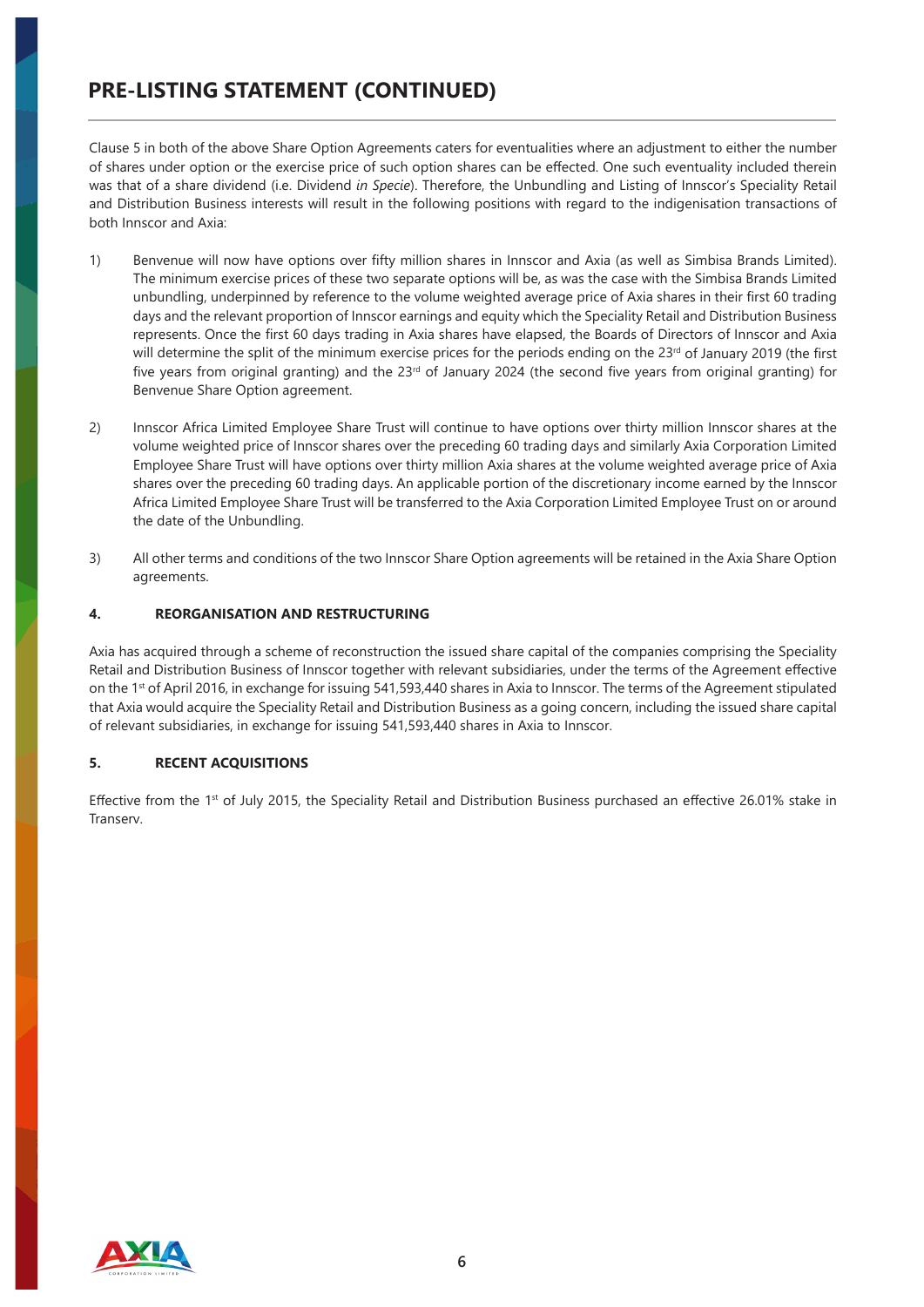Clause 5 in both of the above Share Option Agreements caters for eventualities where an adjustment to either the number of shares under option or the exercise price of such option shares can be effected. One such eventuality included therein was that of a share dividend (i.e. Dividend *in Specie*). Therefore, the Unbundling and Listing of Innscor's Speciality Retail and Distribution Business interests will result in the following positions with regard to the indigenisation transactions of both Innscor and Axia:

- 1) Benvenue will now have options over fifty million shares in Innscor and Axia (as well as Simbisa Brands Limited). The minimum exercise prices of these two separate options will be, as was the case with the Simbisa Brands Limited unbundling, underpinned by reference to the volume weighted average price of Axia shares in their first 60 trading days and the relevant proportion of Innscor earnings and equity which the Speciality Retail and Distribution Business represents. Once the first 60 days trading in Axia shares have elapsed, the Boards of Directors of Innscor and Axia will determine the split of the minimum exercise prices for the periods ending on the  $23rd$  of January 2019 (the first five years from original granting) and the  $23<sup>rd</sup>$  of January 2024 (the second five years from original granting) for Benvenue Share Option agreement.
- 2) Innscor Africa Limited Employee Share Trust will continue to have options over thirty million Innscor shares at the volume weighted price of Innscor shares over the preceding 60 trading days and similarly Axia Corporation Limited Employee Share Trust will have options over thirty million Axia shares at the volume weighted average price of Axia shares over the preceding 60 trading days. An applicable portion of the discretionary income earned by the Innscor Africa Limited Employee Share Trust will be transferred to the Axia Corporation Limited Employee Trust on or around the date of the Unbundling.
- 3) All other terms and conditions of the two Innscor Share Option agreements will be retained in the Axia Share Option agreements.

# **4. REORGANISATION AND RESTRUCTURING**

Axia has acquired through a scheme of reconstruction the issued share capital of the companies comprising the Speciality Retail and Distribution Business of Innscor together with relevant subsidiaries, under the terms of the Agreement effective on the 1st of April 2016, in exchange for issuing 541,593,440 shares in Axia to Innscor. The terms of the Agreement stipulated that Axia would acquire the Speciality Retail and Distribution Business as a going concern, including the issued share capital of relevant subsidiaries, in exchange for issuing 541,593,440 shares in Axia to Innscor.

#### **5. RECENT ACQUISITIONS**

Effective from the  $1<sup>st</sup>$  of July 2015, the Speciality Retail and Distribution Business purchased an effective 26.01% stake in **Transerv.** 

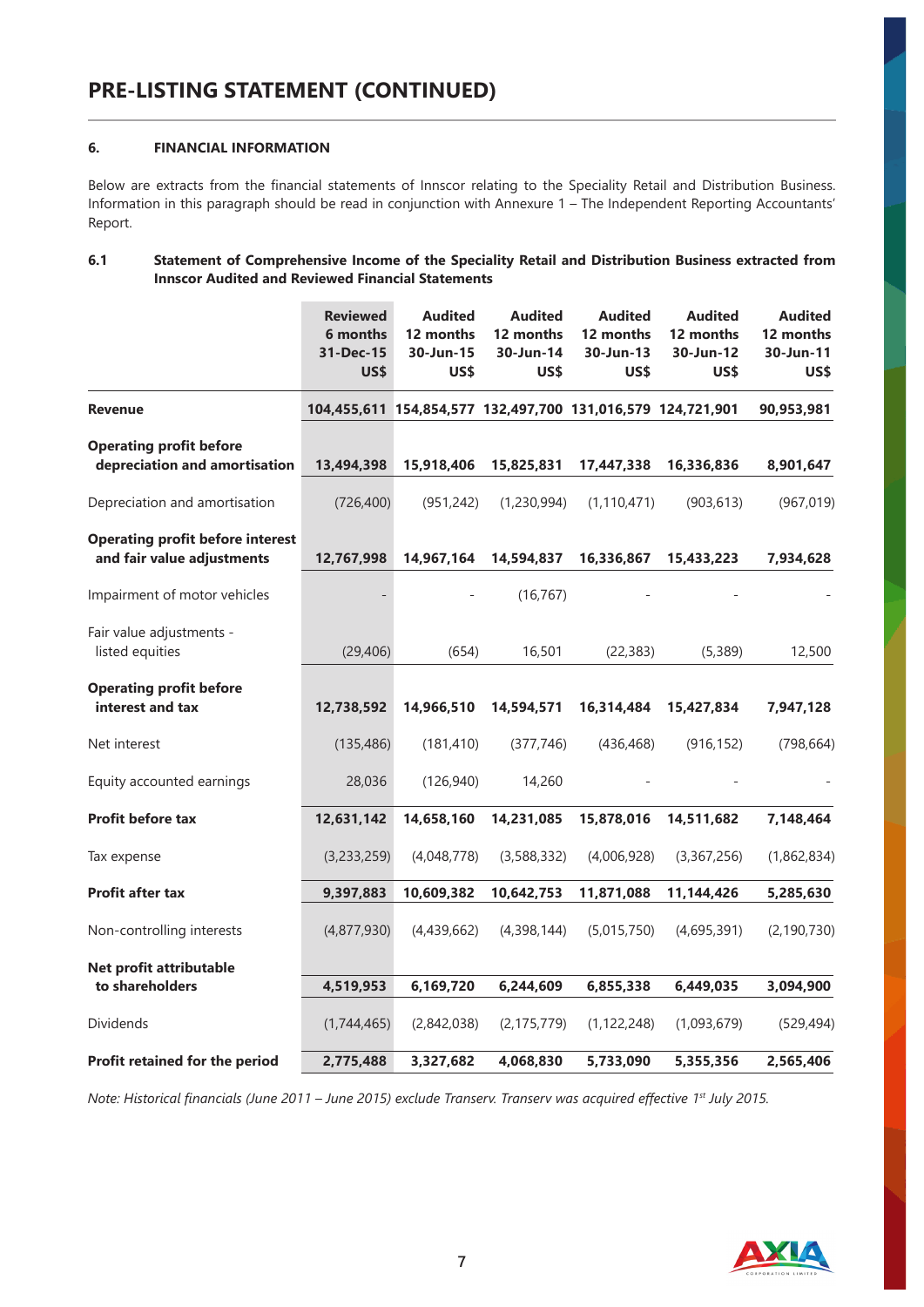# **6. FINANCIAL INFORMATION**

Below are extracts from the financial statements of Innscor relating to the Speciality Retail and Distribution Business. Information in this paragraph should be read in conjunction with Annexure 1 – The Independent Reporting Accountants' Report.

# **6.1 Statement of Comprehensive Income of the Speciality Retail and Distribution Business extracted from Innscor Audited and Reviewed Financial Statements**

|                                                                       | <b>Reviewed</b><br>6 months<br>31-Dec-15<br><b>US\$</b> | <b>Audited</b><br>12 months<br>30-Jun-15<br>US\$ | <b>Audited</b><br>12 months<br>30-Jun-14<br>US\$ | <b>Audited</b><br>12 months<br>30-Jun-13<br>US\$            | <b>Audited</b><br>12 months<br>30-Jun-12<br>US\$ | <b>Audited</b><br>12 months<br>30-Jun-11<br>US\$ |
|-----------------------------------------------------------------------|---------------------------------------------------------|--------------------------------------------------|--------------------------------------------------|-------------------------------------------------------------|--------------------------------------------------|--------------------------------------------------|
| <b>Revenue</b>                                                        |                                                         |                                                  |                                                  | 104,455,611 154,854,577 132,497,700 131,016,579 124,721,901 |                                                  | 90,953,981                                       |
| <b>Operating profit before</b><br>depreciation and amortisation       | 13,494,398                                              | 15,918,406                                       | 15,825,831                                       | 17,447,338                                                  | 16,336,836                                       | 8,901,647                                        |
| Depreciation and amortisation                                         | (726, 400)                                              | (951, 242)                                       | (1,230,994)                                      | (1, 110, 471)                                               | (903, 613)                                       | (967, 019)                                       |
| <b>Operating profit before interest</b><br>and fair value adjustments | 12,767,998                                              | 14,967,164                                       | 14,594,837                                       | 16,336,867                                                  | 15,433,223                                       | 7,934,628                                        |
| Impairment of motor vehicles                                          |                                                         |                                                  | (16, 767)                                        |                                                             |                                                  |                                                  |
| Fair value adjustments -<br>listed equities                           | (29, 406)                                               | (654)                                            | 16,501                                           | (22, 383)                                                   | (5, 389)                                         | 12,500                                           |
| <b>Operating profit before</b><br>interest and tax                    | 12,738,592                                              | 14,966,510                                       | 14,594,571                                       | 16,314,484                                                  | 15,427,834                                       | 7,947,128                                        |
| Net interest                                                          | (135, 486)                                              | (181, 410)                                       | (377, 746)                                       | (436, 468)                                                  | (916, 152)                                       | (798, 664)                                       |
| Equity accounted earnings                                             | 28,036                                                  | (126, 940)                                       | 14,260                                           |                                                             |                                                  |                                                  |
| Profit before tax                                                     | 12,631,142                                              | 14,658,160                                       | 14,231,085                                       | 15,878,016                                                  | 14,511,682                                       | 7,148,464                                        |
| Tax expense                                                           | (3,233,259)                                             | (4,048,778)                                      | (3,588,332)                                      | (4,006,928)                                                 | (3,367,256)                                      | (1,862,834)                                      |
| <b>Profit after tax</b>                                               | 9,397,883                                               | 10,609,382                                       | 10,642,753                                       | 11,871,088                                                  | 11,144,426                                       | 5,285,630                                        |
| Non-controlling interests                                             | (4,877,930)                                             | (4,439,662)                                      | (4,398,144)                                      | (5,015,750)                                                 | (4,695,391)                                      | (2, 190, 730)                                    |
| Net profit attributable<br>to shareholders                            | 4,519,953                                               | 6,169,720                                        | 6,244,609                                        | 6,855,338                                                   | 6,449,035                                        | 3,094,900                                        |
| <b>Dividends</b>                                                      | (1,744,465)                                             | (2,842,038)                                      | (2, 175, 779)                                    | (1, 122, 248)                                               | (1,093,679)                                      | (529, 494)                                       |
| Profit retained for the period                                        | 2,775,488                                               | 3,327,682                                        | 4,068,830                                        | 5,733,090                                                   | 5,355,356                                        | 2,565,406                                        |

*Note: Historical financials (June 2011 – June 2015) exclude Transerv. Transerv was acquired effective 1st July 2015.*

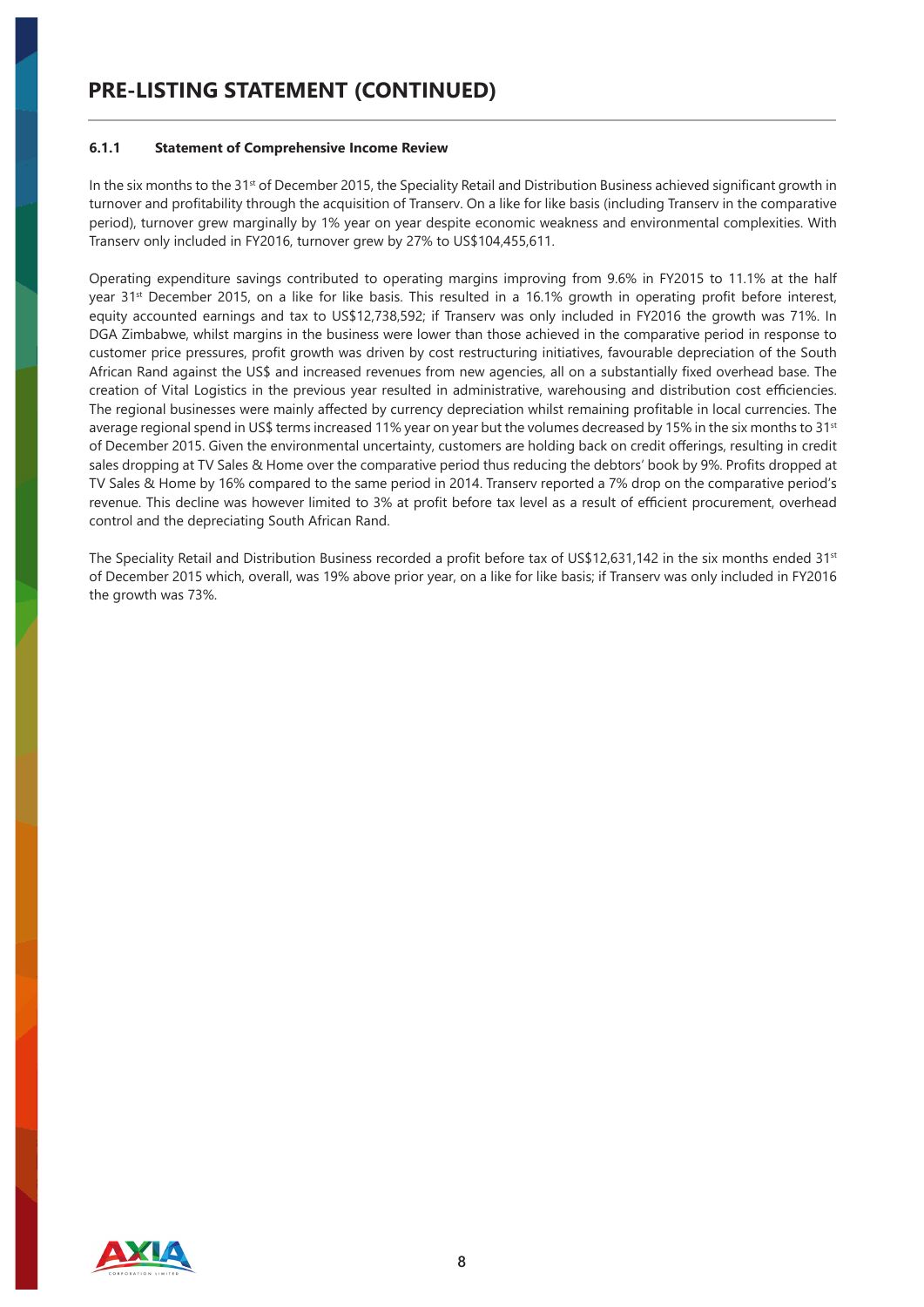#### **6.1.1 Statement of Comprehensive Income Review**

In the six months to the 31st of December 2015, the Speciality Retail and Distribution Business achieved significant growth in turnover and profitability through the acquisition of Transerv. On a like for like basis (including Transerv in the comparative period), turnover grew marginally by 1% year on year despite economic weakness and environmental complexities. With Transerv only included in FY2016, turnover grew by 27% to US\$104,455,611.

Operating expenditure savings contributed to operating margins improving from 9.6% in FY2015 to 11.1% at the half year 31<sup>st</sup> December 2015, on a like for like basis. This resulted in a 16.1% growth in operating profit before interest, equity accounted earnings and tax to US\$12,738,592; if Transerv was only included in FY2016 the growth was 71%. In DGA Zimbabwe, whilst margins in the business were lower than those achieved in the comparative period in response to customer price pressures, profit growth was driven by cost restructuring initiatives, favourable depreciation of the South African Rand against the US\$ and increased revenues from new agencies, all on a substantially fixed overhead base. The creation of Vital Logistics in the previous year resulted in administrative, warehousing and distribution cost efficiencies. The regional businesses were mainly affected by currency depreciation whilst remaining profitable in local currencies. The average regional spend in US\$ terms increased 11% year on year but the volumes decreased by 15% in the six months to 31<sup>st</sup> of December 2015. Given the environmental uncertainty, customers are holding back on credit offerings, resulting in credit sales dropping at TV Sales & Home over the comparative period thus reducing the debtors' book by 9%. Profits dropped at TV Sales & Home by 16% compared to the same period in 2014. Transerv reported a 7% drop on the comparative period's revenue. This decline was however limited to 3% at profit before tax level as a result of efficient procurement, overhead control and the depreciating South African Rand.

The Speciality Retail and Distribution Business recorded a profit before tax of US\$12,631,142 in the six months ended 31<sup>st</sup> of December 2015 which, overall, was 19% above prior year, on a like for like basis; if Transerv was only included in FY2016 the growth was 73%.

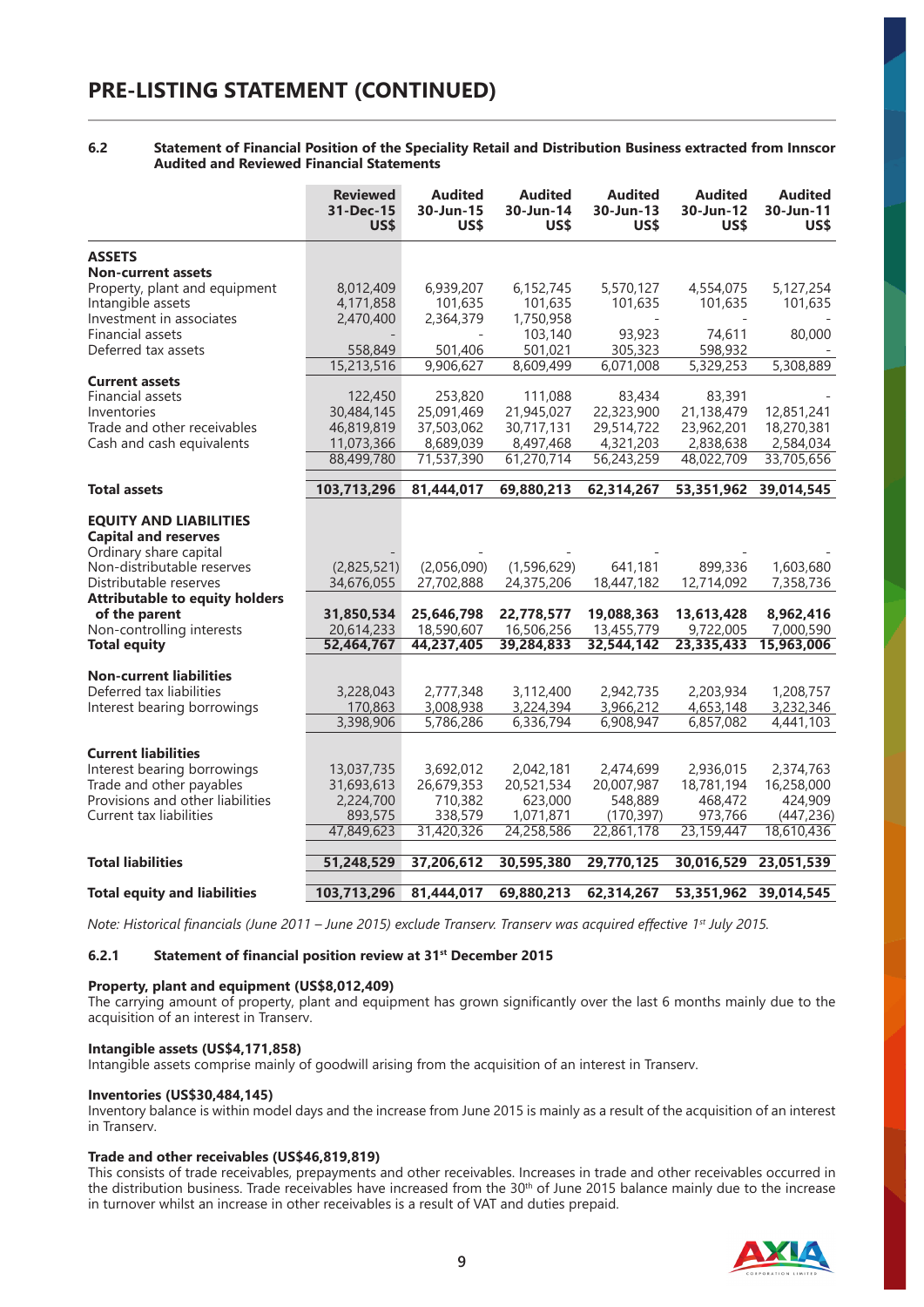#### **6.2 Statement of Financial Position of the Speciality Retail and Distribution Business extracted from Innscor Audited and Reviewed Financial Statements**

|                                                                                                                                                                                                                                                              | <b>Reviewed</b><br>31-Dec-15<br>US\$                                | <b>Audited</b><br>30-Jun-15<br>US\$                                 | <b>Audited</b><br>30-Jun-14<br><b>USS</b>                           | <b>Audited</b><br>30-Jun-13<br>US\$                             | <b>Audited</b><br>30-Jun-12<br>US\$                            | <b>Audited</b><br>30-Jun-11<br>US\$                            |
|--------------------------------------------------------------------------------------------------------------------------------------------------------------------------------------------------------------------------------------------------------------|---------------------------------------------------------------------|---------------------------------------------------------------------|---------------------------------------------------------------------|-----------------------------------------------------------------|----------------------------------------------------------------|----------------------------------------------------------------|
| <b>ASSETS</b>                                                                                                                                                                                                                                                |                                                                     |                                                                     |                                                                     |                                                                 |                                                                |                                                                |
| <b>Non-current assets</b>                                                                                                                                                                                                                                    |                                                                     |                                                                     |                                                                     |                                                                 |                                                                |                                                                |
| Property, plant and equipment                                                                                                                                                                                                                                | 8,012,409                                                           | 6,939,207                                                           | 6,152,745                                                           | 5,570,127                                                       | 4,554,075                                                      | 5,127,254                                                      |
| Intangible assets                                                                                                                                                                                                                                            | 4,171,858                                                           | 101,635                                                             | 101,635                                                             | 101,635                                                         | 101,635                                                        | 101,635                                                        |
| Investment in associates                                                                                                                                                                                                                                     | 2,470,400                                                           | 2,364,379                                                           | 1,750,958                                                           |                                                                 |                                                                |                                                                |
| Financial assets                                                                                                                                                                                                                                             |                                                                     |                                                                     | 103,140                                                             | 93,923                                                          | 74,611                                                         | 80,000                                                         |
| Deferred tax assets                                                                                                                                                                                                                                          | 558,849                                                             | 501,406                                                             | 501,021                                                             | 305,323                                                         | 598,932                                                        |                                                                |
|                                                                                                                                                                                                                                                              | 15,213,516                                                          | 9,906,627                                                           | 8,609,499                                                           | 6,071,008                                                       | 5,329,253                                                      | 5,308,889                                                      |
| <b>Current assets</b>                                                                                                                                                                                                                                        |                                                                     |                                                                     |                                                                     |                                                                 |                                                                |                                                                |
| Financial assets                                                                                                                                                                                                                                             | 122,450                                                             | 253,820                                                             | 111,088                                                             | 83,434                                                          | 83,391                                                         |                                                                |
| Inventories                                                                                                                                                                                                                                                  | 30,484,145                                                          | 25,091,469                                                          | 21,945,027                                                          | 22,323,900                                                      | 21,138,479                                                     | 12,851,241                                                     |
| Trade and other receivables                                                                                                                                                                                                                                  | 46,819,819                                                          | 37,503,062                                                          | 30,717,131                                                          | 29,514,722                                                      | 23,962,201                                                     | 18,270,381                                                     |
| Cash and cash equivalents                                                                                                                                                                                                                                    | 11,073,366                                                          | 8,689,039                                                           | 8,497,468                                                           | 4,321,203                                                       | 2,838,638                                                      | 2,584,034                                                      |
|                                                                                                                                                                                                                                                              | 88,499,780                                                          | 71,537,390                                                          | 61,270,714                                                          | 56,243,259                                                      | 48,022,709                                                     | 33,705,656                                                     |
| <b>Total assets</b>                                                                                                                                                                                                                                          | 103,713,296                                                         | 81,444,017                                                          | 69,880,213                                                          | 62,314,267                                                      | 53,351,962                                                     | 39,014,545                                                     |
| <b>EQUITY AND LIABILITIES</b><br><b>Capital and reserves</b><br>Ordinary share capital<br>Non-distributable reserves<br>Distributable reserves<br><b>Attributable to equity holders</b><br>of the parent<br>Non-controlling interests<br><b>Total equity</b> | (2,825,521)<br>34,676,055<br>31,850,534<br>20,614,233<br>52,464,767 | (2,056,090)<br>27,702,888<br>25,646,798<br>18,590,607<br>44,237,405 | (1,596,629)<br>24,375,206<br>22,778,577<br>16,506,256<br>39,284,833 | 641,181<br>18,447,182<br>19,088,363<br>13,455,779<br>32,544,142 | 899,336<br>12,714,092<br>13,613,428<br>9,722,005<br>23,335,433 | 1,603,680<br>7,358,736<br>8,962,416<br>7,000,590<br>15,963,006 |
|                                                                                                                                                                                                                                                              |                                                                     |                                                                     |                                                                     |                                                                 |                                                                |                                                                |
| <b>Non-current liabilities</b>                                                                                                                                                                                                                               |                                                                     |                                                                     |                                                                     |                                                                 |                                                                |                                                                |
| Deferred tax liabilities                                                                                                                                                                                                                                     | 3,228,043                                                           | 2,777,348                                                           | 3,112,400                                                           | 2,942,735                                                       | 2,203,934                                                      | 1,208,757                                                      |
| Interest bearing borrowings                                                                                                                                                                                                                                  | 170,863                                                             | 3,008,938                                                           | 3,224,394                                                           | 3,966,212                                                       | 4,653,148                                                      | 3,232,346                                                      |
|                                                                                                                                                                                                                                                              | 3,398,906                                                           | 5,786,286                                                           | 6,336,794                                                           | 6,908,947                                                       | 6,857,082                                                      | 4,441,103                                                      |
|                                                                                                                                                                                                                                                              |                                                                     |                                                                     |                                                                     |                                                                 |                                                                |                                                                |
| <b>Current liabilities</b>                                                                                                                                                                                                                                   |                                                                     |                                                                     |                                                                     |                                                                 |                                                                |                                                                |
| Interest bearing borrowings                                                                                                                                                                                                                                  | 13,037,735                                                          | 3,692,012                                                           | 2.042.181                                                           | 2,474,699                                                       | 2,936,015                                                      | 2,374,763                                                      |
| Trade and other payables                                                                                                                                                                                                                                     | 31,693,613                                                          | 26,679,353                                                          | 20,521,534                                                          | 20,007,987                                                      | 18,781,194                                                     | 16,258,000                                                     |
| Provisions and other liabilities                                                                                                                                                                                                                             | 2,224,700                                                           | 710,382                                                             | 623,000                                                             | 548,889                                                         | 468,472                                                        | 424,909                                                        |
| Current tax liabilities                                                                                                                                                                                                                                      | 893,575                                                             | 338,579                                                             | 1,071,871                                                           | (170, 397)                                                      | 973,766                                                        | (447, 236)                                                     |
|                                                                                                                                                                                                                                                              | 47,849,623                                                          | 31,420,326                                                          | 24,258,586                                                          | 22,861,178                                                      | 23,159,447                                                     | 18,610,436                                                     |
| <b>Total liabilities</b>                                                                                                                                                                                                                                     | 51,248,529                                                          | 37,206,612                                                          | 30,595,380                                                          | 29,770,125                                                      | 30,016,529                                                     | 23,051,539                                                     |
|                                                                                                                                                                                                                                                              |                                                                     |                                                                     |                                                                     |                                                                 |                                                                |                                                                |
| <b>Total equity and liabilities</b>                                                                                                                                                                                                                          | 103,713,296                                                         | 81,444,017                                                          | 69,880,213                                                          | 62,314,267                                                      | 53,351,962                                                     | 39,014,545                                                     |

*Note: Historical financials (June 2011 – June 2015) exclude Transerv. Transerv was acquired effective 1st July 2015.* 

#### **6.2.1 Statement of financial position review at 31st December 2015**

#### **Property, plant and equipment (US\$8,012,409)**

The carrying amount of property, plant and equipment has grown significantly over the last 6 months mainly due to the acquisition of an interest in Transerv.

#### **Intangible assets (US\$4,171,858)**

Intangible assets comprise mainly of goodwill arising from the acquisition of an interest in Transerv.

#### **Inventories (US\$30,484,145)**

Inventory balance is within model days and the increase from June 2015 is mainly as a result of the acquisition of an interest in Transerv.

#### **Trade and other receivables (US\$46,819,819)**

This consists of trade receivables, prepayments and other receivables. Increases in trade and other receivables occurred in the distribution business. Trade receivables have increased from the 30<sup>th</sup> of June 2015 balance mainly due to the increase in turnover whilst an increase in other receivables is a result of VAT and duties prepaid.

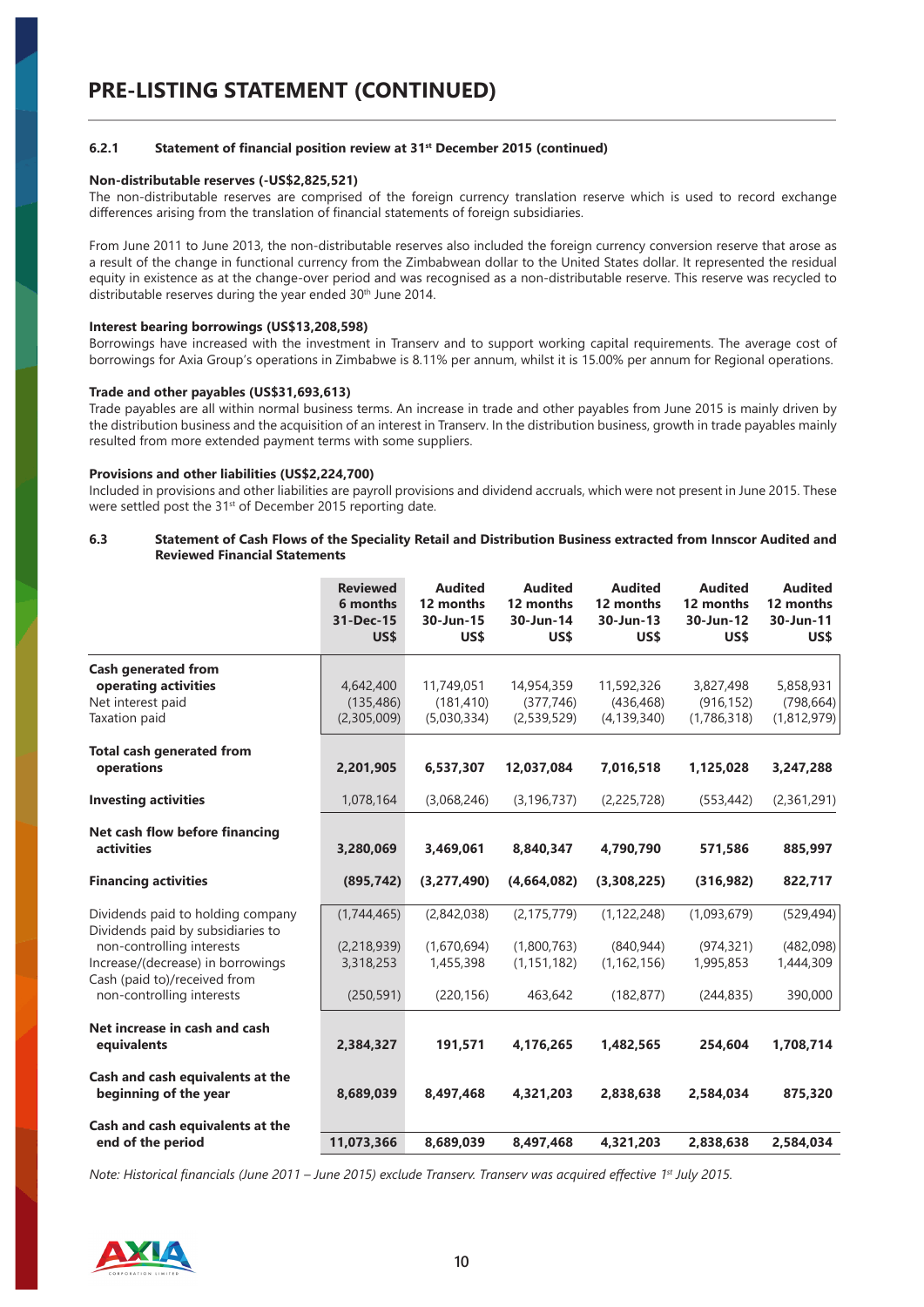#### **6.2.1 Statement of financial position review at 31st December 2015 (continued)**

#### **Non-distributable reserves (-US\$2,825,521)**

The non-distributable reserves are comprised of the foreign currency translation reserve which is used to record exchange differences arising from the translation of financial statements of foreign subsidiaries.

From June 2011 to June 2013, the non-distributable reserves also included the foreign currency conversion reserve that arose as a result of the change in functional currency from the Zimbabwean dollar to the United States dollar. It represented the residual equity in existence as at the change-over period and was recognised as a non-distributable reserve. This reserve was recycled to distributable reserves during the year ended 30<sup>th</sup> June 2014.

#### **Interest bearing borrowings (US\$13,208,598)**

Borrowings have increased with the investment in Transerv and to support working capital requirements. The average cost of borrowings for Axia Group's operations in Zimbabwe is 8.11% per annum, whilst it is 15.00% per annum for Regional operations.

#### **Trade and other payables (US\$31,693,613)**

Trade payables are all within normal business terms. An increase in trade and other payables from June 2015 is mainly driven by the distribution business and the acquisition of an interest in Transerv. In the distribution business, growth in trade payables mainly resulted from more extended payment terms with some suppliers.

#### **Provisions and other liabilities (US\$2,224,700)**

Included in provisions and other liabilities are payroll provisions and dividend accruals, which were not present in June 2015. These were settled post the 31<sup>st</sup> of December 2015 reporting date.

| 6.3 | Statement of Cash Flows of the Speciality Retail and Distribution Business extracted from Innscor Audited and |
|-----|---------------------------------------------------------------------------------------------------------------|
|     | <b>Reviewed Financial Statements</b>                                                                          |

|                                                                                                                                                                                                       | <b>Reviewed</b><br>6 months<br>31-Dec-15<br>US\$      | <b>Audited</b><br>12 months<br>30-Jun-15<br>US\$      | <b>Audited</b><br>12 months<br>30-Jun-14<br>US\$         | <b>Audited</b><br>12 months<br>30-Jun-13<br>US\$           | <b>Audited</b><br>12 months<br>30-Jun-12<br>US\$     | <b>Audited</b><br>12 months<br>30-Jun-11<br>US\$ |
|-------------------------------------------------------------------------------------------------------------------------------------------------------------------------------------------------------|-------------------------------------------------------|-------------------------------------------------------|----------------------------------------------------------|------------------------------------------------------------|------------------------------------------------------|--------------------------------------------------|
| <b>Cash generated from</b><br>operating activities<br>Net interest paid<br>Taxation paid                                                                                                              | 4,642,400<br>(135, 486)<br>(2,305,009)                | 11,749,051<br>(181, 410)<br>(5,030,334)               | 14,954,359<br>(377, 746)<br>(2,539,529)                  | 11,592,326<br>(436, 468)<br>(4, 139, 340)                  | 3,827,498<br>(916, 152)<br>(1,786,318)               | 5,858,931<br>(798, 664)<br>(1,812,979)           |
| <b>Total cash generated from</b><br>operations                                                                                                                                                        | 2,201,905                                             | 6,537,307                                             | 12,037,084                                               | 7,016,518                                                  | 1,125,028                                            | 3,247,288                                        |
| <b>Investing activities</b>                                                                                                                                                                           | 1,078,164                                             | (3,068,246)                                           | (3, 196, 737)                                            | (2,225,728)                                                | (553, 442)                                           | (2,361,291)                                      |
| Net cash flow before financing<br><b>activities</b>                                                                                                                                                   | 3,280,069                                             | 3,469,061                                             | 8,840,347                                                | 4,790,790                                                  | 571,586                                              | 885,997                                          |
| <b>Financing activities</b>                                                                                                                                                                           | (895, 742)                                            | (3,277,490)                                           | (4,664,082)                                              | (3,308,225)                                                | (316, 982)                                           | 822,717                                          |
| Dividends paid to holding company<br>Dividends paid by subsidiaries to<br>non-controlling interests<br>Increase/(decrease) in borrowings<br>Cash (paid to)/received from<br>non-controlling interests | (1,744,465)<br>(2,218,939)<br>3,318,253<br>(250, 591) | (2,842,038)<br>(1,670,694)<br>1,455,398<br>(220, 156) | (2, 175, 779)<br>(1,800,763)<br>(1, 151, 182)<br>463,642 | (1, 122, 248)<br>(840, 944)<br>(1, 162, 156)<br>(182, 877) | (1,093,679)<br>(974, 321)<br>1,995,853<br>(244, 835) | (529, 494)<br>(482,098)<br>1,444,309<br>390,000  |
| Net increase in cash and cash<br>equivalents                                                                                                                                                          | 2,384,327                                             | 191.571                                               | 4,176,265                                                | 1,482,565                                                  | 254.604                                              | 1,708,714                                        |
| Cash and cash equivalents at the<br>beginning of the year                                                                                                                                             | 8,689,039                                             | 8,497,468                                             | 4,321,203                                                | 2,838,638                                                  | 2,584,034                                            | 875,320                                          |
| Cash and cash equivalents at the<br>end of the period                                                                                                                                                 | 11,073,366                                            | 8,689,039                                             | 8,497,468                                                | 4,321,203                                                  | 2,838,638                                            | 2,584,034                                        |

*Note: Historical financials (June 2011 – June 2015) exclude Transerv. Transerv was acquired effective 1st July 2015.*

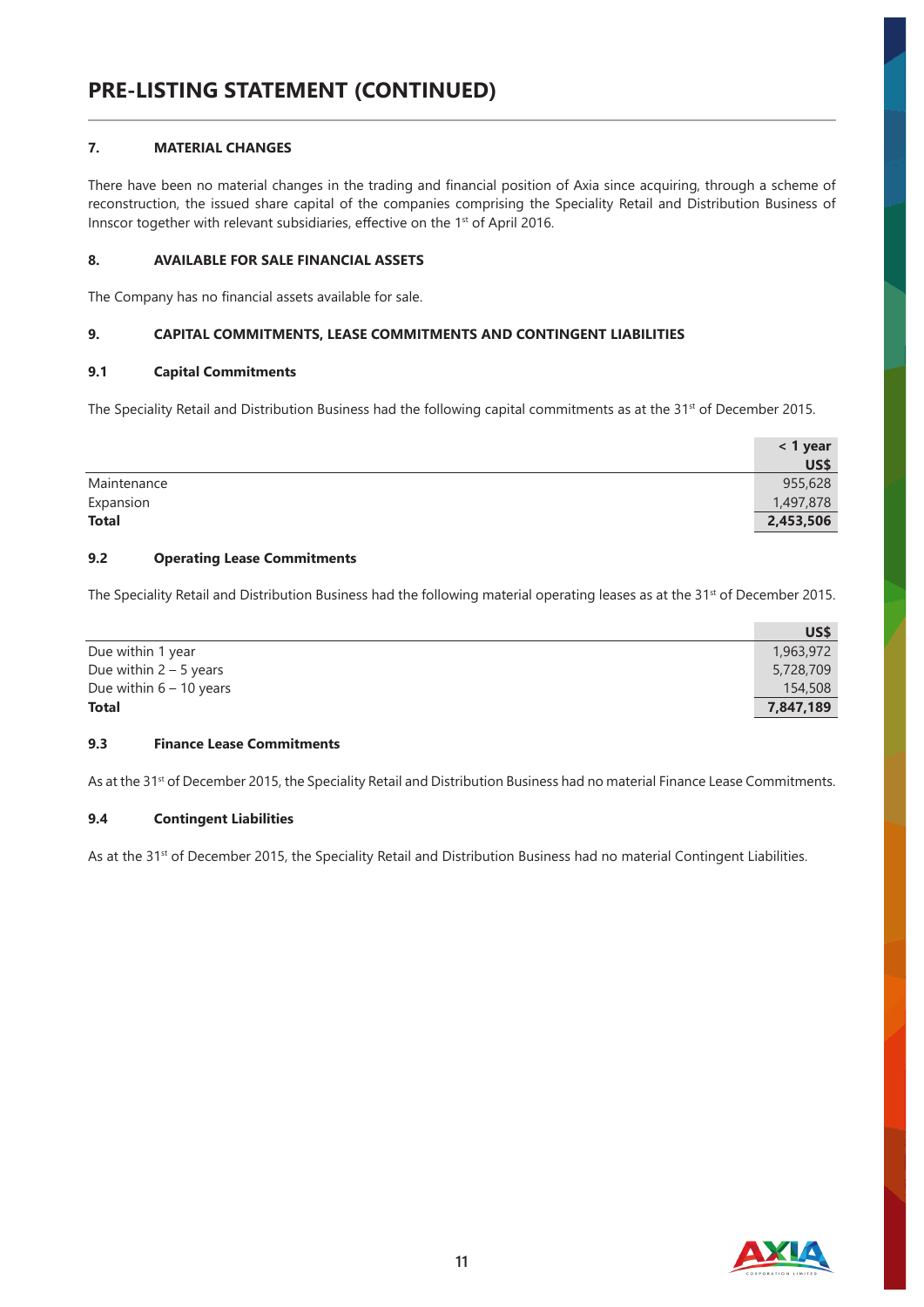# **7. MATERIAL CHANGES**

There have been no material changes in the trading and financial position of Axia since acquiring, through a scheme of reconstruction, the issued share capital of the companies comprising the Speciality Retail and Distribution Business of Innscor together with relevant subsidiaries, effective on the 1<sup>st</sup> of April 2016.

# **8. AVAILABLE FOR SALE FINANCIAL ASSETS**

The Company has no financial assets available for sale.

# **9. CAPITAL COMMITMENTS, LEASE COMMITMENTS AND CONTINGENT LIABILITIES**

#### **9.1 Capital Commitments**

The Speciality Retail and Distribution Business had the following capital commitments as at the 31<sup>st</sup> of December 2015.

|              | $<$ 1 year  |
|--------------|-------------|
|              | <b>US\$</b> |
| Maintenance  | 955,628     |
| Expansion    | 1,497,878   |
| <b>Total</b> | 2,453,506   |

#### **9.2 Operating Lease Commitments**

The Speciality Retail and Distribution Business had the following material operating leases as at the 31<sup>st</sup> of December 2015.

|                           | US\$      |
|---------------------------|-----------|
| Due within 1 year         | 1,963,972 |
| Due within $2 - 5$ years  | 5,728,709 |
| Due within $6 - 10$ years | 154,508   |
| <b>Total</b>              | 7,847,189 |

#### **9.3 Finance Lease Commitments**

As at the 31<sup>st</sup> of December 2015, the Speciality Retail and Distribution Business had no material Finance Lease Commitments.

#### **9.4 Contingent Liabilities**

As at the 31<sup>st</sup> of December 2015, the Speciality Retail and Distribution Business had no material Contingent Liabilities.

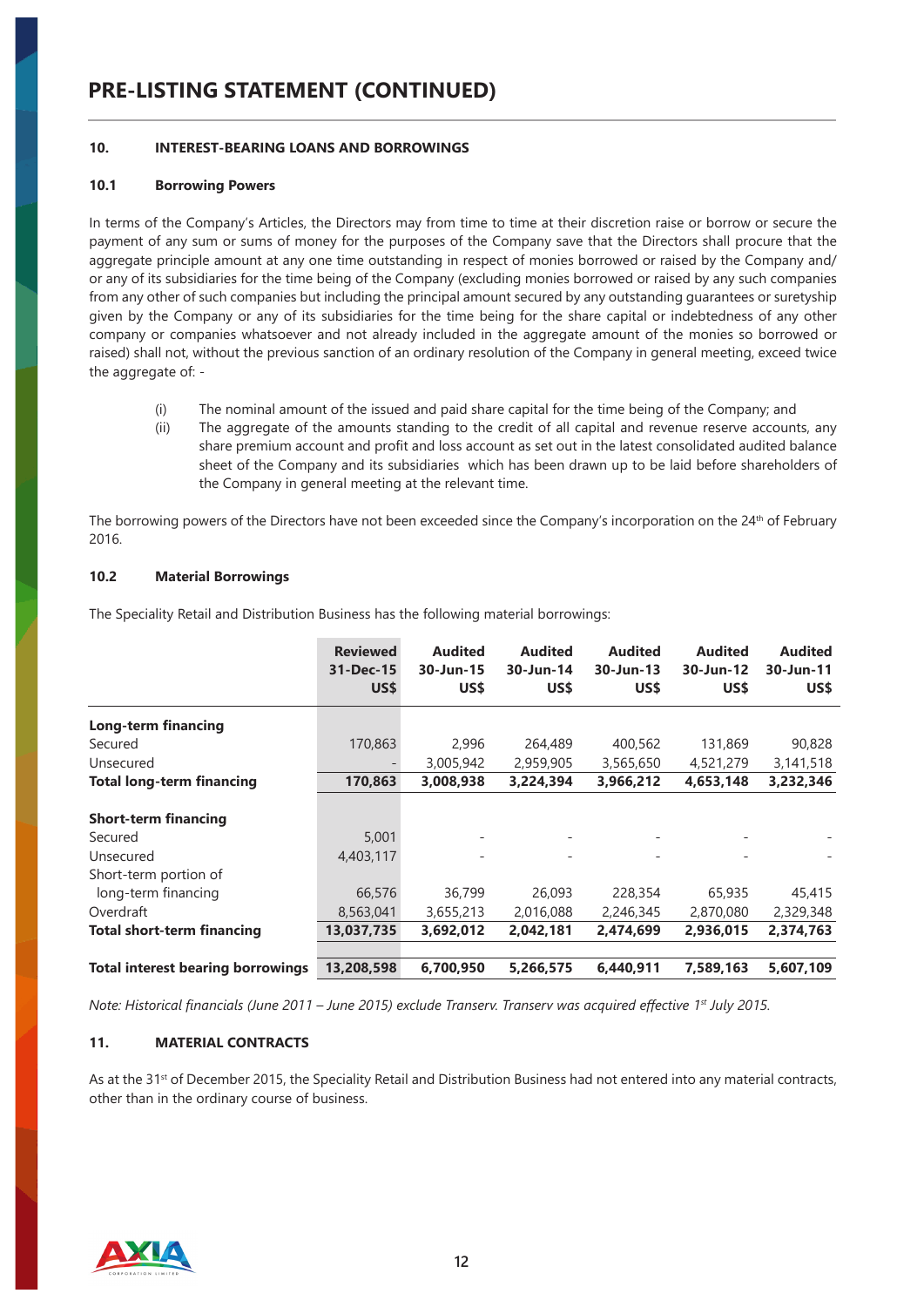# **PRE-LISTING STATEMENT (CONTINUED)**

#### **10. INTEREST-BEARING LOANS AND BORROWINGS**

#### **10.1 Borrowing Powers**

In terms of the Company's Articles, the Directors may from time to time at their discretion raise or borrow or secure the payment of any sum or sums of money for the purposes of the Company save that the Directors shall procure that the aggregate principle amount at any one time outstanding in respect of monies borrowed or raised by the Company and/ or any of its subsidiaries for the time being of the Company (excluding monies borrowed or raised by any such companies from any other of such companies but including the principal amount secured by any outstanding guarantees or suretyship given by the Company or any of its subsidiaries for the time being for the share capital or indebtedness of any other company or companies whatsoever and not already included in the aggregate amount of the monies so borrowed or raised) shall not, without the previous sanction of an ordinary resolution of the Company in general meeting, exceed twice the aggregate of: -

- (i) The nominal amount of the issued and paid share capital for the time being of the Company; and
- (ii) The aggregate of the amounts standing to the credit of all capital and revenue reserve accounts, any share premium account and profit and loss account as set out in the latest consolidated audited balance sheet of the Company and its subsidiaries which has been drawn up to be laid before shareholders of the Company in general meeting at the relevant time.

The borrowing powers of the Directors have not been exceeded since the Company's incorporation on the 24<sup>th</sup> of February 2016.

#### **10.2 Material Borrowings**

The Speciality Retail and Distribution Business has the following material borrowings:

|                                          | <b>Reviewed</b><br>31-Dec-15<br>US\$ | <b>Audited</b><br>30-Jun-15<br>US\$ | <b>Audited</b><br>30-Jun-14<br>US\$ | <b>Audited</b><br>30-Jun-13<br>US\$ | <b>Audited</b><br>30-Jun-12<br>US\$ | <b>Audited</b><br>30-Jun-11<br>US\$ |
|------------------------------------------|--------------------------------------|-------------------------------------|-------------------------------------|-------------------------------------|-------------------------------------|-------------------------------------|
| Long-term financing                      |                                      |                                     |                                     |                                     |                                     |                                     |
| Secured                                  | 170,863                              | 2,996                               | 264,489                             | 400,562                             | 131,869                             | 90,828                              |
| Unsecured                                |                                      | 3,005,942                           | 2,959,905                           | 3,565,650                           | 4,521,279                           | 3,141,518                           |
| <b>Total long-term financing</b>         | 170,863                              | 3,008,938                           | 3,224,394                           | 3,966,212                           | 4,653,148                           | 3,232,346                           |
| <b>Short-term financing</b>              |                                      |                                     |                                     |                                     |                                     |                                     |
| Secured                                  | 5,001                                | -                                   |                                     |                                     |                                     |                                     |
| Unsecured                                | 4,403,117                            | $\overline{\phantom{0}}$            |                                     |                                     | $\overline{\phantom{a}}$            |                                     |
| Short-term portion of                    |                                      |                                     |                                     |                                     |                                     |                                     |
| long-term financing                      | 66,576                               | 36,799                              | 26,093                              | 228,354                             | 65,935                              | 45,415                              |
| Overdraft                                | 8,563,041                            | 3,655,213                           | 2,016,088                           | 2,246,345                           | 2,870,080                           | 2,329,348                           |
| <b>Total short-term financing</b>        | 13,037,735                           | 3,692,012                           | 2,042,181                           | 2,474,699                           | 2,936,015                           | 2,374,763                           |
| <b>Total interest bearing borrowings</b> | 13,208,598                           | 6,700,950                           | 5,266,575                           | 6,440,911                           | 7,589,163                           | 5,607,109                           |

*Note: Historical financials (June 2011 – June 2015) exclude Transerv. Transerv was acquired effective 1st July 2015.*

### **11. MATERIAL CONTRACTS**

As at the 31<sup>st</sup> of December 2015, the Speciality Retail and Distribution Business had not entered into any material contracts, other than in the ordinary course of business.

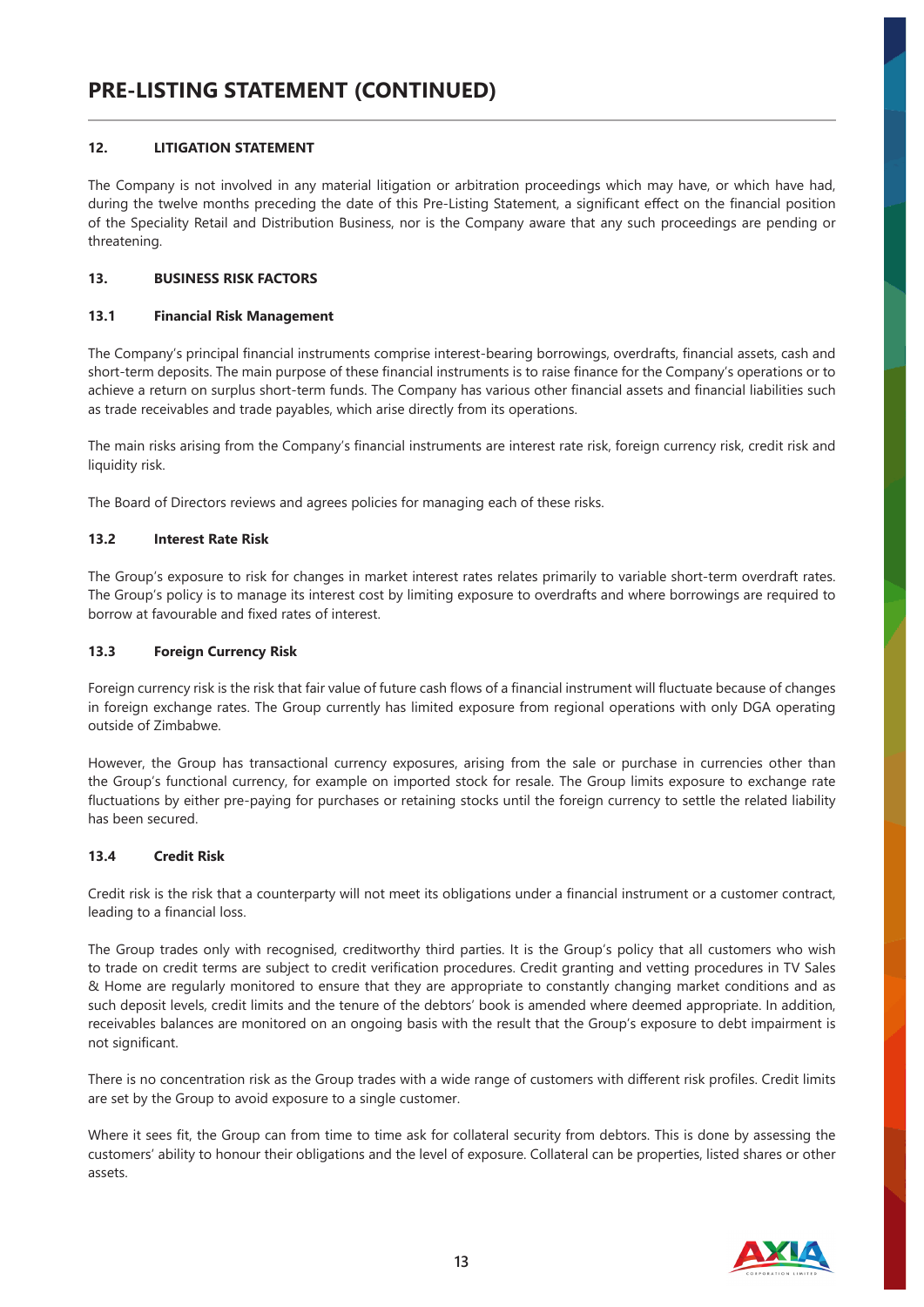# **12. LITIGATION STATEMENT**

The Company is not involved in any material litigation or arbitration proceedings which may have, or which have had, during the twelve months preceding the date of this Pre-Listing Statement, a significant effect on the financial position of the Speciality Retail and Distribution Business, nor is the Company aware that any such proceedings are pending or threatening.

# **13. BUSINESS RISK FACTORS**

# **13.1 Financial Risk Management**

The Company's principal financial instruments comprise interest-bearing borrowings, overdrafts, financial assets, cash and short-term deposits. The main purpose of these financial instruments is to raise finance for the Company's operations or to achieve a return on surplus short-term funds. The Company has various other financial assets and financial liabilities such as trade receivables and trade payables, which arise directly from its operations.

The main risks arising from the Company's financial instruments are interest rate risk, foreign currency risk, credit risk and liquidity risk.

The Board of Directors reviews and agrees policies for managing each of these risks.

# **13.2 Interest Rate Risk**

The Group's exposure to risk for changes in market interest rates relates primarily to variable short-term overdraft rates. The Group's policy is to manage its interest cost by limiting exposure to overdrafts and where borrowings are required to borrow at favourable and fixed rates of interest.

# **13.3 Foreign Currency Risk**

Foreign currency risk is the risk that fair value of future cash flows of a financial instrument will fluctuate because of changes in foreign exchange rates. The Group currently has limited exposure from regional operations with only DGA operating outside of Zimbabwe.

However, the Group has transactional currency exposures, arising from the sale or purchase in currencies other than the Group's functional currency, for example on imported stock for resale. The Group limits exposure to exchange rate fluctuations by either pre-paying for purchases or retaining stocks until the foreign currency to settle the related liability has been secured.

# **13.4 Credit Risk**

Credit risk is the risk that a counterparty will not meet its obligations under a financial instrument or a customer contract, leading to a financial loss.

The Group trades only with recognised, creditworthy third parties. It is the Group's policy that all customers who wish to trade on credit terms are subject to credit verification procedures. Credit granting and vetting procedures in TV Sales & Home are regularly monitored to ensure that they are appropriate to constantly changing market conditions and as such deposit levels, credit limits and the tenure of the debtors' book is amended where deemed appropriate. In addition, receivables balances are monitored on an ongoing basis with the result that the Group's exposure to debt impairment is not significant.

There is no concentration risk as the Group trades with a wide range of customers with different risk profiles. Credit limits are set by the Group to avoid exposure to a single customer.

Where it sees fit, the Group can from time to time ask for collateral security from debtors. This is done by assessing the customers' ability to honour their obligations and the level of exposure. Collateral can be properties, listed shares or other assets.

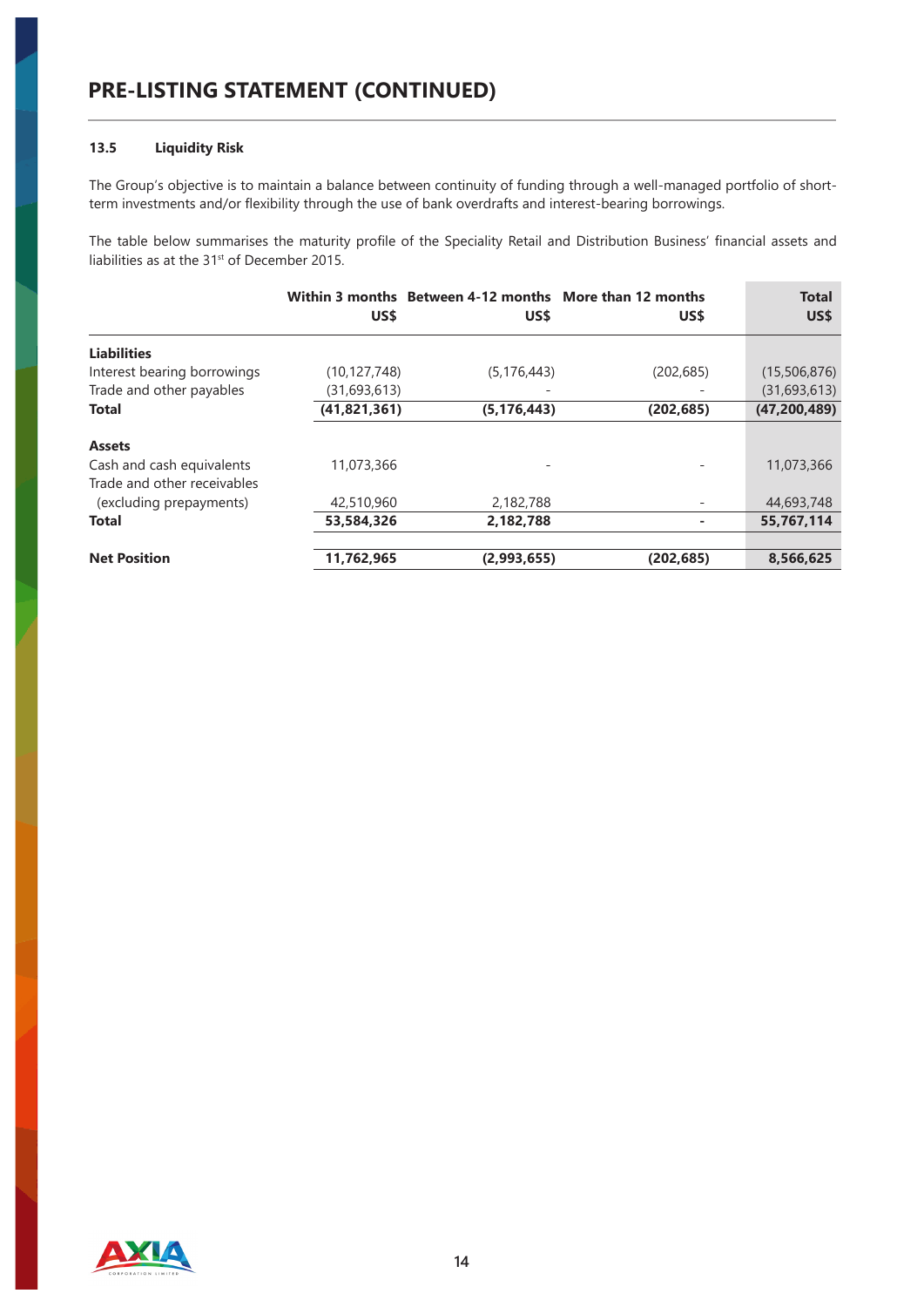# **13.5 Liquidity Risk**

The Group's objective is to maintain a balance between continuity of funding through a well-managed portfolio of shortterm investments and/or flexibility through the use of bank overdrafts and interest-bearing borrowings.

The table below summarises the maturity profile of the Speciality Retail and Distribution Business' financial assets and liabilities as at the 31<sup>st</sup> of December 2015.

|                                                          | US\$           | Within 3 months Between 4-12 months More than 12 months<br>US\$ | US\$       | <b>Total</b><br>US\$ |
|----------------------------------------------------------|----------------|-----------------------------------------------------------------|------------|----------------------|
| <b>Liabilities</b>                                       |                |                                                                 |            |                      |
| Interest bearing borrowings                              | (10, 127, 748) | (5, 176, 443)                                                   | (202, 685) | (15,506,876)         |
| Trade and other payables                                 | (31,693,613)   |                                                                 |            | (31,693,613)         |
| <b>Total</b>                                             | (41, 821, 361) | (5, 176, 443)                                                   | (202, 685) | (47, 200, 489)       |
| <b>Assets</b>                                            |                |                                                                 |            |                      |
| Cash and cash equivalents<br>Trade and other receivables | 11.073.366     |                                                                 |            | 11,073,366           |
| (excluding prepayments)                                  | 42,510,960     | 2,182,788                                                       |            | 44,693,748           |
| <b>Total</b>                                             | 53,584,326     | 2,182,788                                                       |            | 55,767,114           |
|                                                          |                |                                                                 |            |                      |
| <b>Net Position</b>                                      | 11,762,965     | (2,993,655)                                                     | (202, 685) | 8,566,625            |

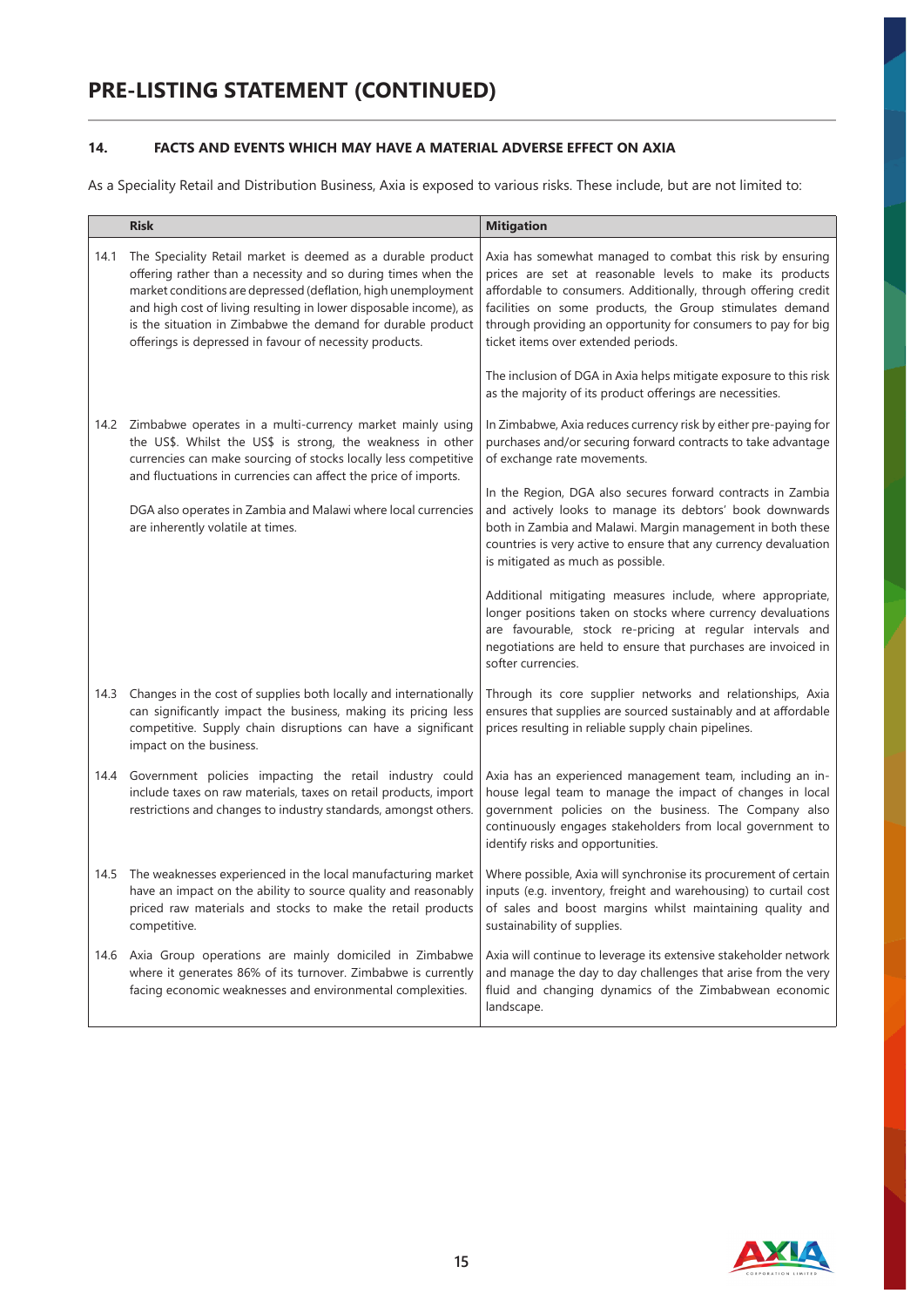# **14. FACTS AND EVENTS WHICH MAY HAVE A MATERIAL ADVERSE EFFECT ON AXIA**

As a Speciality Retail and Distribution Business, Axia is exposed to various risks. These include, but are not limited to:

|      | <b>Risk</b>                                                                                                                                                                                                                                                                                                                                                                                  | <b>Mitigation</b>                                                                                                                                                                                                                                                                                                                                           |
|------|----------------------------------------------------------------------------------------------------------------------------------------------------------------------------------------------------------------------------------------------------------------------------------------------------------------------------------------------------------------------------------------------|-------------------------------------------------------------------------------------------------------------------------------------------------------------------------------------------------------------------------------------------------------------------------------------------------------------------------------------------------------------|
| 14.1 | The Speciality Retail market is deemed as a durable product<br>offering rather than a necessity and so during times when the<br>market conditions are depressed (deflation, high unemployment<br>and high cost of living resulting in lower disposable income), as<br>is the situation in Zimbabwe the demand for durable product<br>offerings is depressed in favour of necessity products. | Axia has somewhat managed to combat this risk by ensuring<br>prices are set at reasonable levels to make its products<br>affordable to consumers. Additionally, through offering credit<br>facilities on some products, the Group stimulates demand<br>through providing an opportunity for consumers to pay for big<br>ticket items over extended periods. |
|      |                                                                                                                                                                                                                                                                                                                                                                                              | The inclusion of DGA in Axia helps mitigate exposure to this risk<br>as the majority of its product offerings are necessities.                                                                                                                                                                                                                              |
| 14.2 | Zimbabwe operates in a multi-currency market mainly using<br>the US\$. Whilst the US\$ is strong, the weakness in other<br>currencies can make sourcing of stocks locally less competitive<br>and fluctuations in currencies can affect the price of imports.                                                                                                                                | In Zimbabwe, Axia reduces currency risk by either pre-paying for<br>purchases and/or securing forward contracts to take advantage<br>of exchange rate movements.                                                                                                                                                                                            |
|      | DGA also operates in Zambia and Malawi where local currencies<br>are inherently volatile at times.                                                                                                                                                                                                                                                                                           | In the Region, DGA also secures forward contracts in Zambia<br>and actively looks to manage its debtors' book downwards<br>both in Zambia and Malawi. Margin management in both these<br>countries is very active to ensure that any currency devaluation<br>is mitigated as much as possible.                                                              |
|      |                                                                                                                                                                                                                                                                                                                                                                                              | Additional mitigating measures include, where appropriate,<br>longer positions taken on stocks where currency devaluations<br>are favourable, stock re-pricing at regular intervals and<br>negotiations are held to ensure that purchases are invoiced in<br>softer currencies.                                                                             |
| 14.3 | Changes in the cost of supplies both locally and internationally<br>can significantly impact the business, making its pricing less<br>competitive. Supply chain disruptions can have a significant<br>impact on the business.                                                                                                                                                                | Through its core supplier networks and relationships, Axia<br>ensures that supplies are sourced sustainably and at affordable<br>prices resulting in reliable supply chain pipelines.                                                                                                                                                                       |
| 14.4 | Government policies impacting the retail industry could<br>include taxes on raw materials, taxes on retail products, import<br>restrictions and changes to industry standards, amongst others.                                                                                                                                                                                               | Axia has an experienced management team, including an in-<br>house legal team to manage the impact of changes in local<br>government policies on the business. The Company also<br>continuously engages stakeholders from local government to<br>identify risks and opportunities.                                                                          |
| 14.5 | The weaknesses experienced in the local manufacturing market<br>have an impact on the ability to source quality and reasonably<br>priced raw materials and stocks to make the retail products<br>competitive.                                                                                                                                                                                | Where possible, Axia will synchronise its procurement of certain<br>inputs (e.g. inventory, freight and warehousing) to curtail cost<br>of sales and boost margins whilst maintaining quality and<br>sustainability of supplies.                                                                                                                            |
| 14.6 | Axia Group operations are mainly domiciled in Zimbabwe<br>where it generates 86% of its turnover. Zimbabwe is currently<br>facing economic weaknesses and environmental complexities.                                                                                                                                                                                                        | Axia will continue to leverage its extensive stakeholder network<br>and manage the day to day challenges that arise from the very<br>fluid and changing dynamics of the Zimbabwean economic<br>landscape.                                                                                                                                                   |

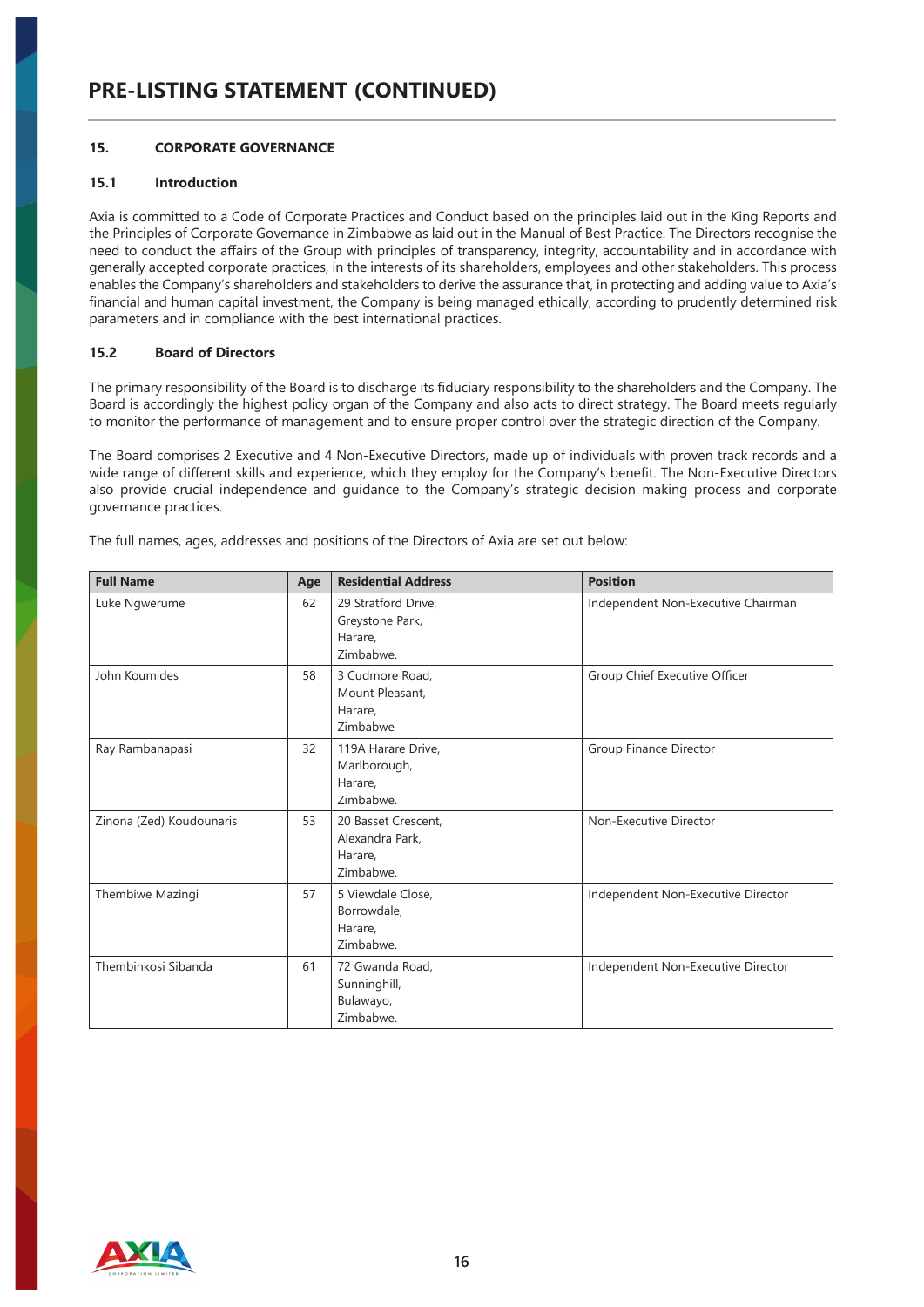# **15. CORPORATE GOVERNANCE**

# **15.1 Introduction**

Axia is committed to a Code of Corporate Practices and Conduct based on the principles laid out in the King Reports and the Principles of Corporate Governance in Zimbabwe as laid out in the Manual of Best Practice. The Directors recognise the need to conduct the affairs of the Group with principles of transparency, integrity, accountability and in accordance with generally accepted corporate practices, in the interests of its shareholders, employees and other stakeholders. This process enables the Company's shareholders and stakeholders to derive the assurance that, in protecting and adding value to Axia's financial and human capital investment, the Company is being managed ethically, according to prudently determined risk parameters and in compliance with the best international practices.

# **15.2 Board of Directors**

The primary responsibility of the Board is to discharge its fiduciary responsibility to the shareholders and the Company. The Board is accordingly the highest policy organ of the Company and also acts to direct strategy. The Board meets regularly to monitor the performance of management and to ensure proper control over the strategic direction of the Company.

The Board comprises 2 Executive and 4 Non-Executive Directors, made up of individuals with proven track records and a wide range of different skills and experience, which they employ for the Company's benefit. The Non-Executive Directors also provide crucial independence and guidance to the Company's strategic decision making process and corporate governance practices.

| <b>Full Name</b>         | Age | <b>Residential Address</b>                                     | <b>Position</b>                    |
|--------------------------|-----|----------------------------------------------------------------|------------------------------------|
| Luke Ngwerume            | 62  | 29 Stratford Drive,<br>Greystone Park,<br>Harare,<br>Zimbabwe. | Independent Non-Executive Chairman |
| John Koumides            | 58  | 3 Cudmore Road,<br>Mount Pleasant,<br>Harare,<br>Zimbabwe      | Group Chief Executive Officer      |
| Ray Rambanapasi          | 32  | 119A Harare Drive,<br>Marlborough,<br>Harare,<br>Zimbabwe.     | Group Finance Director             |
| Zinona (Zed) Koudounaris | 53  | 20 Basset Crescent.<br>Alexandra Park.<br>Harare,<br>Zimbabwe. | Non-Executive Director             |
| Thembiwe Mazingi         | 57  | 5 Viewdale Close,<br>Borrowdale,<br>Harare,<br>Zimbabwe.       | Independent Non-Executive Director |
| Thembinkosi Sibanda      | 61  | 72 Gwanda Road,<br>Sunninghill,<br>Bulawayo,<br>Zimbabwe.      | Independent Non-Executive Director |

The full names, ages, addresses and positions of the Directors of Axia are set out below:

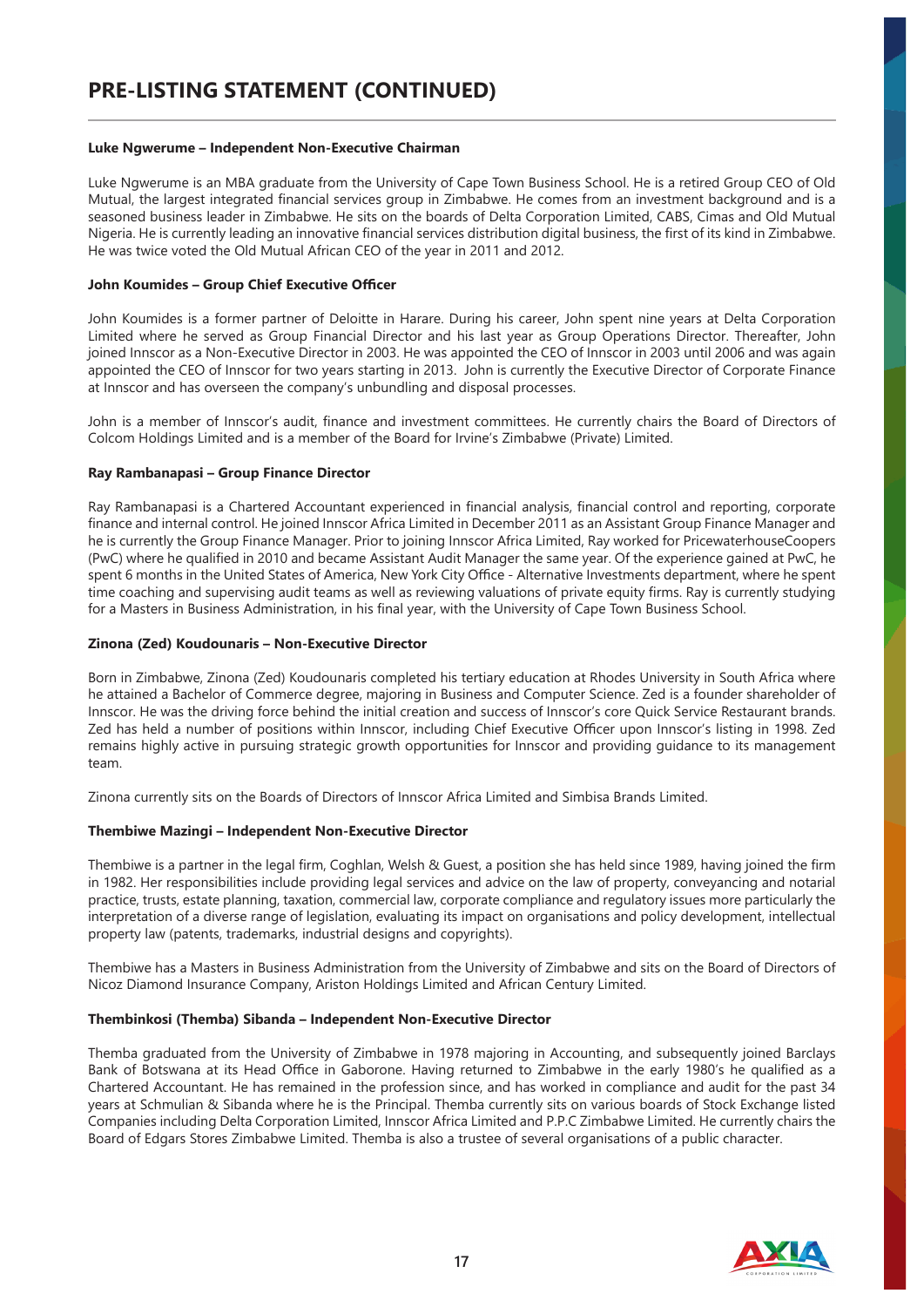#### **Luke Ngwerume – Independent Non-Executive Chairman**

Luke Ngwerume is an MBA graduate from the University of Cape Town Business School. He is a retired Group CEO of Old Mutual, the largest integrated financial services group in Zimbabwe. He comes from an investment background and is a seasoned business leader in Zimbabwe. He sits on the boards of Delta Corporation Limited, CABS, Cimas and Old Mutual Nigeria. He is currently leading an innovative financial services distribution digital business, the first of its kind in Zimbabwe. He was twice voted the Old Mutual African CEO of the year in 2011 and 2012.

#### **John Koumides – Group Chief Executive Officer**

John Koumides is a former partner of Deloitte in Harare. During his career, John spent nine years at Delta Corporation Limited where he served as Group Financial Director and his last year as Group Operations Director. Thereafter, John joined Innscor as a Non-Executive Director in 2003. He was appointed the CEO of Innscor in 2003 until 2006 and was again appointed the CEO of Innscor for two years starting in 2013. John is currently the Executive Director of Corporate Finance at Innscor and has overseen the company's unbundling and disposal processes.

John is a member of Innscor's audit, finance and investment committees. He currently chairs the Board of Directors of Colcom Holdings Limited and is a member of the Board for Irvine's Zimbabwe (Private) Limited.

#### **Ray Rambanapasi – Group Finance Director**

Ray Rambanapasi is a Chartered Accountant experienced in financial analysis, financial control and reporting, corporate finance and internal control. He joined Innscor Africa Limited in December 2011 as an Assistant Group Finance Manager and he is currently the Group Finance Manager. Prior to joining Innscor Africa Limited, Ray worked for PricewaterhouseCoopers (PwC) where he qualified in 2010 and became Assistant Audit Manager the same year. Of the experience gained at PwC, he spent 6 months in the United States of America, New York City Office - Alternative Investments department, where he spent time coaching and supervising audit teams as well as reviewing valuations of private equity firms. Ray is currently studying for a Masters in Business Administration, in his final year, with the University of Cape Town Business School.

#### **Zinona (Zed) Koudounaris – Non-Executive Director**

Born in Zimbabwe, Zinona (Zed) Koudounaris completed his tertiary education at Rhodes University in South Africa where he attained a Bachelor of Commerce degree, majoring in Business and Computer Science. Zed is a founder shareholder of Innscor. He was the driving force behind the initial creation and success of Innscor's core Quick Service Restaurant brands. Zed has held a number of positions within Innscor, including Chief Executive Officer upon Innscor's listing in 1998. Zed remains highly active in pursuing strategic growth opportunities for Innscor and providing guidance to its management team.

Zinona currently sits on the Boards of Directors of Innscor Africa Limited and Simbisa Brands Limited.

#### **Thembiwe Mazingi – Independent Non-Executive Director**

Thembiwe is a partner in the legal firm, Coghlan, Welsh & Guest, a position she has held since 1989, having joined the firm in 1982. Her responsibilities include providing legal services and advice on the law of property, conveyancing and notarial practice, trusts, estate planning, taxation, commercial law, corporate compliance and regulatory issues more particularly the interpretation of a diverse range of legislation, evaluating its impact on organisations and policy development, intellectual property law (patents, trademarks, industrial designs and copyrights).

Thembiwe has a Masters in Business Administration from the University of Zimbabwe and sits on the Board of Directors of Nicoz Diamond Insurance Company, Ariston Holdings Limited and African Century Limited.

#### **Thembinkosi (Themba) Sibanda – Independent Non-Executive Director**

Themba graduated from the University of Zimbabwe in 1978 majoring in Accounting, and subsequently joined Barclays Bank of Botswana at its Head Office in Gaborone. Having returned to Zimbabwe in the early 1980's he qualified as a Chartered Accountant. He has remained in the profession since, and has worked in compliance and audit for the past 34 years at Schmulian & Sibanda where he is the Principal. Themba currently sits on various boards of Stock Exchange listed Companies including Delta Corporation Limited, Innscor Africa Limited and P.P.C Zimbabwe Limited. He currently chairs the Board of Edgars Stores Zimbabwe Limited. Themba is also a trustee of several organisations of a public character.

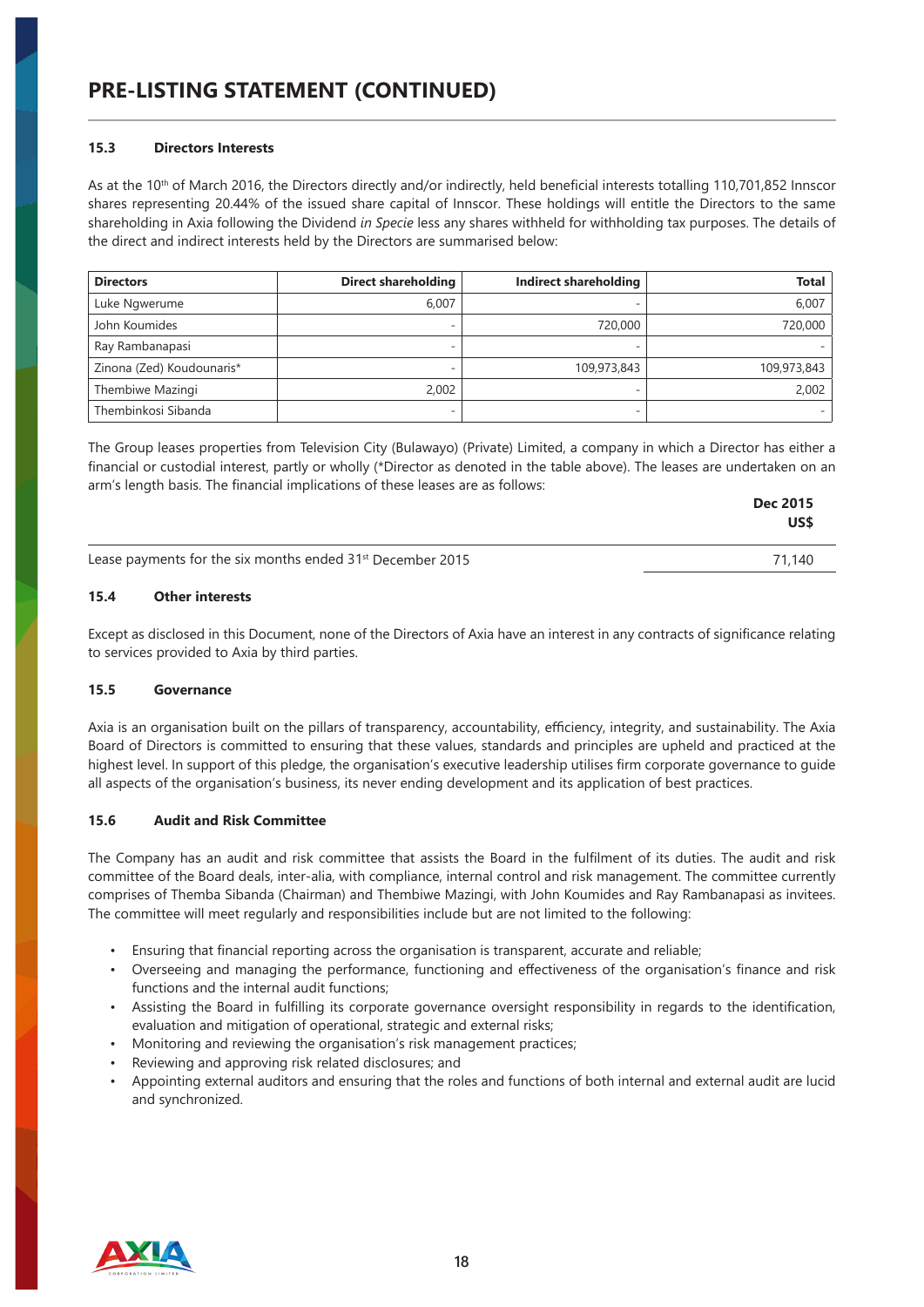#### **15.3 Directors Interests**

As at the 10<sup>th</sup> of March 2016, the Directors directly and/or indirectly, held beneficial interests totalling 110,701,852 Innscor shares representing 20.44% of the issued share capital of Innscor. These holdings will entitle the Directors to the same shareholding in Axia following the Dividend *in Specie* less any shares withheld for withholding tax purposes. The details of the direct and indirect interests held by the Directors are summarised below:

| <b>Directors</b>          | <b>Direct shareholding</b> | Indirect shareholding | <b>Total</b> |
|---------------------------|----------------------------|-----------------------|--------------|
| Luke Ngwerume             | 6.007                      |                       | 6,007        |
| John Koumides             | -                          | 720,000               | 720,000      |
| Ray Rambanapasi           |                            |                       |              |
| Zinona (Zed) Koudounaris* | -                          | 109,973,843           | 109,973,843  |
| Thembiwe Mazingi          | 2.002                      |                       | 2,002        |
| Thembinkosi Sibanda       |                            |                       |              |

The Group leases properties from Television City (Bulawayo) (Private) Limited, a company in which a Director has either a financial or custodial interest, partly or wholly (\*Director as denoted in the table above). The leases are undertaken on an arm's length basis. The financial implications of these leases are as follows:

|                                                                        | <b>Dec 2015</b><br>US\$ |
|------------------------------------------------------------------------|-------------------------|
| Lease payments for the six months ended 31 <sup>st</sup> December 2015 | 71.140                  |

# **15.4 Other interests**

Except as disclosed in this Document, none of the Directors of Axia have an interest in any contracts of significance relating to services provided to Axia by third parties.

#### **15.5 Governance**

Axia is an organisation built on the pillars of transparency, accountability, efficiency, integrity, and sustainability. The Axia Board of Directors is committed to ensuring that these values, standards and principles are upheld and practiced at the highest level. In support of this pledge, the organisation's executive leadership utilises firm corporate governance to guide all aspects of the organisation's business, its never ending development and its application of best practices.

#### **15.6 Audit and Risk Committee**

The Company has an audit and risk committee that assists the Board in the fulfilment of its duties. The audit and risk committee of the Board deals, inter-alia, with compliance, internal control and risk management. The committee currently comprises of Themba Sibanda (Chairman) and Thembiwe Mazingi, with John Koumides and Ray Rambanapasi as invitees. The committee will meet regularly and responsibilities include but are not limited to the following:

- Ensuring that financial reporting across the organisation is transparent, accurate and reliable;
- Overseeing and managing the performance, functioning and effectiveness of the organisation's finance and risk functions and the internal audit functions;
- Assisting the Board in fulfilling its corporate governance oversight responsibility in regards to the identification, evaluation and mitigation of operational, strategic and external risks;
- Monitoring and reviewing the organisation's risk management practices;
- Reviewing and approving risk related disclosures; and
- Appointing external auditors and ensuring that the roles and functions of both internal and external audit are lucid and synchronized.

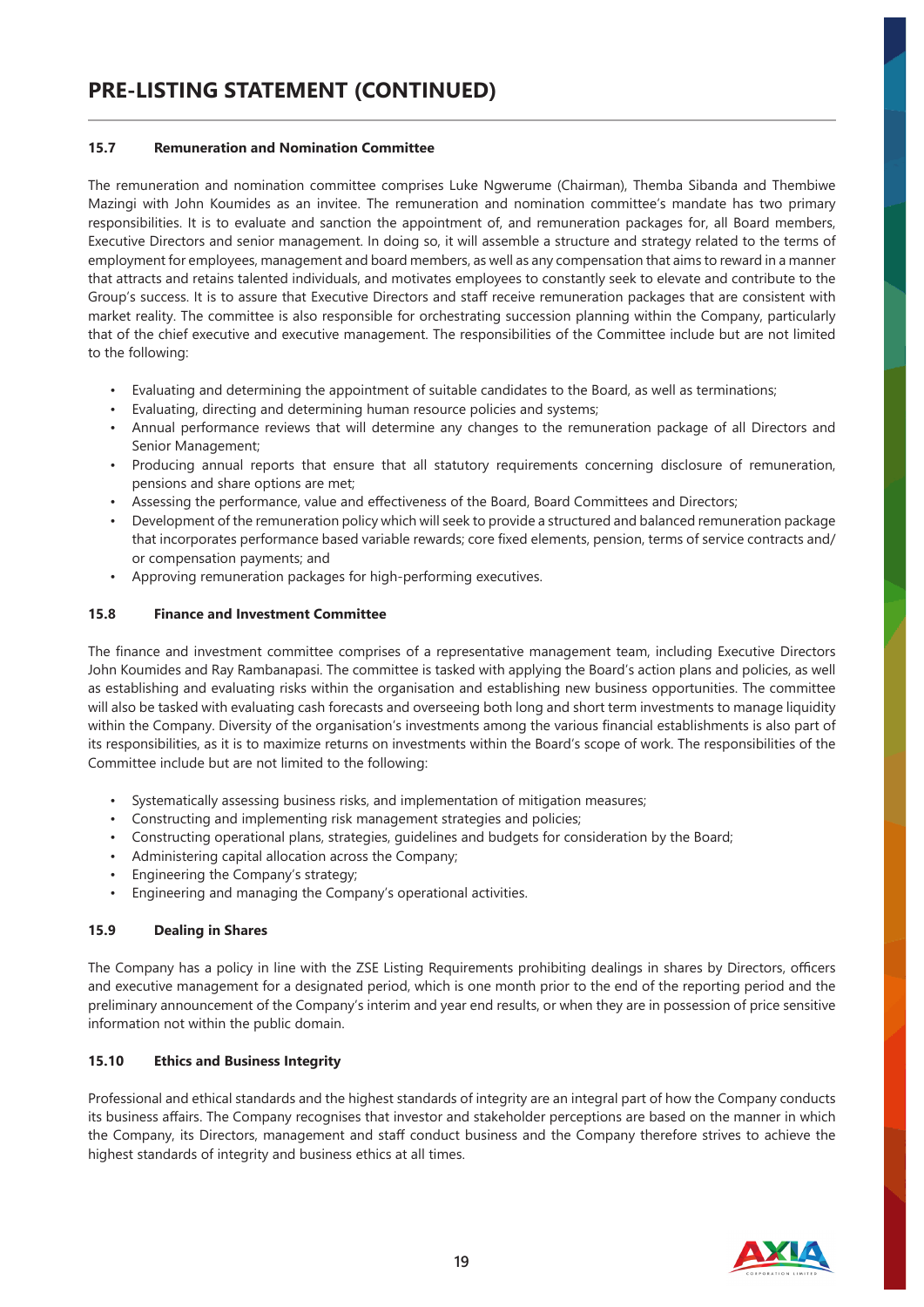## **15.7 Remuneration and Nomination Committee**

The remuneration and nomination committee comprises Luke Ngwerume (Chairman), Themba Sibanda and Thembiwe Mazingi with John Koumides as an invitee. The remuneration and nomination committee's mandate has two primary responsibilities. It is to evaluate and sanction the appointment of, and remuneration packages for, all Board members, Executive Directors and senior management. In doing so, it will assemble a structure and strategy related to the terms of employment for employees, management and board members, as well as any compensation that aims to reward in a manner that attracts and retains talented individuals, and motivates employees to constantly seek to elevate and contribute to the Group's success. It is to assure that Executive Directors and staff receive remuneration packages that are consistent with market reality. The committee is also responsible for orchestrating succession planning within the Company, particularly that of the chief executive and executive management. The responsibilities of the Committee include but are not limited to the following:

- Evaluating and determining the appointment of suitable candidates to the Board, as well as terminations;
- Evaluating, directing and determining human resource policies and systems;
- Annual performance reviews that will determine any changes to the remuneration package of all Directors and Senior Management;
- Producing annual reports that ensure that all statutory requirements concerning disclosure of remuneration, pensions and share options are met;
- Assessing the performance, value and effectiveness of the Board, Board Committees and Directors;
- Development of the remuneration policy which will seek to provide a structured and balanced remuneration package that incorporates performance based variable rewards; core fixed elements, pension, terms of service contracts and/ or compensation payments; and
- Approving remuneration packages for high-performing executives.

# **15.8 Finance and Investment Committee**

The finance and investment committee comprises of a representative management team, including Executive Directors John Koumides and Ray Rambanapasi. The committee is tasked with applying the Board's action plans and policies, as well as establishing and evaluating risks within the organisation and establishing new business opportunities. The committee will also be tasked with evaluating cash forecasts and overseeing both long and short term investments to manage liquidity within the Company. Diversity of the organisation's investments among the various financial establishments is also part of its responsibilities, as it is to maximize returns on investments within the Board's scope of work. The responsibilities of the Committee include but are not limited to the following:

- Systematically assessing business risks, and implementation of mitigation measures;
- Constructing and implementing risk management strategies and policies;
- Constructing operational plans, strategies, guidelines and budgets for consideration by the Board;
- Administering capital allocation across the Company;
- Engineering the Company's strategy;
- Engineering and managing the Company's operational activities.

#### **15.9 Dealing in Shares**

The Company has a policy in line with the ZSE Listing Requirements prohibiting dealings in shares by Directors, officers and executive management for a designated period, which is one month prior to the end of the reporting period and the preliminary announcement of the Company's interim and year end results, or when they are in possession of price sensitive information not within the public domain.

### **15.10 Ethics and Business Integrity**

Professional and ethical standards and the highest standards of integrity are an integral part of how the Company conducts its business affairs. The Company recognises that investor and stakeholder perceptions are based on the manner in which the Company, its Directors, management and staff conduct business and the Company therefore strives to achieve the highest standards of integrity and business ethics at all times.

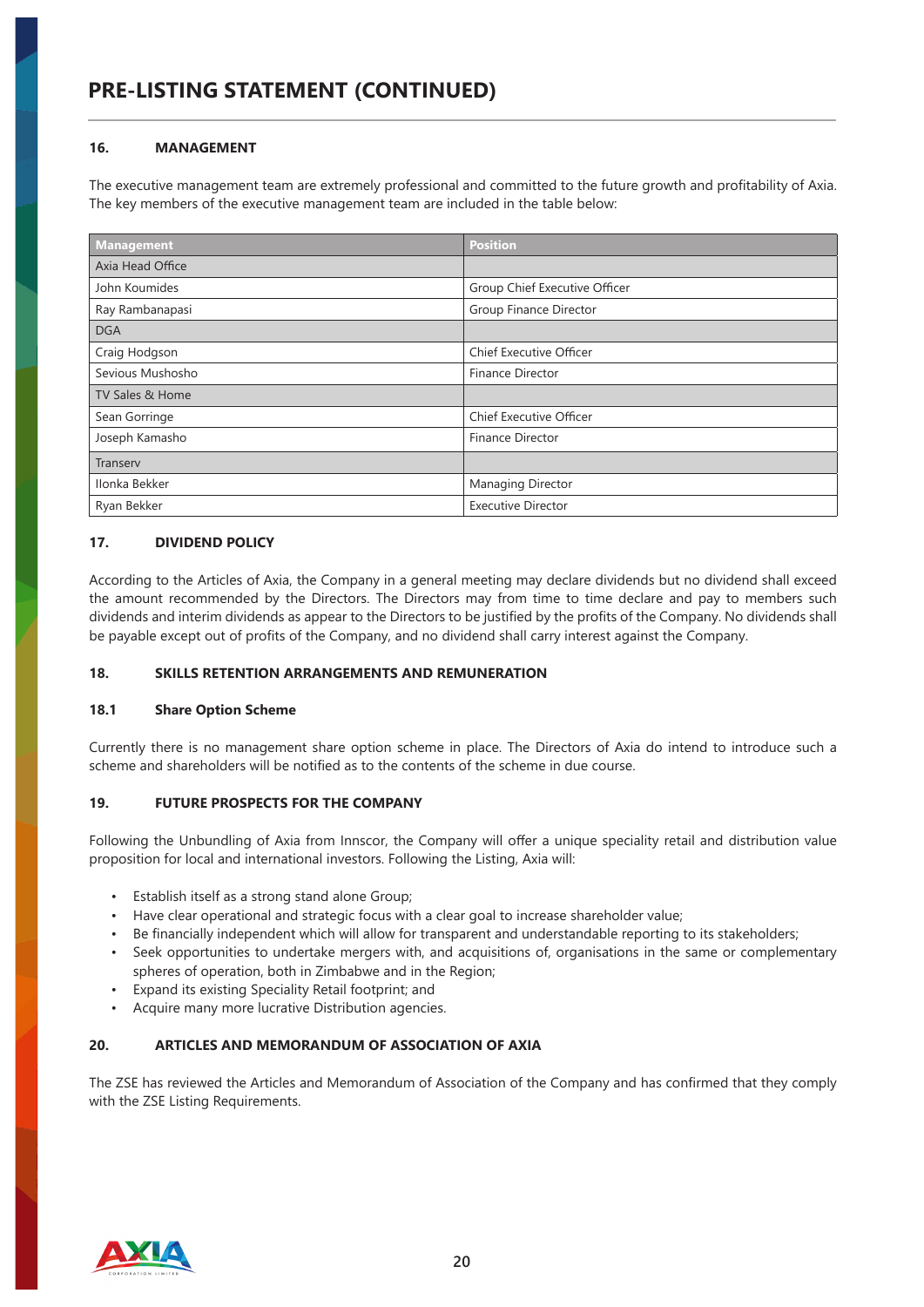# **PRE-LISTING STATEMENT (CONTINUED)**

# **16. MANAGEMENT**

The executive management team are extremely professional and committed to the future growth and profitability of Axia. The key members of the executive management team are included in the table below:

| <b>Management</b> | <b>Position</b>                |
|-------------------|--------------------------------|
| Axia Head Office  |                                |
| John Koumides     | Group Chief Executive Officer  |
| Ray Rambanapasi   | Group Finance Director         |
| <b>DGA</b>        |                                |
| Craig Hodgson     | <b>Chief Executive Officer</b> |
| Sevious Mushosho  | Finance Director               |
| TV Sales & Home   |                                |
| Sean Gorringe     | <b>Chief Executive Officer</b> |
| Joseph Kamasho    | <b>Finance Director</b>        |
| Transerv          |                                |
| Ilonka Bekker     | Managing Director              |
| Ryan Bekker       | <b>Executive Director</b>      |

# **17. DIVIDEND POLICY**

According to the Articles of Axia, the Company in a general meeting may declare dividends but no dividend shall exceed the amount recommended by the Directors. The Directors may from time to time declare and pay to members such dividends and interim dividends as appear to the Directors to be justified by the profits of the Company. No dividends shall be payable except out of profits of the Company, and no dividend shall carry interest against the Company.

#### **18. SKILLS RETENTION ARRANGEMENTS AND REMUNERATION**

#### **18.1 Share Option Scheme**

Currently there is no management share option scheme in place. The Directors of Axia do intend to introduce such a scheme and shareholders will be notified as to the contents of the scheme in due course.

#### **19. FUTURE PROSPECTS FOR THE COMPANY**

Following the Unbundling of Axia from Innscor, the Company will offer a unique speciality retail and distribution value proposition for local and international investors. Following the Listing, Axia will:

- Establish itself as a strong stand alone Group;
- Have clear operational and strategic focus with a clear goal to increase shareholder value;
- Be financially independent which will allow for transparent and understandable reporting to its stakeholders;
- Seek opportunities to undertake mergers with, and acquisitions of, organisations in the same or complementary spheres of operation, both in Zimbabwe and in the Region;
- Expand its existing Speciality Retail footprint; and
- Acquire many more lucrative Distribution agencies.

#### **20. ARTICLES AND MEMORANDUM OF ASSOCIATION OF AXIA**

The ZSE has reviewed the Articles and Memorandum of Association of the Company and has confirmed that they comply with the ZSE Listing Requirements.

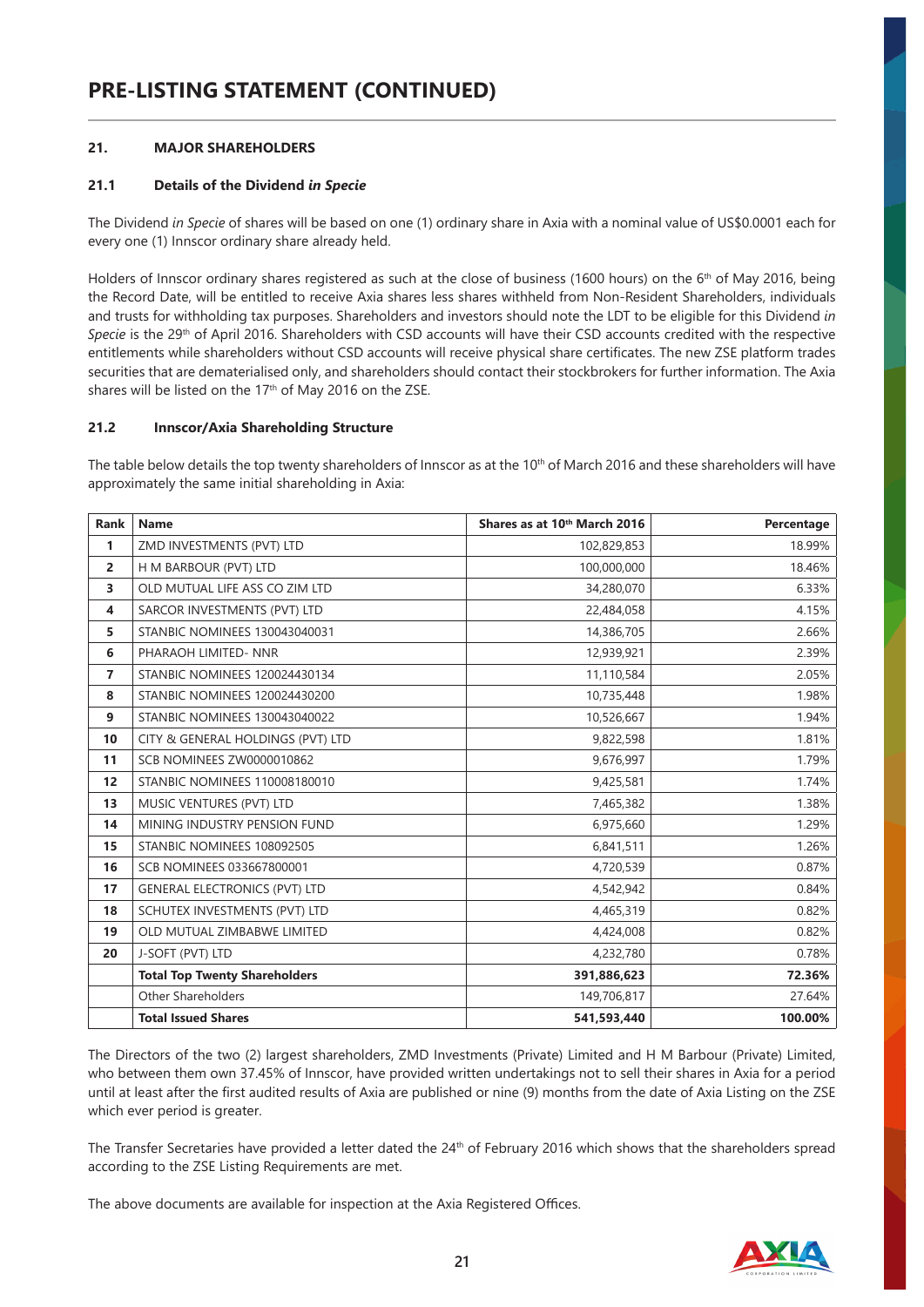# **21. MAJOR SHAREHOLDERS**

# **21.1 Details of the Dividend** *in Specie*

The Dividend *in Specie* of shares will be based on one (1) ordinary share in Axia with a nominal value of US\$0.0001 each for every one (1) Innscor ordinary share already held.

Holders of Innscor ordinary shares registered as such at the close of business (1600 hours) on the 6<sup>th</sup> of May 2016, being the Record Date, will be entitled to receive Axia shares less shares withheld from Non-Resident Shareholders, individuals and trusts for withholding tax purposes. Shareholders and investors should note the LDT to be eligible for this Dividend *in Specie* is the 29th of April 2016. Shareholders with CSD accounts will have their CSD accounts credited with the respective entitlements while shareholders without CSD accounts will receive physical share certificates. The new ZSE platform trades securities that are dematerialised only, and shareholders should contact their stockbrokers for further information. The Axia shares will be listed on the 17<sup>th</sup> of May 2016 on the ZSE.

#### **21.2 Innscor/Axia Shareholding Structure**

The table below details the top twenty shareholders of Innscor as at the 10<sup>th</sup> of March 2016 and these shareholders will have approximately the same initial shareholding in Axia:

| <b>Rank</b>    | Name                                 | Shares as at 10th March 2016 | Percentage |
|----------------|--------------------------------------|------------------------------|------------|
| $\mathbf{1}$   | ZMD INVESTMENTS (PVT) LTD            | 102,829,853                  | 18.99%     |
| $\overline{2}$ | H M BARBOUR (PVT) LTD                | 100,000,000                  | 18.46%     |
| 3              | OLD MUTUAL LIFE ASS CO ZIM LTD       | 34,280,070                   | 6.33%      |
| 4              | SARCOR INVESTMENTS (PVT) LTD         | 22,484,058                   | 4.15%      |
| 5.             | <b>STANBIC NOMINEES 130043040031</b> | 14,386,705                   | 2.66%      |
| 6              | PHARAOH LIMITED- NNR                 | 12,939,921                   | 2.39%      |
| $\overline{7}$ | <b>STANBIC NOMINEES 120024430134</b> | 11,110,584                   | 2.05%      |
| 8              | <b>STANBIC NOMINEES 120024430200</b> | 10,735,448                   | 1.98%      |
| 9              | <b>STANBIC NOMINEES 130043040022</b> | 10,526,667                   | 1.94%      |
| 10             | CITY & GENERAL HOLDINGS (PVT) LTD    | 9,822,598                    | 1.81%      |
| 11             | SCB NOMINEES ZW0000010862            | 9,676,997                    | 1.79%      |
| 12             | <b>STANBIC NOMINEES 110008180010</b> | 9,425,581                    | 1.74%      |
| 13             | MUSIC VENTURES (PVT) LTD             | 7,465,382                    | 1.38%      |
| 14             | MINING INDUSTRY PENSION FUND         | 6,975,660                    | 1.29%      |
| 15             | STANBIC NOMINEES 108092505           | 6,841,511                    | 1.26%      |
| 16             | <b>SCB NOMINEES 033667800001</b>     | 4,720,539                    | 0.87%      |
| 17             | <b>GENERAL ELECTRONICS (PVT) LTD</b> | 4,542,942                    | 0.84%      |
| 18             | SCHUTEX INVESTMENTS (PVT) LTD        | 4,465,319                    | 0.82%      |
| 19             | OLD MUTUAL ZIMBABWE LIMITED          | 4,424,008                    | 0.82%      |
| 20             | J-SOFT (PVT) LTD                     | 4,232,780                    | 0.78%      |
|                | <b>Total Top Twenty Shareholders</b> | 391,886,623                  | 72.36%     |
|                | Other Shareholders                   | 149,706,817                  | 27.64%     |
|                | <b>Total Issued Shares</b>           | 541,593,440                  | 100.00%    |

The Directors of the two (2) largest shareholders, ZMD Investments (Private) Limited and H M Barbour (Private) Limited, who between them own 37.45% of Innscor, have provided written undertakings not to sell their shares in Axia for a period until at least after the first audited results of Axia are published or nine (9) months from the date of Axia Listing on the ZSE which ever period is greater.

The Transfer Secretaries have provided a letter dated the 24th of February 2016 which shows that the shareholders spread according to the ZSE Listing Requirements are met.

The above documents are available for inspection at the Axia Registered Offices.

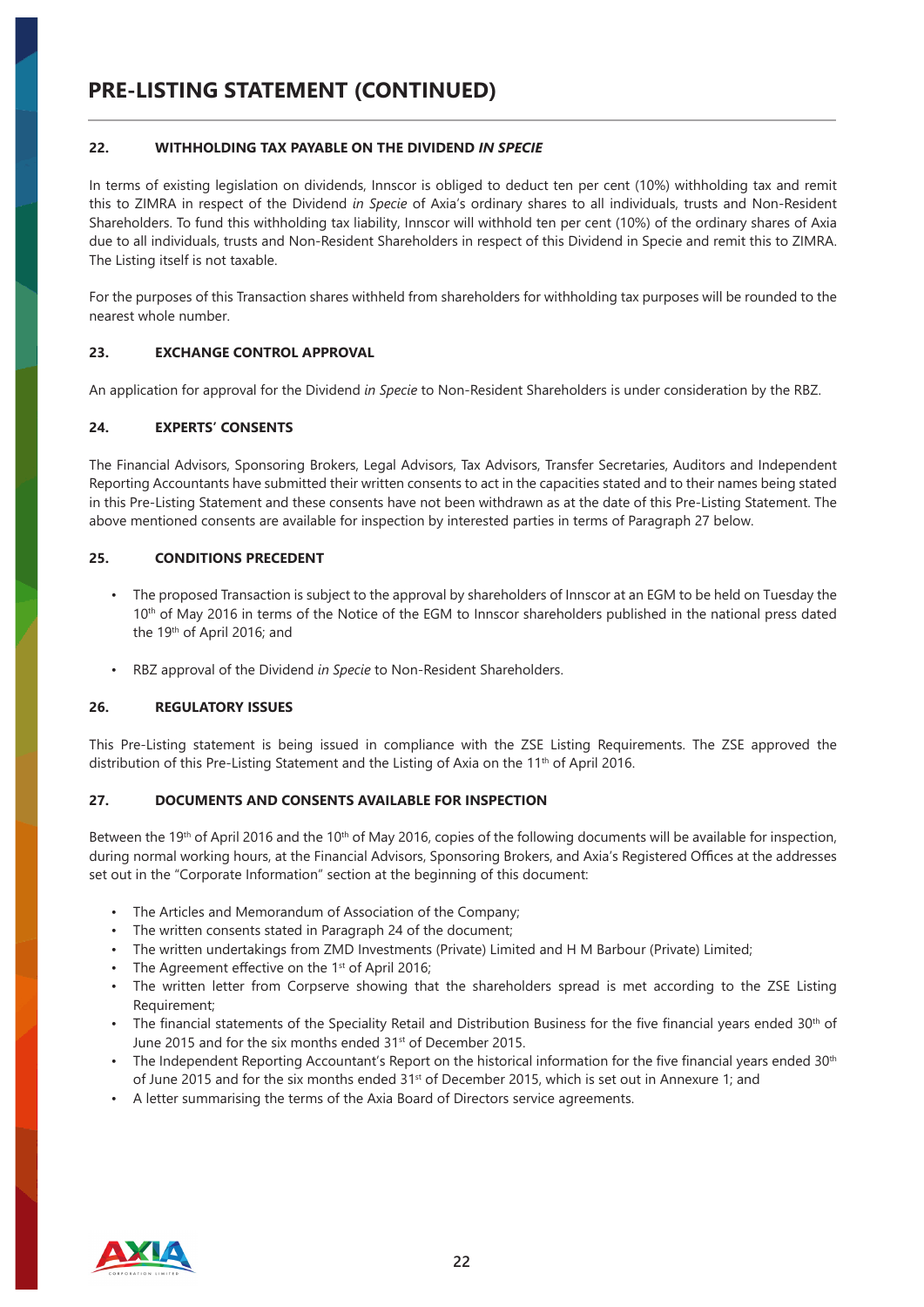# **PRE-LISTING STATEMENT (CONTINUED)**

### **22. WITHHOLDING TAX PAYABLE ON THE DIVIDEND** *IN SPECIE*

In terms of existing legislation on dividends, Innscor is obliged to deduct ten per cent (10%) withholding tax and remit this to ZIMRA in respect of the Dividend *in Specie* of Axia's ordinary shares to all individuals, trusts and Non-Resident Shareholders. To fund this withholding tax liability, Innscor will withhold ten per cent (10%) of the ordinary shares of Axia due to all individuals, trusts and Non-Resident Shareholders in respect of this Dividend in Specie and remit this to ZIMRA. The Listing itself is not taxable.

For the purposes of this Transaction shares withheld from shareholders for withholding tax purposes will be rounded to the nearest whole number.

# **23. EXCHANGE CONTROL APPROVAL**

An application for approval for the Dividend *in Specie* to Non-Resident Shareholders is under consideration by the RBZ.

# **24. EXPERTS' CONSENTS**

The Financial Advisors, Sponsoring Brokers, Legal Advisors, Tax Advisors, Transfer Secretaries, Auditors and Independent Reporting Accountants have submitted their written consents to act in the capacities stated and to their names being stated in this Pre-Listing Statement and these consents have not been withdrawn as at the date of this Pre-Listing Statement. The above mentioned consents are available for inspection by interested parties in terms of Paragraph 27 below.

#### **25. CONDITIONS PRECEDENT**

- The proposed Transaction is subject to the approval by shareholders of Innscor at an EGM to be held on Tuesday the 10th of May 2016 in terms of the Notice of the EGM to Innscor shareholders published in the national press dated the 19th of April 2016; and
- RBZ approval of the Dividend *in Specie* to Non-Resident Shareholders.

#### **26. REGULATORY ISSUES**

This Pre-Listing statement is being issued in compliance with the ZSE Listing Requirements. The ZSE approved the distribution of this Pre-Listing Statement and the Listing of Axia on the 11<sup>th</sup> of April 2016.

#### **27. DOCUMENTS AND CONSENTS AVAILABLE FOR INSPECTION**

Between the 19th of April 2016 and the 10<sup>th</sup> of May 2016, copies of the following documents will be available for inspection, during normal working hours, at the Financial Advisors, Sponsoring Brokers, and Axia's Registered Offices at the addresses set out in the "Corporate Information" section at the beginning of this document:

- The Articles and Memorandum of Association of the Company;
- The written consents stated in Paragraph 24 of the document;
- The written undertakings from ZMD Investments (Private) Limited and H M Barbour (Private) Limited;
- The Agreement effective on the 1<sup>st</sup> of April 2016;
- The written letter from Corpserve showing that the shareholders spread is met according to the ZSE Listing Requirement;
- The financial statements of the Speciality Retail and Distribution Business for the five financial years ended 30<sup>th</sup> of June 2015 and for the six months ended 31<sup>st</sup> of December 2015.
- The Independent Reporting Accountant's Report on the historical information for the five financial years ended  $30<sup>th</sup>$ of June 2015 and for the six months ended 31<sup>st</sup> of December 2015, which is set out in Annexure 1; and
- A letter summarising the terms of the Axia Board of Directors service agreements.

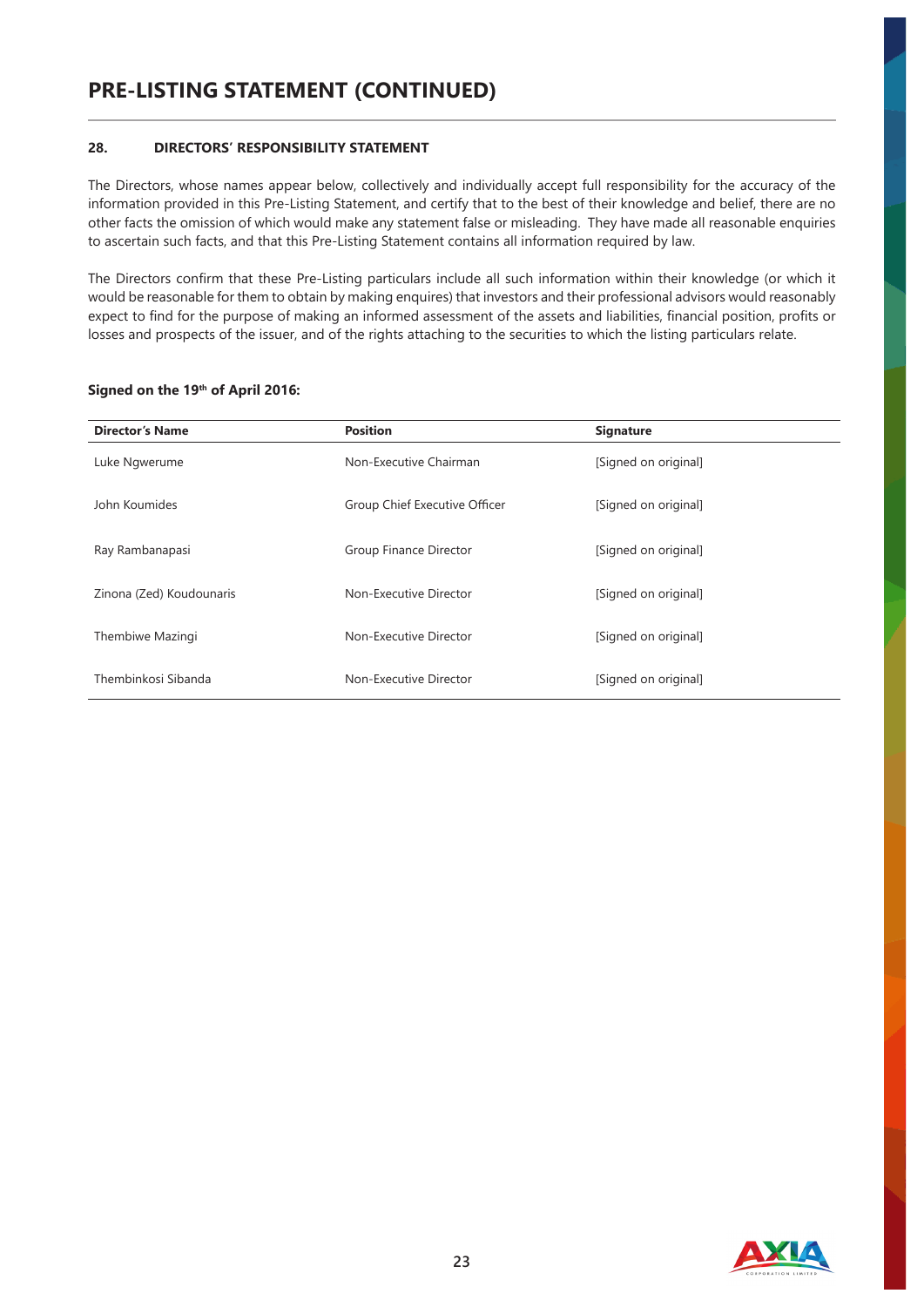# **28. DIRECTORS' RESPONSIBILITY STATEMENT**

The Directors, whose names appear below, collectively and individually accept full responsibility for the accuracy of the information provided in this Pre-Listing Statement, and certify that to the best of their knowledge and belief, there are no other facts the omission of which would make any statement false or misleading. They have made all reasonable enquiries to ascertain such facts, and that this Pre-Listing Statement contains all information required by law.

The Directors confirm that these Pre-Listing particulars include all such information within their knowledge (or which it would be reasonable for them to obtain by making enquires) that investors and their professional advisors would reasonably expect to find for the purpose of making an informed assessment of the assets and liabilities, financial position, profits or losses and prospects of the issuer, and of the rights attaching to the securities to which the listing particulars relate.

| <b>Director's Name</b>   | <b>Position</b>               | <b>Signature</b>     |
|--------------------------|-------------------------------|----------------------|
| Luke Ngwerume            | Non-Executive Chairman        | [Signed on original] |
| John Koumides            | Group Chief Executive Officer | [Signed on original] |
| Ray Rambanapasi          | Group Finance Director        | [Signed on original] |
| Zinona (Zed) Koudounaris | Non-Executive Director        | [Signed on original] |
| Thembiwe Mazingi         | Non-Executive Director        | [Signed on original] |
| Thembinkosi Sibanda      | Non-Executive Director        | [Signed on original] |

#### **Signed on the 19th of April 2016:**

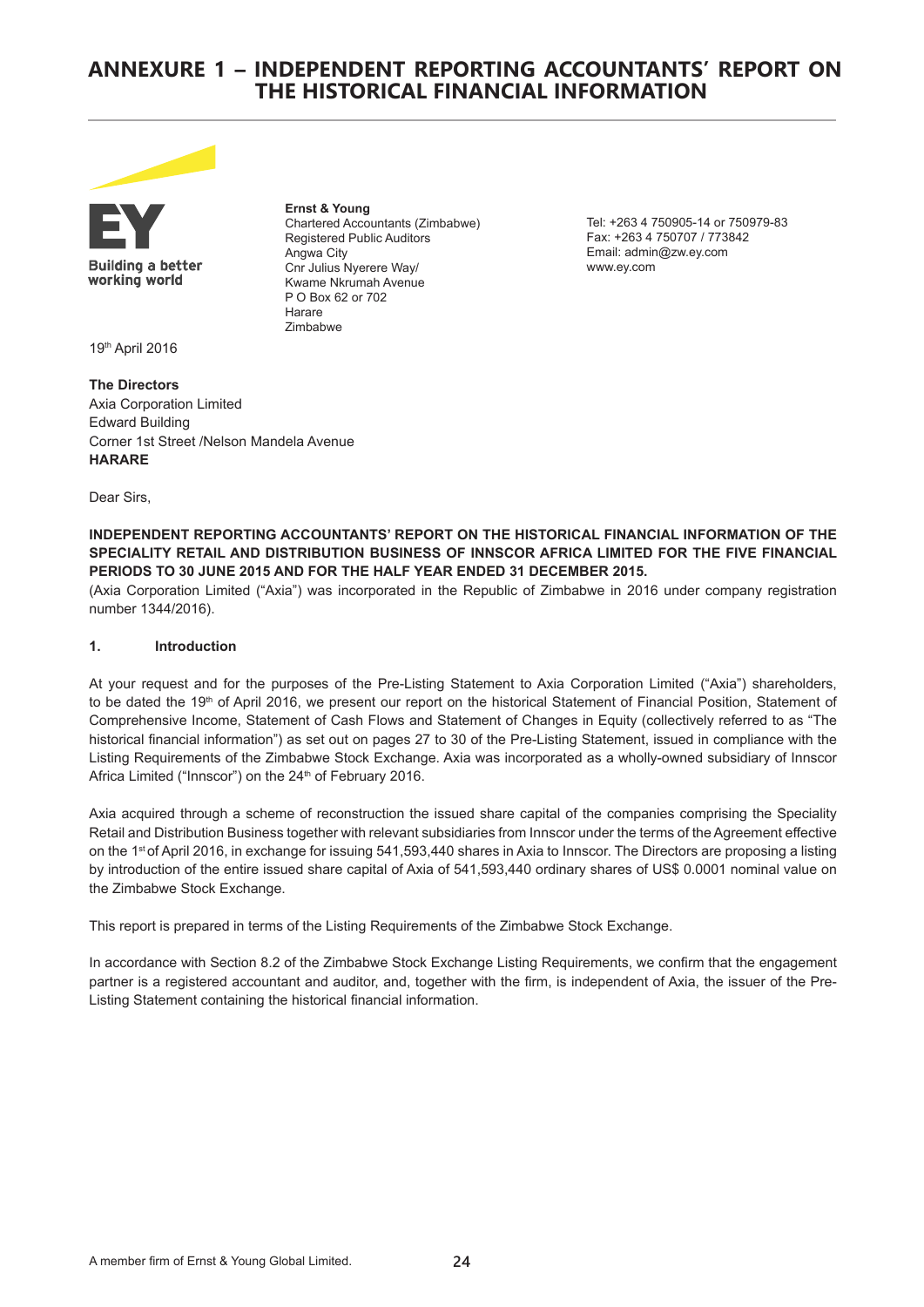# **ANNEXURE 1 – INDEPENDENT REPORTING ACCOUNTANTS' REPORT ON THE HISTORICAL FINANCIAL INFORMATION**



**Building a better** working world

**Ernst & Young** Chartered Accountants (Zimbabwe) Registered Public Auditors Angwa City Cnr Julius Nyerere Way/ Kwame Nkrumah Avenue P O Box 62 or 702 Harare Zimbabwe

Tel: +263 4 750905-14 or 750979-83 Fax: +263 4 750707 / 773842 Email: admin@zw.ey.com www.ey.com

19th April 2016

**The Directors** Axia Corporation Limited Edward Building Corner 1st Street /Nelson Mandela Avenue **HARARE**

Dear Sirs,

**INDEPENDENT REPORTING ACCOUNTANTS' REPORT ON THE HISTORICAL FINANCIAL INFORMATION OF THE SPECIALITY RETAIL AND DISTRIBUTION BUSINESS OF INNSCOR AFRICA LIMITED FOR THE FIVE FINANCIAL PERIODS TO 30 JUNE 2015 AND FOR THE HALF YEAR ENDED 31 DECEMBER 2015.** 

(Axia Corporation Limited ("Axia") was incorporated in the Republic of Zimbabwe in 2016 under company registration number 1344/2016).

### **1. Introduction**

At your request and for the purposes of the Pre-Listing Statement to Axia Corporation Limited ("Axia") shareholders, to be dated the 19<sup>th</sup> of April 2016, we present our report on the historical Statement of Financial Position, Statement of Comprehensive Income, Statement of Cash Flows and Statement of Changes in Equity (collectively referred to as "The historical financial information") as set out on pages 27 to 30 of the Pre-Listing Statement, issued in compliance with the Listing Requirements of the Zimbabwe Stock Exchange. Axia was incorporated as a wholly-owned subsidiary of Innscor Africa Limited ("Innscor") on the 24<sup>th</sup> of February 2016.

Axia acquired through a scheme of reconstruction the issued share capital of the companies comprising the Speciality Retail and Distribution Business together with relevant subsidiaries from Innscor under the terms of the Agreement effective on the 1st of April 2016, in exchange for issuing 541,593,440 shares in Axia to Innscor. The Directors are proposing a listing by introduction of the entire issued share capital of Axia of 541,593,440 ordinary shares of US\$ 0.0001 nominal value on the Zimbabwe Stock Exchange.

This report is prepared in terms of the Listing Requirements of the Zimbabwe Stock Exchange.

In accordance with Section 8.2 of the Zimbabwe Stock Exchange Listing Requirements, we confirm that the engagement partner is a registered accountant and auditor, and, together with the firm, is independent of Axia, the issuer of the Pre-Listing Statement containing the historical financial information.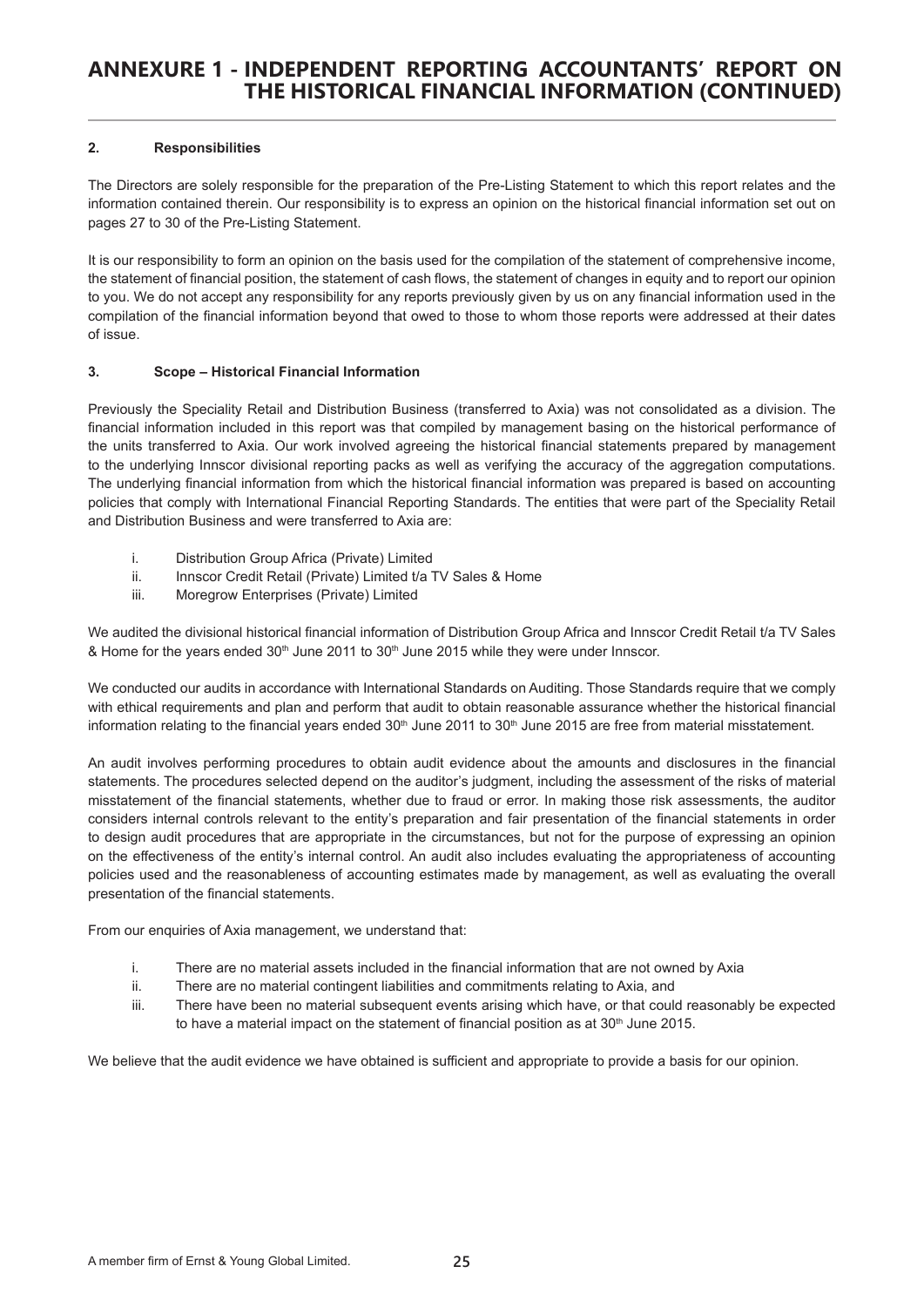# **2. Responsibilities**

The Directors are solely responsible for the preparation of the Pre-Listing Statement to which this report relates and the information contained therein. Our responsibility is to express an opinion on the historical financial information set out on pages 27 to 30 of the Pre-Listing Statement.

It is our responsibility to form an opinion on the basis used for the compilation of the statement of comprehensive income, the statement of financial position, the statement of cash flows, the statement of changes in equity and to report our opinion to you. We do not accept any responsibility for any reports previously given by us on any financial information used in the compilation of the financial information beyond that owed to those to whom those reports were addressed at their dates of issue.

# **3. Scope – Historical Financial Information**

Previously the Speciality Retail and Distribution Business (transferred to Axia) was not consolidated as a division. The financial information included in this report was that compiled by management basing on the historical performance of the units transferred to Axia. Our work involved agreeing the historical financial statements prepared by management to the underlying Innscor divisional reporting packs as well as verifying the accuracy of the aggregation computations. The underlying financial information from which the historical financial information was prepared is based on accounting policies that comply with International Financial Reporting Standards. The entities that were part of the Speciality Retail and Distribution Business and were transferred to Axia are:

- i. Distribution Group Africa (Private) Limited
- ii. Innscor Credit Retail (Private) Limited t/a TV Sales & Home
- iii. Moregrow Enterprises (Private) Limited

We audited the divisional historical financial information of Distribution Group Africa and Innscor Credit Retail t/a TV Sales & Home for the years ended 30<sup>th</sup> June 2011 to 30<sup>th</sup> June 2015 while they were under Innscor.

We conducted our audits in accordance with International Standards on Auditing. Those Standards require that we comply with ethical requirements and plan and perform that audit to obtain reasonable assurance whether the historical financial information relating to the financial years ended  $30<sup>th</sup>$  June  $2011$  to  $30<sup>th</sup>$  June  $2015$  are free from material misstatement.

An audit involves performing procedures to obtain audit evidence about the amounts and disclosures in the financial statements. The procedures selected depend on the auditor's judgment, including the assessment of the risks of material misstatement of the financial statements, whether due to fraud or error. In making those risk assessments, the auditor considers internal controls relevant to the entity's preparation and fair presentation of the financial statements in order to design audit procedures that are appropriate in the circumstances, but not for the purpose of expressing an opinion on the effectiveness of the entity's internal control. An audit also includes evaluating the appropriateness of accounting policies used and the reasonableness of accounting estimates made by management, as well as evaluating the overall presentation of the financial statements.

From our enquiries of Axia management, we understand that:

- i. There are no material assets included in the financial information that are not owned by Axia
- ii. There are no material contingent liabilities and commitments relating to Axia, and
- iii. There have been no material subsequent events arising which have, or that could reasonably be expected to have a material impact on the statement of financial position as at  $30<sup>th</sup>$  June 2015.

We believe that the audit evidence we have obtained is sufficient and appropriate to provide a basis for our opinion.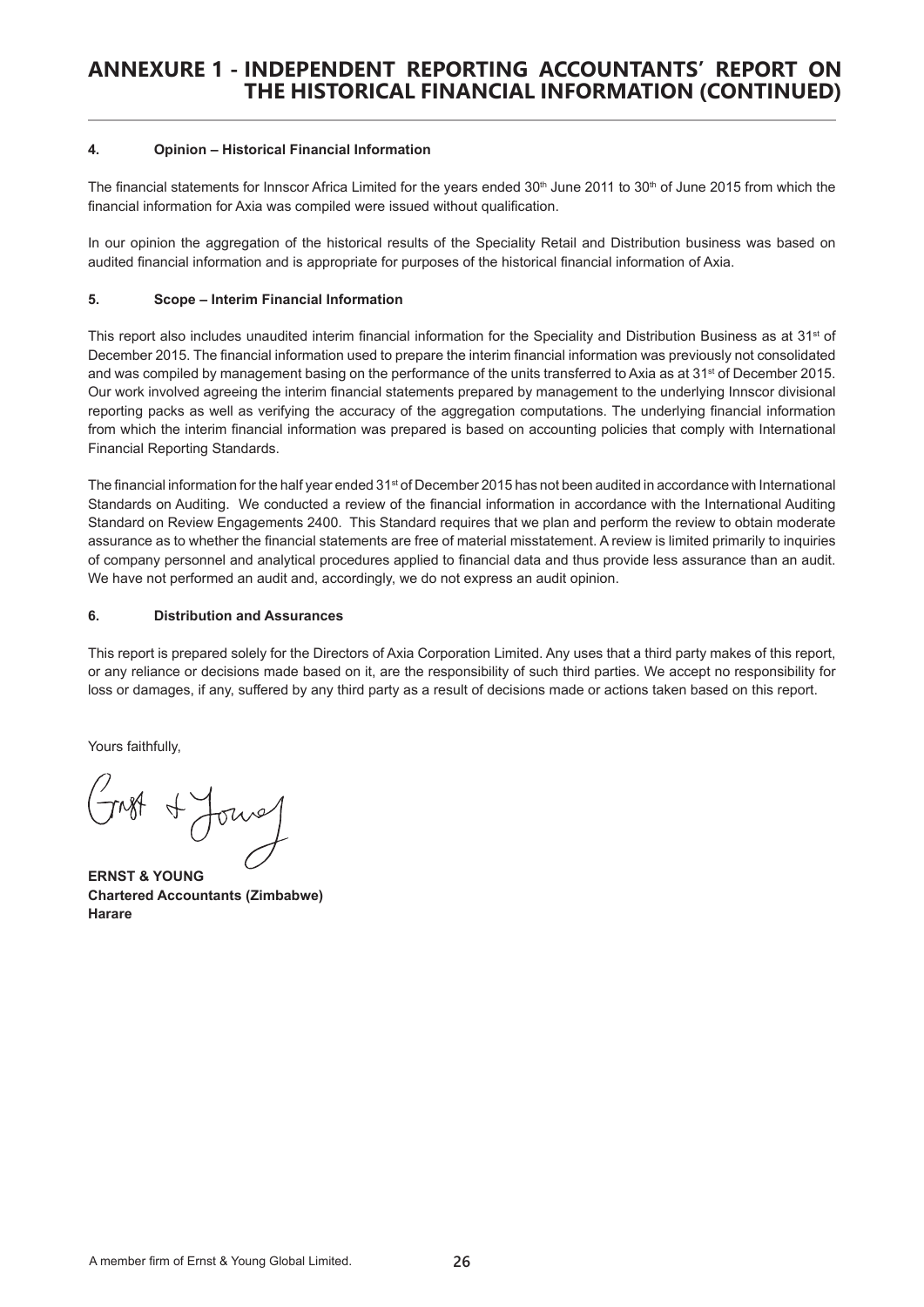#### **4. Opinion – Historical Financial Information**

The financial statements for Innscor Africa Limited for the years ended  $30<sup>th</sup>$  June 2011 to  $30<sup>th</sup>$  of June 2015 from which the financial information for Axia was compiled were issued without qualification.

In our opinion the aggregation of the historical results of the Speciality Retail and Distribution business was based on audited financial information and is appropriate for purposes of the historical financial information of Axia.

# **5. Scope – Interim Financial Information**

This report also includes unaudited interim financial information for the Speciality and Distribution Business as at 31st of December 2015. The financial information used to prepare the interim financial information was previously not consolidated and was compiled by management basing on the performance of the units transferred to Axia as at 31<sup>st</sup> of December 2015. Our work involved agreeing the interim financial statements prepared by management to the underlying Innscor divisional reporting packs as well as verifying the accuracy of the aggregation computations. The underlying financial information from which the interim financial information was prepared is based on accounting policies that comply with International Financial Reporting Standards.

The financial information for the half year ended 31<sup>st</sup> of December 2015 has not been audited in accordance with International Standards on Auditing. We conducted a review of the financial information in accordance with the International Auditing Standard on Review Engagements 2400. This Standard requires that we plan and perform the review to obtain moderate assurance as to whether the financial statements are free of material misstatement. A review is limited primarily to inquiries of company personnel and analytical procedures applied to financial data and thus provide less assurance than an audit. We have not performed an audit and, accordingly, we do not express an audit opinion.

# **6. Distribution and Assurances**

This report is prepared solely for the Directors of Axia Corporation Limited. Any uses that a third party makes of this report, or any reliance or decisions made based on it, are the responsibility of such third parties. We accept no responsibility for loss or damages, if any, suffered by any third party as a result of decisions made or actions taken based on this report.

Yours faithfully,

A Jours

**ERNST & YOUNG Chartered Accountants (Zimbabwe) Harare**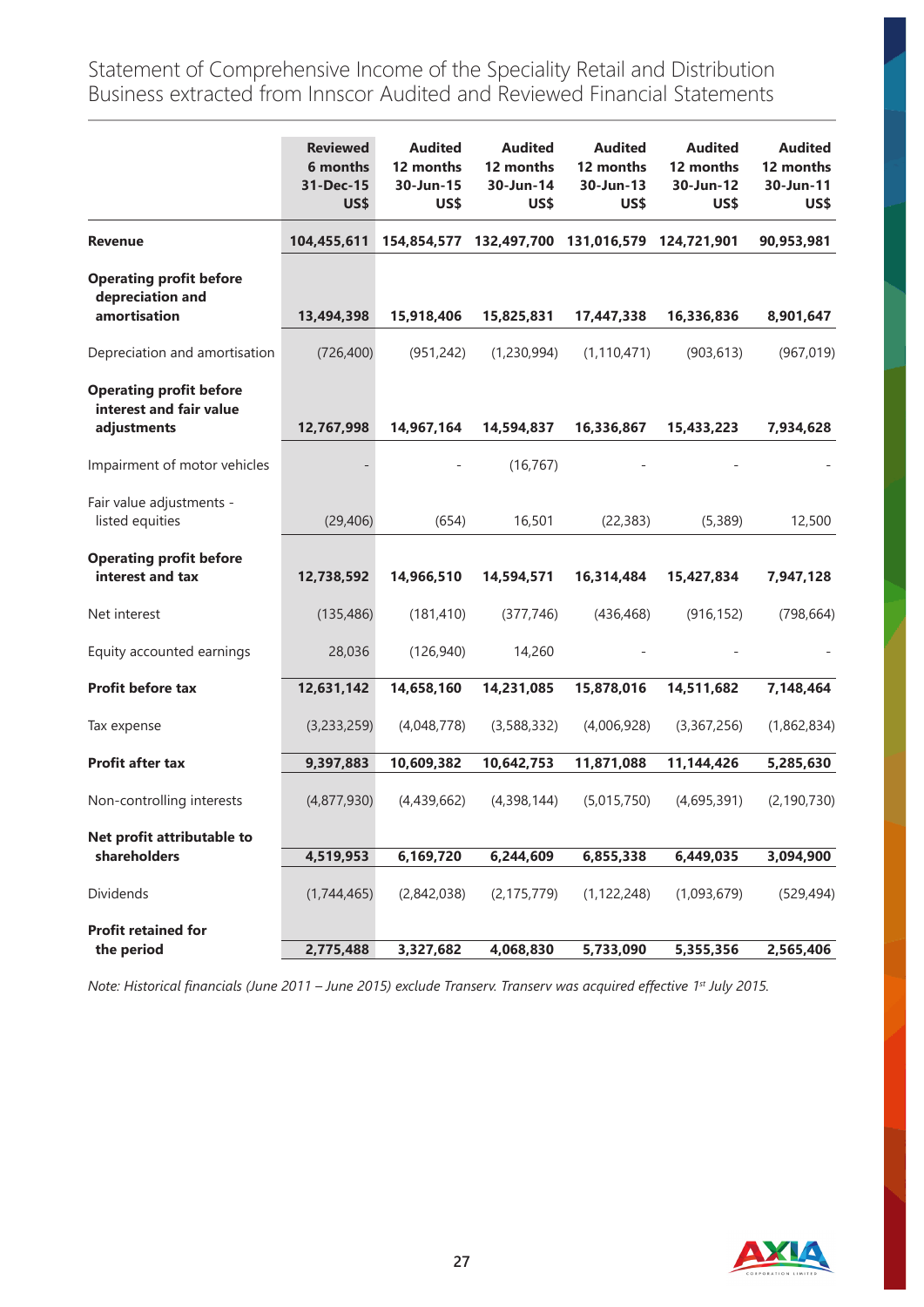Statement of Comprehensive Income of the Speciality Retail and Distribution Business extracted from Innscor Audited and Reviewed Financial Statements

|                                                                          | <b>Reviewed</b><br>6 months<br>31-Dec-15<br>US\$ | <b>Audited</b><br>12 months<br>30-Jun-15<br>US\$ | <b>Audited</b><br>12 months<br>30-Jun-14<br>US\$ | <b>Audited</b><br>12 months<br>30-Jun-13<br>US\$ | <b>Audited</b><br>12 months<br>30-Jun-12<br>US\$ | <b>Audited</b><br>12 months<br>30-Jun-11<br>US\$ |
|--------------------------------------------------------------------------|--------------------------------------------------|--------------------------------------------------|--------------------------------------------------|--------------------------------------------------|--------------------------------------------------|--------------------------------------------------|
| <b>Revenue</b>                                                           | 104,455,611                                      |                                                  | 154,854,577 132,497,700                          | 131,016,579                                      | 124,721,901                                      | 90,953,981                                       |
| <b>Operating profit before</b><br>depreciation and<br>amortisation       | 13,494,398                                       | 15,918,406                                       | 15,825,831                                       | 17,447,338                                       | 16,336,836                                       | 8,901,647                                        |
| Depreciation and amortisation                                            | (726, 400)                                       | (951, 242)                                       | (1,230,994)                                      | (1, 110, 471)                                    | (903, 613)                                       | (967, 019)                                       |
| <b>Operating profit before</b><br>interest and fair value<br>adjustments | 12,767,998                                       | 14,967,164                                       | 14,594,837                                       | 16,336,867                                       | 15,433,223                                       | 7,934,628                                        |
| Impairment of motor vehicles                                             |                                                  |                                                  | (16, 767)                                        |                                                  |                                                  |                                                  |
| Fair value adjustments -<br>listed equities                              | (29, 406)                                        | (654)                                            | 16,501                                           | (22, 383)                                        | (5,389)                                          | 12,500                                           |
| <b>Operating profit before</b><br>interest and tax                       | 12,738,592                                       | 14,966,510                                       | 14,594,571                                       | 16,314,484                                       | 15,427,834                                       | 7,947,128                                        |
| Net interest                                                             | (135, 486)                                       | (181, 410)                                       | (377, 746)                                       | (436, 468)                                       | (916, 152)                                       | (798, 664)                                       |
| Equity accounted earnings                                                | 28,036                                           | (126, 940)                                       | 14,260                                           |                                                  |                                                  |                                                  |
| Profit before tax                                                        | 12,631,142                                       | 14,658,160                                       | 14,231,085                                       | 15,878,016                                       | 14,511,682                                       | 7,148,464                                        |
| Tax expense                                                              | (3,233,259)                                      | (4,048,778)                                      | (3,588,332)                                      | (4,006,928)                                      | (3,367,256)                                      | (1,862,834)                                      |
| Profit after tax                                                         | 9,397,883                                        | 10,609,382                                       | 10,642,753                                       | 11,871,088                                       | 11,144,426                                       | 5,285,630                                        |
| Non-controlling interests                                                | (4,877,930)                                      | (4,439,662)                                      | (4,398,144)                                      | (5,015,750)                                      | (4,695,391)                                      | (2, 190, 730)                                    |
| Net profit attributable to<br>shareholders                               | 4,519,953                                        | 6,169,720                                        | 6,244,609                                        | 6,855,338                                        | 6,449,035                                        | 3,094,900                                        |
| Dividends                                                                | (1,744,465)                                      | (2,842,038)                                      | (2, 175, 779)                                    | (1, 122, 248)                                    | (1,093,679)                                      | (529, 494)                                       |
| <b>Profit retained for</b><br>the period                                 | 2,775,488                                        | 3,327,682                                        | 4,068,830                                        | 5,733,090                                        | 5,355,356                                        | 2,565,406                                        |

*Note: Historical financials (June 2011 – June 2015) exclude Transerv. Transerv was acquired effective 1st July 2015.*

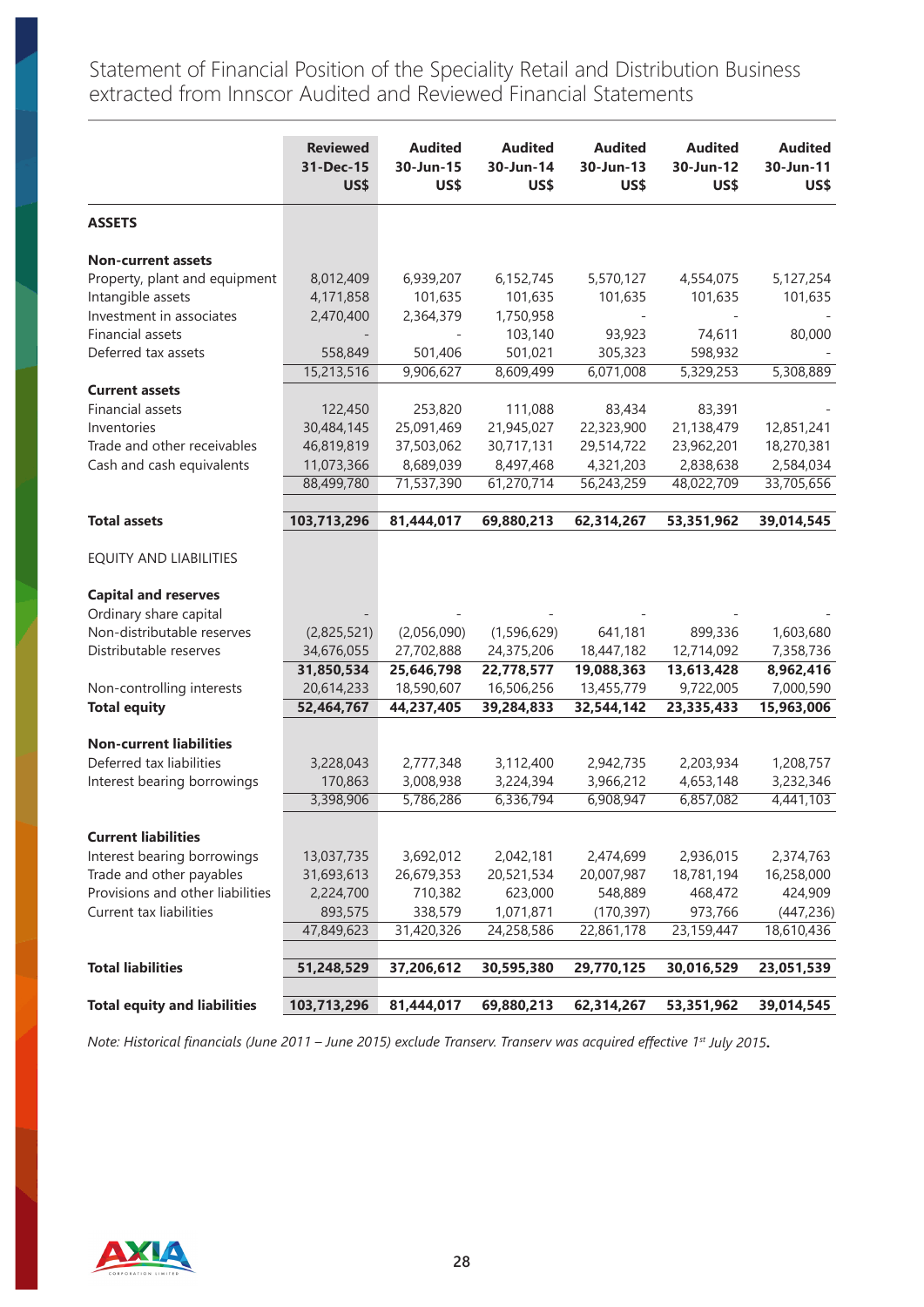Statement of Financial Position of the Speciality Retail and Distribution Business extracted from Innscor Audited and Reviewed Financial Statements

|                                     | <b>Reviewed</b><br>31-Dec-15<br>US\$ | <b>Audited</b><br>30-Jun-15<br>US\$ | <b>Audited</b><br>30-Jun-14<br>US\$ | <b>Audited</b><br>30-Jun-13<br>US\$ | <b>Audited</b><br>30-Jun-12<br>US\$ | <b>Audited</b><br>30-Jun-11<br>US\$ |
|-------------------------------------|--------------------------------------|-------------------------------------|-------------------------------------|-------------------------------------|-------------------------------------|-------------------------------------|
| <b>ASSETS</b>                       |                                      |                                     |                                     |                                     |                                     |                                     |
| <b>Non-current assets</b>           |                                      |                                     |                                     |                                     |                                     |                                     |
| Property, plant and equipment       | 8,012,409                            | 6,939,207                           | 6,152,745                           | 5,570,127                           | 4,554,075                           | 5,127,254                           |
| Intangible assets                   | 4,171,858                            | 101,635                             | 101,635                             | 101,635                             | 101,635                             | 101,635                             |
| Investment in associates            | 2,470,400                            | 2,364,379                           | 1,750,958                           |                                     |                                     |                                     |
| Financial assets                    |                                      |                                     | 103,140                             | 93,923                              | 74,611                              | 80,000                              |
| Deferred tax assets                 | 558,849                              | 501,406                             | 501,021                             | 305,323                             | 598,932                             |                                     |
|                                     | 15,213,516                           | 9,906,627                           | 8,609,499                           | 6,071,008                           | 5,329,253                           | 5,308,889                           |
| <b>Current assets</b>               |                                      |                                     |                                     |                                     |                                     |                                     |
| Financial assets                    | 122,450                              | 253,820                             | 111,088                             | 83,434                              | 83,391                              |                                     |
| Inventories                         | 30,484,145                           | 25,091,469                          | 21,945,027                          | 22,323,900                          | 21,138,479                          | 12,851,241                          |
| Trade and other receivables         | 46,819,819                           | 37,503,062                          | 30,717,131                          | 29,514,722                          | 23,962,201                          | 18,270,381                          |
| Cash and cash equivalents           | 11,073,366                           | 8,689,039<br>71,537,390             | 8,497,468<br>61,270,714             | 4,321,203<br>56,243,259             | 2,838,638                           | 2,584,034<br>33,705,656             |
|                                     | 88,499,780                           |                                     |                                     |                                     | 48,022,709                          |                                     |
| <b>Total assets</b>                 | 103,713,296                          | 81,444,017                          | 69,880,213                          | 62,314,267                          | 53,351,962                          | 39,014,545                          |
| <b>EQUITY AND LIABILITIES</b>       |                                      |                                     |                                     |                                     |                                     |                                     |
| <b>Capital and reserves</b>         |                                      |                                     |                                     |                                     |                                     |                                     |
| Ordinary share capital              |                                      |                                     |                                     |                                     |                                     |                                     |
| Non-distributable reserves          | (2,825,521)                          | (2,056,090)                         | (1,596,629)                         | 641,181                             | 899,336                             | 1,603,680                           |
| Distributable reserves              | 34,676,055                           | 27,702,888                          | 24,375,206                          | 18,447,182                          | 12,714,092                          | 7,358,736                           |
|                                     | 31,850,534                           | 25,646,798                          | 22,778,577                          | 19,088,363                          | 13,613,428                          | 8,962,416                           |
| Non-controlling interests           | 20,614,233                           | 18,590,607                          | 16,506,256                          | 13,455,779                          | 9,722,005                           | 7,000,590                           |
| <b>Total equity</b>                 | 52,464,767                           | 44,237,405                          | 39,284,833                          | 32,544,142                          | 23,335,433                          | 15,963,006                          |
| <b>Non-current liabilities</b>      |                                      |                                     |                                     |                                     |                                     |                                     |
| Deferred tax liabilities            | 3,228,043                            | 2,777,348                           | 3,112,400                           | 2,942,735                           | 2,203,934                           | 1,208,757                           |
| Interest bearing borrowings         | 170,863                              | 3,008,938                           | 3,224,394                           | 3,966,212                           | 4,653,148                           | 3,232,346                           |
|                                     | 3,398,906                            | 5,786,286                           | 6,336,794                           | 6,908,947                           | 6,857,082                           | 4,441,103                           |
|                                     |                                      |                                     |                                     |                                     |                                     |                                     |
| <b>Current liabilities</b>          |                                      |                                     |                                     |                                     |                                     |                                     |
| Interest bearing borrowings         | 13,037,735                           | 3,692,012                           | 2,042,181                           | 2,474,699                           | 2,936,015                           | 2,374,763                           |
| Trade and other payables            | 31,693,613                           | 26,679,353                          | 20,521,534                          | 20,007,987                          | 18,781,194                          | 16,258,000                          |
| Provisions and other liabilities    | 2,224,700                            | 710,382                             | 623,000                             | 548,889                             | 468,472                             | 424,909                             |
| Current tax liabilities             | 893,575                              | 338,579                             | 1,071,871                           | (170, 397)                          | 973,766                             | (447, 236)                          |
|                                     | 47,849,623                           | 31,420,326                          | 24,258,586                          | 22,861,178                          | 23,159,447                          | 18,610,436                          |
| <b>Total liabilities</b>            | 51,248,529                           | 37,206,612                          | 30,595,380                          | 29,770,125                          | 30,016,529                          | 23,051,539                          |
| <b>Total equity and liabilities</b> | 103,713,296                          | 81,444,017                          | 69,880,213                          | 62,314,267                          | 53,351,962                          | 39,014,545                          |
|                                     |                                      |                                     |                                     |                                     |                                     |                                     |

*Note: Historical financials (June 2011 – June 2015) exclude Transerv. Transerv was acquired effective 1st July 2015***.** 

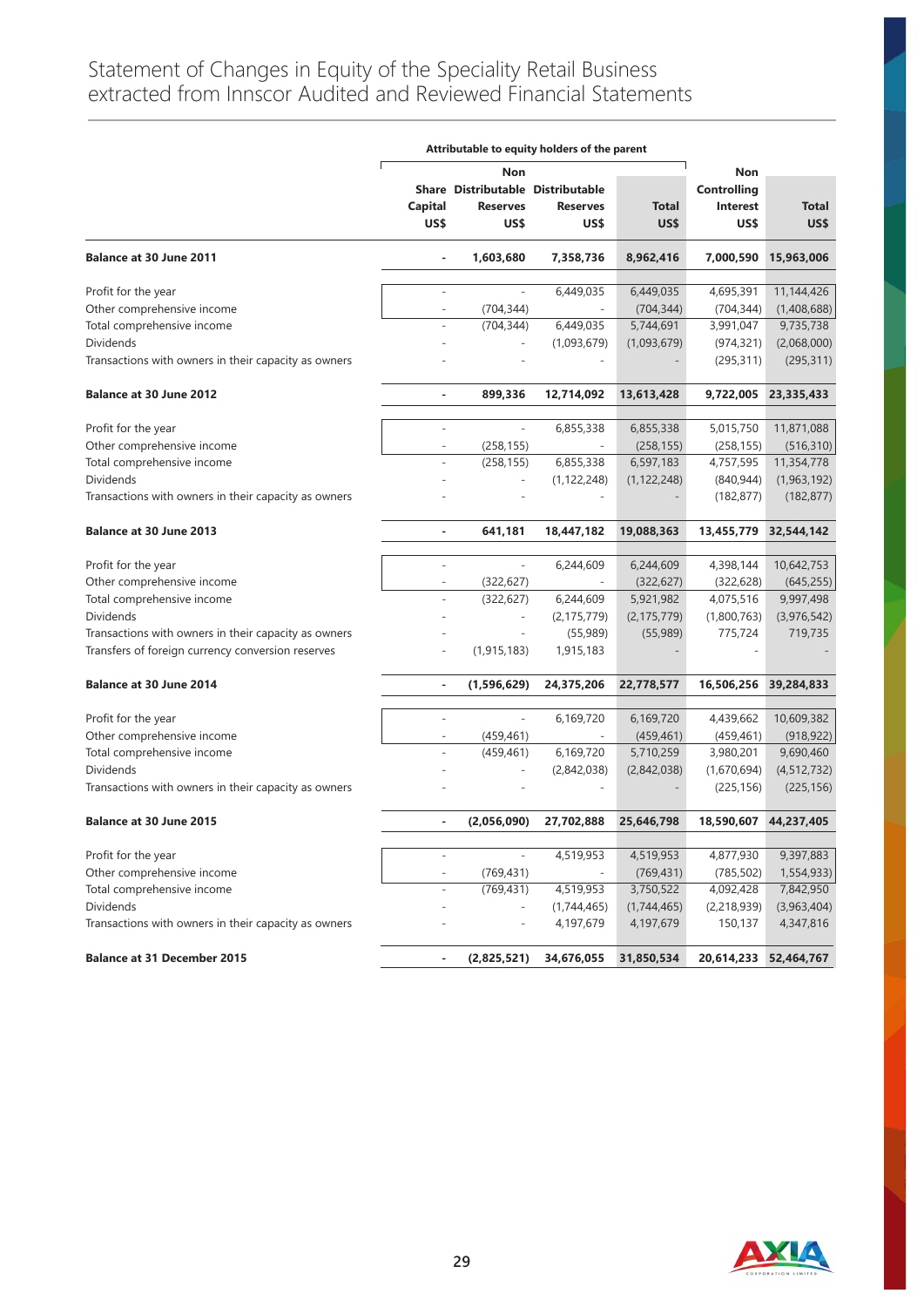|                                                      | Attributable to equity holders of the parent |                                   |                 |               |                    |                       |
|------------------------------------------------------|----------------------------------------------|-----------------------------------|-----------------|---------------|--------------------|-----------------------|
|                                                      |                                              | Non                               |                 |               | Non                |                       |
|                                                      |                                              | Share Distributable Distributable |                 |               | <b>Controlling</b> |                       |
|                                                      | Capital                                      | <b>Reserves</b>                   | <b>Reserves</b> | <b>Total</b>  | <b>Interest</b>    | <b>Total</b>          |
|                                                      | US\$                                         | US\$                              | US\$            | US\$          | US\$               | US\$                  |
| Balance at 30 June 2011                              |                                              | 1,603,680                         | 7,358,736       | 8,962,416     | 7,000,590          | 15,963,006            |
| Profit for the year                                  |                                              |                                   | 6,449,035       | 6,449,035     | 4,695,391          | 11,144,426            |
| Other comprehensive income                           |                                              | (704, 344)                        |                 | (704, 344)    | (704, 344)         | (1,408,688)           |
| Total comprehensive income                           |                                              | (704, 344)                        | 6,449,035       | 5,744,691     | 3,991,047          | 9,735,738             |
| <b>Dividends</b>                                     |                                              |                                   | (1,093,679)     | (1,093,679)   | (974, 321)         | (2,068,000)           |
| Transactions with owners in their capacity as owners |                                              |                                   |                 |               | (295, 311)         | (295, 311)            |
| <b>Balance at 30 June 2012</b>                       | ÷.                                           | 899,336                           | 12,714,092      | 13,613,428    | 9,722,005          | 23,335,433            |
|                                                      |                                              |                                   |                 |               |                    |                       |
| Profit for the year                                  |                                              | $\overline{\phantom{a}}$          | 6,855,338       | 6,855,338     | 5,015,750          | 11,871,088            |
| Other comprehensive income                           |                                              | (258, 155)                        |                 | (258, 155)    | (258, 155)         | (516, 310)            |
| Total comprehensive income                           |                                              | (258, 155)                        | 6,855,338       | 6,597,183     | 4,757,595          | 11,354,778            |
| <b>Dividends</b>                                     |                                              |                                   | (1, 122, 248)   | (1, 122, 248) | (840, 944)         | (1,963,192)           |
| Transactions with owners in their capacity as owners |                                              |                                   |                 |               | (182, 877)         | (182, 877)            |
| Balance at 30 June 2013                              | ٠                                            | 641,181                           | 18,447,182      | 19,088,363    |                    | 13,455,779 32,544,142 |
| Profit for the year                                  |                                              |                                   | 6,244,609       | 6,244,609     | 4,398,144          | 10,642,753            |
| Other comprehensive income                           |                                              | (322, 627)                        |                 | (322, 627)    | (322, 628)         | (645, 255)            |
| Total comprehensive income                           |                                              | (322, 627)                        | 6,244,609       | 5,921,982     | 4,075,516          | 9,997,498             |
| <b>Dividends</b>                                     |                                              | $\overline{a}$                    | (2, 175, 779)   | (2, 175, 779) | (1,800,763)        | (3,976,542)           |
| Transactions with owners in their capacity as owners |                                              |                                   | (55,989)        | (55,989)      | 775,724            | 719,735               |
| Transfers of foreign currency conversion reserves    |                                              | (1, 915, 183)                     | 1,915,183       |               |                    |                       |
|                                                      |                                              |                                   |                 |               |                    |                       |
| <b>Balance at 30 June 2014</b>                       |                                              | (1,596,629)                       | 24,375,206      | 22,778,577    | 16,506,256         | 39,284,833            |
| Profit for the year                                  |                                              | $\frac{1}{2}$                     | 6,169,720       | 6,169,720     | 4,439,662          | 10,609,382            |
| Other comprehensive income                           |                                              | (459, 461)                        | $\sim$          | (459, 461)    | (459, 461)         | (918, 922)            |
| Total comprehensive income                           |                                              | (459, 461)                        | 6,169,720       | 5,710,259     | 3,980,201          | 9,690,460             |
| <b>Dividends</b>                                     |                                              |                                   | (2,842,038)     | (2,842,038)   | (1,670,694)        | (4, 512, 732)         |
| Transactions with owners in their capacity as owners |                                              |                                   |                 |               | (225, 156)         | (225, 156)            |
| <b>Balance at 30 June 2015</b>                       | ٠                                            | (2,056,090)                       | 27,702,888      | 25,646,798    | 18,590,607         | 44,237,405            |
| Profit for the year                                  |                                              | $\overline{\phantom{a}}$          |                 |               | 4,877,930          | 9,397,883             |
|                                                      |                                              |                                   | 4,519,953       | 4,519,953     |                    |                       |
| Other comprehensive income                           |                                              | (769, 431)                        |                 | (769, 431)    | (785, 502)         | 1,554,933)            |
| Total comprehensive income                           |                                              | (769, 431)                        | 4,519,953       | 3,750,522     | 4,092,428          | 7,842,950             |
| <b>Dividends</b>                                     |                                              |                                   | (1,744,465)     | (1,744,465)   | (2, 218, 939)      | (3,963,404)           |
| Transactions with owners in their capacity as owners |                                              |                                   | 4,197,679       | 4,197,679     | 150,137            | 4,347,816             |
| <b>Balance at 31 December 2015</b>                   | ٠                                            | (2,825,521)                       | 34,676,055      | 31,850,534    | 20,614,233         | 52,464,767            |

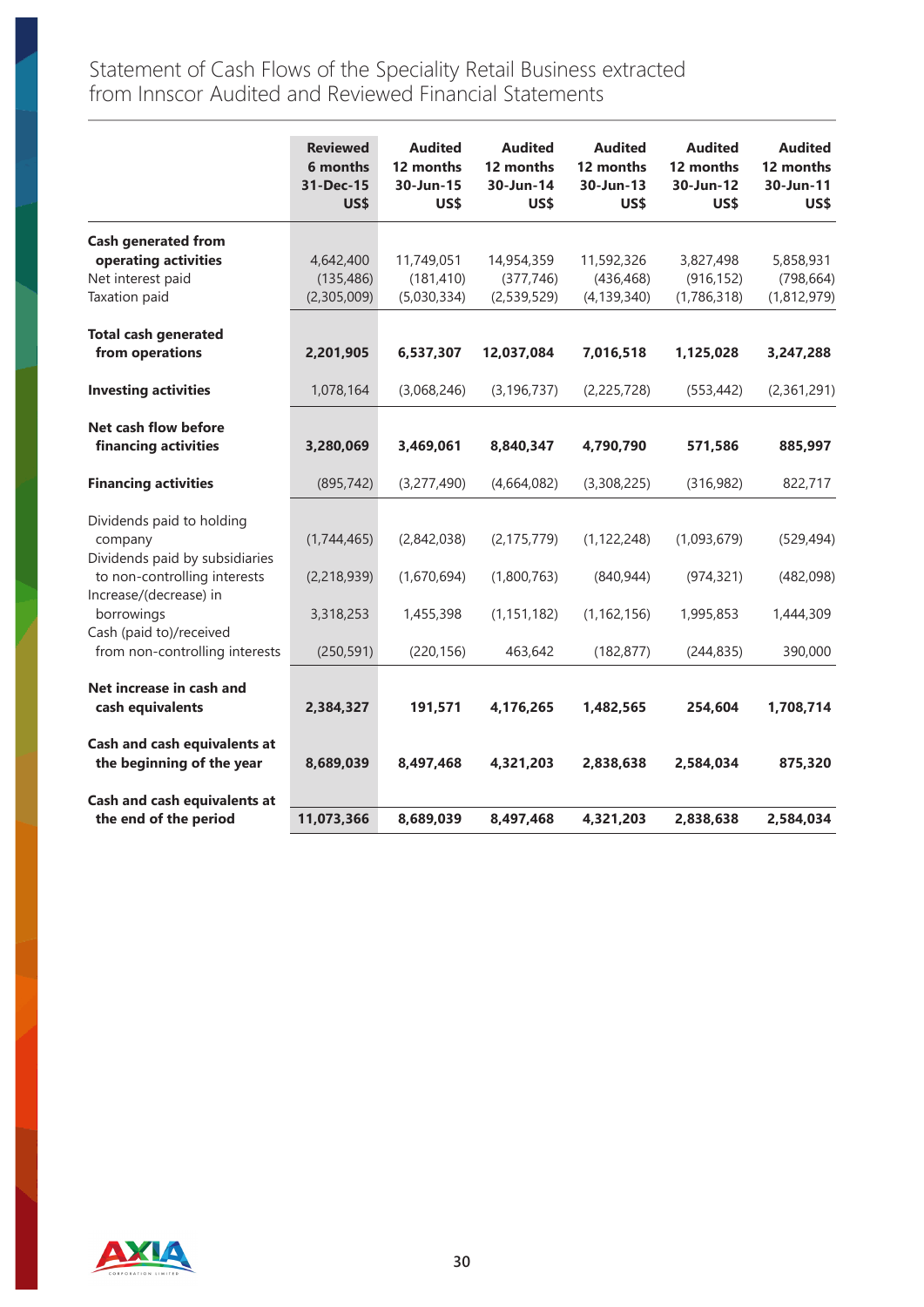Statement of Cash Flows of the Speciality Retail Business extracted from Innscor Audited and Reviewed Financial Statements

|                                                                        | <b>Reviewed</b><br>6 months<br>31-Dec-15<br>US\$ | <b>Audited</b><br>12 months<br>30-Jun-15<br>US\$ | <b>Audited</b><br>12 months<br>30-Jun-14<br>US\$ | <b>Audited</b><br>12 months<br>30-Jun-13<br>US\$ | <b>Audited</b><br>12 months<br>30-Jun-12<br>US\$ | <b>Audited</b><br>12 months<br>30-Jun-11<br>US\$ |
|------------------------------------------------------------------------|--------------------------------------------------|--------------------------------------------------|--------------------------------------------------|--------------------------------------------------|--------------------------------------------------|--------------------------------------------------|
| <b>Cash generated from</b><br>operating activities                     | 4,642,400                                        | 11,749,051                                       | 14,954,359                                       | 11,592,326                                       | 3,827,498                                        | 5,858,931                                        |
| Net interest paid<br>Taxation paid                                     | (135, 486)<br>(2,305,009)                        | (181, 410)<br>(5,030,334)                        | (377, 746)<br>(2,539,529)                        | (436, 468)<br>(4, 139, 340)                      | (916, 152)<br>(1,786,318)                        | (798, 664)<br>(1,812,979)                        |
| <b>Total cash generated</b><br>from operations                         | 2,201,905                                        | 6,537,307                                        | 12,037,084                                       | 7,016,518                                        | 1,125,028                                        | 3,247,288                                        |
| <b>Investing activities</b>                                            | 1,078,164                                        | (3,068,246)                                      | (3, 196, 737)                                    | (2, 225, 728)                                    | (553, 442)                                       | (2,361,291)                                      |
| Net cash flow before<br>financing activities                           | 3,280,069                                        | 3,469,061                                        | 8,840,347                                        | 4,790,790                                        | 571,586                                          | 885,997                                          |
| <b>Financing activities</b>                                            | (895, 742)                                       | (3,277,490)                                      | (4,664,082)                                      | (3,308,225)                                      | (316,982)                                        | 822,717                                          |
| Dividends paid to holding<br>company<br>Dividends paid by subsidiaries | (1,744,465)                                      | (2,842,038)                                      | (2, 175, 779)                                    | (1, 122, 248)                                    | (1,093,679)                                      | (529, 494)                                       |
| to non-controlling interests<br>Increase/(decrease) in<br>borrowings   | (2, 218, 939)<br>3,318,253                       | (1,670,694)<br>1,455,398                         | (1,800,763)<br>(1, 151, 182)                     | (840, 944)<br>(1, 162, 156)                      | (974, 321)<br>1,995,853                          | (482,098)<br>1,444,309                           |
| Cash (paid to)/received<br>from non-controlling interests              | (250, 591)                                       | (220, 156)                                       | 463,642                                          | (182, 877)                                       | (244, 835)                                       | 390,000                                          |
| Net increase in cash and<br>cash equivalents                           | 2,384,327                                        | 191,571                                          | 4,176,265                                        | 1,482,565                                        | 254,604                                          | 1,708,714                                        |
| Cash and cash equivalents at<br>the beginning of the year              | 8,689,039                                        | 8,497,468                                        | 4,321,203                                        | 2,838,638                                        | 2,584,034                                        | 875,320                                          |
| Cash and cash equivalents at<br>the end of the period                  | 11,073,366                                       | 8,689,039                                        | 8,497,468                                        | 4,321,203                                        | 2,838,638                                        | 2,584,034                                        |